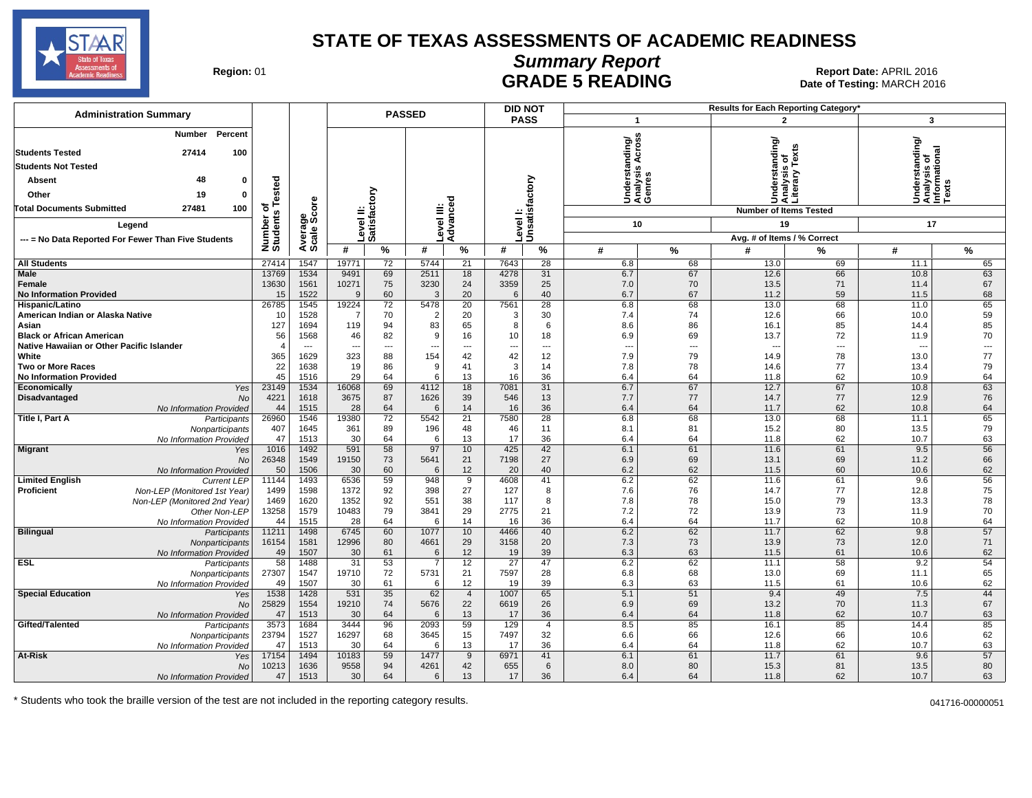

# **Summary Report**

Region: 01 **Region: 01 CONTRIGE 5 READING Report Date: APRIL 2016 Region: 01 Report Date: APRIL 2016** Date of Testing: MARCH 2016

| <b>Administration Summary</b>                                                 |                       |                                  |                                |                              | <b>PASSED</b>                 |                        |              | <b>DID NOT</b>               |                                                    |                                | Results for Each Reporting Category'            |                |                                                         |           |
|-------------------------------------------------------------------------------|-----------------------|----------------------------------|--------------------------------|------------------------------|-------------------------------|------------------------|--------------|------------------------------|----------------------------------------------------|--------------------------------|-------------------------------------------------|----------------|---------------------------------------------------------|-----------|
|                                                                               |                       |                                  |                                |                              |                               |                        |              | <b>PASS</b>                  | $\mathbf{1}$                                       |                                |                                                 | $\overline{2}$ | 3                                                       |           |
| Percent<br>Number<br><b>Students Tested</b><br>27414<br>100                   |                       |                                  |                                |                              |                               |                        |              |                              | ပ္စ<br>Understanding/<br>Analysis Across<br>Genres |                                | Jnderstanding/<br>Analysis of<br>Literary Texts |                | Understanding/<br>Analysis of<br>Informational<br>Texts |           |
| <b>Students Not Tested</b>                                                    |                       |                                  |                                |                              |                               |                        |              |                              |                                                    |                                |                                                 |                |                                                         |           |
| 48<br>$\Omega$<br>Absent                                                      |                       |                                  |                                |                              |                               |                        |              |                              |                                                    |                                |                                                 |                |                                                         |           |
| 19<br>Other<br>$\mathbf{0}$                                                   | Tested                |                                  |                                | 등                            |                               |                        |              |                              |                                                    |                                |                                                 | Anal<br>Litera |                                                         |           |
| 100<br><b>Total Documents Submitted</b><br>27481                              | ъ                     | core                             |                                |                              |                               |                        |              |                              |                                                    |                                | ⊃∢                                              |                |                                                         |           |
|                                                                               |                       | န္တီတိ                           | ≝                              | w.                           |                               |                        |              |                              |                                                    |                                | <b>Number of Items Tested</b>                   |                |                                                         |           |
| Legend                                                                        |                       |                                  |                                | Level<br>Satisf              |                               | Level III:<br>Advanced | evel         | Unsatisfactory               | 10                                                 |                                | 19                                              |                | 17                                                      |           |
| --- = No Data Reported For Fewer Than Five Students                           | Number of<br>Students | Average                          |                                |                              |                               |                        |              |                              |                                                    |                                | Avg. # of Items / % Correct                     |                |                                                         |           |
|                                                                               |                       |                                  | #                              | $\%$                         | #                             | %                      | #            | %                            | #                                                  | $\%$                           | #                                               | %              | #                                                       | %         |
| <b>All Students</b><br>Male                                                   | 27414                 | 1547<br>1534                     | 19771                          | $\overline{72}$              | 5744                          | 21                     | 7643         | $\overline{28}$<br>31        | 6.8                                                | 68                             | 13.0<br>12.6                                    | 69             | 11.1                                                    | 65        |
| Female                                                                        | 13769<br>13630        | 1561                             | 9491<br>10271                  | 69<br>75                     | 2511<br>3230                  | 18<br>24               | 4278<br>3359 | 25                           | 6.7<br>7.0                                         | 67<br>70                       | 13.5                                            | 66<br>71       | 10.8<br>11.4                                            | 63<br>67  |
| <b>No Information Provided</b>                                                | 15                    | 1522                             | 9                              | 60                           | 3                             | 20                     | 6            | 40                           | 6.7                                                | 67                             | 11.2                                            | 59             | 11.5                                                    | 68        |
| Hispanic/Latino                                                               | 26785                 | 1545                             | 19224                          | $\overline{72}$              | 5478                          | 20                     | 7561         | $\overline{28}$              | 6.8                                                | 68                             | 13.0                                            | 68             | 11.0                                                    | 65        |
| American Indian or Alaska Native                                              | 10                    | 1528                             | $\overline{7}$                 | 70                           | $\overline{2}$                | 20                     | 3            | 30                           | 7.4                                                | 74                             | 12.6                                            | 66             | 10.0                                                    | 59        |
| Asian                                                                         | 127                   | 1694                             | 119                            | 94                           | 83                            | 65                     | 8            | 6                            | 8.6                                                | 86                             | 16.1                                            | 85             | 14.4                                                    | 85        |
| <b>Black or African American</b><br>Native Hawaiian or Other Pacific Islander | 56                    | 1568<br>$\overline{\phantom{a}}$ | 46<br>$\overline{\phantom{a}}$ | 82<br>$\qquad \qquad \cdots$ | 9<br>$\hspace{0.05cm} \ldots$ | 16<br>---              | 10           | 18<br>$\qquad \qquad \cdots$ | 6.9<br>$\overline{\phantom{a}}$                    | 69<br>$\overline{\phantom{a}}$ | 13.7<br>$\overline{\phantom{a}}$                | 72<br>---      | 11.9                                                    | 70<br>--- |
| White                                                                         | 365                   | 1629                             | 323                            | 88                           | 154                           | 42                     | 42           | 12                           | 7.9                                                | 79                             | 14.9                                            | 78             | 13.0                                                    | 77        |
| <b>Two or More Races</b>                                                      | 22                    | 1638                             | 19                             | 86                           | 9                             | 41                     | $\mathbf{3}$ | 14                           | 7.8                                                | 78                             | 14.6                                            | 77             | 13.4                                                    | 79        |
| <b>No Information Provided</b>                                                | 45                    | 1516                             | 29                             | 64                           | 6                             | 13                     | 16           | 36                           | 6.4                                                | 64                             | 11.8                                            | 62             | 10.9                                                    | 64        |
| Economically<br>Yes                                                           | 23149                 | 1534                             | 16068                          | 69                           | 4112                          | 18                     | 7081         | 31                           | 6.7                                                | 67                             | 12.7                                            | 67             | 10.8                                                    | 63        |
| Disadvantaged<br>No                                                           | 4221                  | 1618                             | 3675                           | 87                           | 1626                          | 39                     | 546          | 13                           | 7.7                                                | 77                             | 14.7                                            | 77             | 12.9                                                    | 76        |
| No Information Provided<br>Title I, Part A<br>Participants                    | 44<br>26960           | 1515<br>1546                     | 28<br>19380                    | 64<br>72                     | 6<br>5542                     | 14<br>21               | 16<br>7580   | 36<br>28                     | 6.4<br>6.8                                         | 64<br>68                       | 11.7<br>13.0                                    | 62<br>68       | 10.8<br>11.1                                            | 64<br>65  |
| Nonparticipants                                                               | 407                   | 1645                             | 361                            | 89                           | 196                           | 48                     | 46           | 11                           | 8.1                                                | 81                             | 15.2                                            | 80             | 13.5                                                    | 79        |
| No Information Provided                                                       | 47                    | 1513                             | 30                             | 64                           | 6                             | 13                     | 17           | 36                           | 6.4                                                | 64                             | 11.8                                            | 62             | 10.7                                                    | 63        |
| <b>Migrant</b><br>Yes                                                         | 1016                  | 1492                             | 591                            | 58                           | 97                            | 10                     | 425          | 42                           | 6.1                                                | 61                             | 11.6                                            | 61             | 9.5                                                     | 56        |
| <b>No</b>                                                                     | 26348                 | 1549                             | 19150                          | 73                           | 5641                          | 21                     | 7198         | 27                           | 6.9                                                | 69                             | 13.1                                            | 69             | 11.2                                                    | 66        |
| No Information Provided<br><b>Limited English</b><br><b>Current LEP</b>       | 50<br>11144           | 1506<br>1493                     | 30<br>6536                     | 60<br>59                     | 6<br>948                      | 12<br>9                | 20<br>4608   | 40<br>41                     | 6.2<br>6.2                                         | 62<br>62                       | 11.5<br>11.6                                    | 60<br>61       | 10.6<br>9.6                                             | 62<br>56  |
| <b>Proficient</b><br>Non-LEP (Monitored 1st Year)                             | 1499                  | 1598                             | 1372                           | 92                           | 398                           | 27                     | 127          | 8                            | 7.6                                                | 76                             | 14.7                                            | 77             | 12.8                                                    | 75        |
| Non-LEP (Monitored 2nd Year)                                                  | 1469                  | 1620                             | 1352                           | 92                           | 551                           | 38                     | 117          | 8                            | 7.8                                                | 78                             | 15.0                                            | 79             | 13.3                                                    | 78        |
| Other Non-LEP                                                                 | 13258                 | 1579                             | 10483                          | 79                           | 3841                          | 29                     | 2775         | 21                           | 7.2                                                | 72                             | 13.9                                            | 73             | 11.9                                                    | 70        |
| No Information Provided                                                       | 44                    | 1515                             | 28                             | 64                           | 6                             | 14                     | 16           | 36                           | 6.4                                                | 64                             | 11.7                                            | 62             | 10.8                                                    | 64        |
| <b>Bilingual</b><br>Participants                                              | 11211                 | 1498                             | 6745                           | 60                           | 1077                          | 10                     | 4466         | 40                           | 6.2                                                | 62                             | 11.7                                            | 62             | 9.8                                                     | 57        |
| Nonparticipants<br>No Information Provideo                                    | 16154<br>49           | 1581<br>1507                     | 12996<br>30                    | 80<br>61                     | 4661<br>6                     | 29<br>12               | 3158<br>19   | 20<br>39                     | 7.3<br>6.3                                         | 73<br>63                       | 13.9<br>11.5                                    | 73<br>61       | 12.0<br>10.6                                            | 71<br>62  |
| <b>ESL</b><br>Participants                                                    | 58                    | 1488                             | 31                             | 53                           | $\overline{7}$                | 12                     | 27           | 47                           | 6.2                                                | 62                             | 11.1                                            | 58             | 9.2                                                     | 54        |
| Nonparticipants                                                               | 27307                 | 1547                             | 19710                          | 72                           | 5731                          | 21                     | 7597         | 28                           | 6.8                                                | 68                             | 13.0                                            | 69             | 11.1                                                    | 65        |
| No Information Provideo                                                       | 49                    | 1507                             | 30                             | 61                           | 6                             | 12                     | 19           | 39                           | 6.3                                                | 63                             | 11.5                                            | 61             | 10.6                                                    | 62        |
| <b>Special Education</b><br>Yes                                               | 1538                  | 1428                             | 531                            | 35                           | 62                            | $\overline{4}$         | 1007         | 65                           | 5.1                                                | 51                             | 9.4                                             | 49             | 7.5                                                     | 44        |
| <b>No</b><br>No Information Provideo                                          | 25829<br>47           | 1554<br>1513                     | 19210<br>30                    | 74<br>64                     | 5676<br>6                     | 22<br>13               | 6619<br>17   | 26<br>36                     | 6.9<br>6.4                                         | 69<br>64                       | 13.2<br>11.8                                    | 70<br>62       | 11.3<br>10.7                                            | 67<br>63  |
| Gifted/Talented<br>Participants                                               | 3573                  | 1684                             | 3444                           | 96                           | 2093                          | 59                     | 129          | $\overline{4}$               | 8.5                                                | 85                             | 16.1                                            | 85             | 14.4                                                    | 85        |
| Nonparticipants                                                               | 23794                 | 1527                             | 16297                          | 68                           | 3645                          | 15                     | 7497         | 32                           | 6.6                                                | 66                             | 12.6                                            | 66             | 10.6                                                    | 62        |
| No Information Provideo                                                       | 47                    | 1513                             | 30                             | 64                           | 6                             | 13                     | 17           | 36                           | 6.4                                                | 64                             | 11.8                                            | 62             | 10.7                                                    | 63        |
| At-Risk<br>Yes                                                                | 17154                 | 1494                             | 10183                          | 59                           | 1477                          | 9                      | 6971         | 41                           | 6.1                                                | 61                             | 11.7                                            | 61             | 9.6                                                     | 57        |
| No                                                                            | 10213                 | 1636                             | 9558                           | 94                           | 4261                          | 42                     | 655          | 6                            | 8.0                                                | 80                             | 15.3                                            | 81             | 13.5                                                    | 80        |
| No Information Provided                                                       | 47                    | 1513                             | 30                             | 64                           | 6                             | 13                     | 17           | 36                           | 6.4                                                | 64                             | 11.8                                            | 62             | 10.7                                                    | 63        |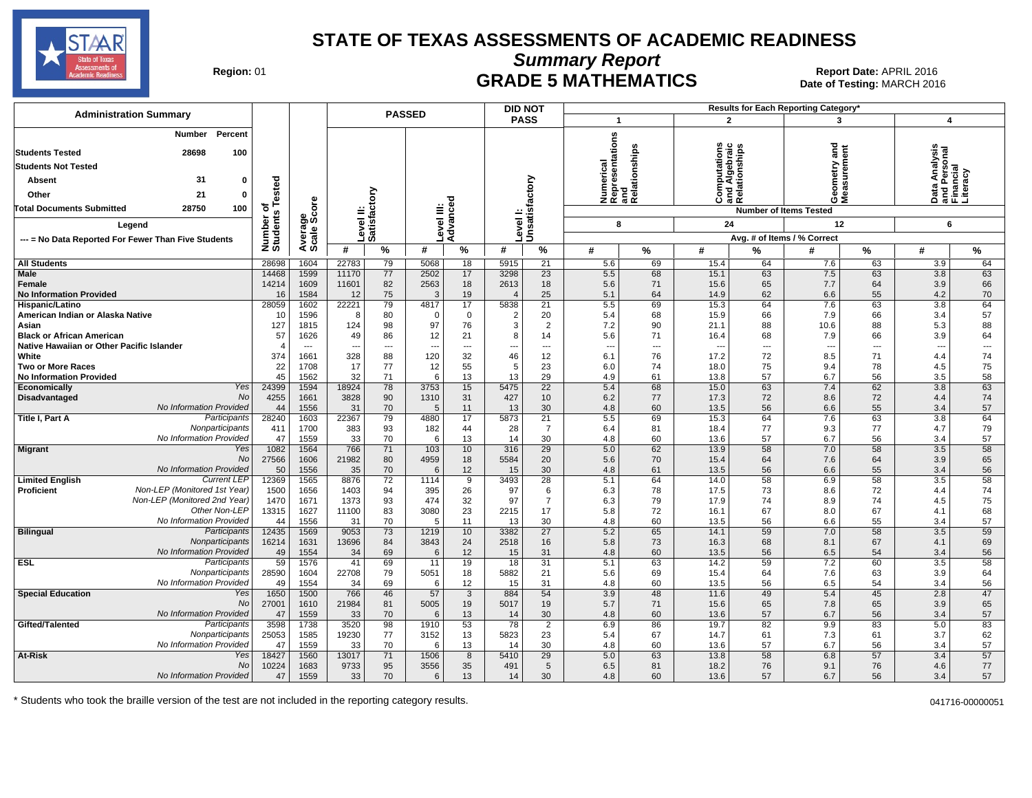

**Summary Report**

Region: 01 **Region: 01 Date: APRIL 2016**<br> **Date of Testing: MARCH 2016 Date of Testing: MARCH 2016** Date of Testing: MARCH 2016

| <b>Administration Summary</b>                                                             |                    |              |               |                          | <b>PASSED</b> |                          |                | <b>DID NOT</b>           |                         |                                                      |                          |                                                | Results for Each Reporting Category' |                          |                                                                 |                          |
|-------------------------------------------------------------------------------------------|--------------------|--------------|---------------|--------------------------|---------------|--------------------------|----------------|--------------------------|-------------------------|------------------------------------------------------|--------------------------|------------------------------------------------|--------------------------------------|--------------------------|-----------------------------------------------------------------|--------------------------|
|                                                                                           |                    |              |               |                          |               |                          |                | <b>PASS</b>              | $\overline{\mathbf{1}}$ |                                                      |                          | $\overline{2}$                                 | 3                                    |                          | 4                                                               |                          |
| Percent<br>Number<br><b>Students Tested</b><br>28698<br>100<br><b>Students Not Tested</b> |                    |              |               |                          |               |                          |                |                          |                         | Numerical<br>Representations<br>and<br>Relationships | ations<br>്              | Computations<br>und Algebraic<br>Relationships | gue<br>eometry                       | ement                    | S,<br> Data Analysis<br> and Personal<br> Financial<br> - ***** |                          |
| 31<br>Absent<br>0                                                                         | sted               |              |               |                          |               |                          |                |                          |                         |                                                      |                          |                                                |                                      |                          |                                                                 |                          |
| Other<br>21<br>0                                                                          | نة                 |              |               | ξ                        |               |                          |                |                          |                         |                                                      | Ő                        | ಡα∠                                            | ම්<br>ÖΣ                             |                          |                                                                 | Literacy                 |
| 28750<br><b>Total Documents Submitted</b><br>100                                          | ৳<br><b>SC</b>     | ge<br>Score  | ≐             |                          |               |                          |                |                          |                         |                                                      |                          |                                                | <b>Number of Items Tested</b>        |                          |                                                                 |                          |
| Legend                                                                                    | Number<br>Students |              | evel          | atisfact                 | evel III:     | Advance                  | Level I:       | Unsatisfactory           |                         | 8                                                    | 24                       |                                                | 12                                   |                          | 6                                                               |                          |
| --- = No Data Reported For Fewer Than Five Students                                       |                    | Average:     |               | <b>SO</b>                |               |                          |                |                          |                         |                                                      |                          |                                                | Avg. # of Items / % Correct          |                          |                                                                 |                          |
|                                                                                           |                    |              | #             | %                        | #             | %                        | #              | %                        | #                       | ℅                                                    | #                        | %                                              | #                                    | $\%$                     | #                                                               | %                        |
| <b>All Students</b>                                                                       | 28698              | 1604         | 22783         | 79                       | 5068          | 18                       | 5915           | 21                       | 5.6                     | 69                                                   | 15.4                     | 64                                             | 7.6                                  | 63                       | 3.9                                                             | 64                       |
| <b>Male</b>                                                                               | 14468              | 1599         | 11170         | 77                       | 2502          | 17                       | 3298           | $\overline{23}$          | 5.5                     | 68                                                   | 15.1                     | 63                                             | 7.5                                  | 63                       | 3.8                                                             | 63                       |
| Female<br><b>No Information Provided</b>                                                  | 14214<br>16        | 1609<br>1584 | 11601<br>12   | 82<br>75                 | 2563<br>3     | 18<br>19                 | 2613           | 18<br>25                 | 5.6<br>5.1              | 71<br>64                                             | 15.6<br>14.9             | 65<br>62                                       | 7.7<br>6.6                           | 64<br>55                 | 3.9<br>4.2                                                      | 66<br>70                 |
| Hispanic/Latino                                                                           | 28059              | 1602         | 22221         | 79                       | 4817          | 17                       | 4<br>5838      | 21                       | 5.5                     | 69                                                   | 15.3                     | 64                                             | 7.6                                  | 63                       | $\overline{3.8}$                                                | 64                       |
| American Indian or Alaska Native                                                          | 10                 | 1596         | 8             | 80                       | $\Omega$      | $\mathbf 0$              | $\overline{2}$ | 20                       | 5.4                     | 68                                                   | 15.9                     | 66                                             | 7.9                                  | 66                       | 3.4                                                             | 57                       |
| Asian                                                                                     | 127                | 1815         | 124           | 98                       | 97            | 76                       | 3              | $\overline{2}$           | 7.2                     | 90                                                   | 21.1                     | 88                                             | 10.6                                 | 88                       | 5.3                                                             | 88                       |
| <b>Black or African American</b>                                                          | 57                 | 1626         | 49            | 86                       | 12            | 21                       | 8              | 14                       | 5.6                     | 71                                                   | 16.4                     | 68                                             | 7.9                                  | 66                       | 3.9                                                             | 64                       |
| Native Hawaiian or Other Pacific Islander                                                 |                    | $---$        |               | $\overline{\phantom{a}}$ |               | $\overline{\phantom{a}}$ |                | $\overline{\phantom{a}}$ | ---                     | ---                                                  | $\overline{\phantom{a}}$ | $\overline{a}$                                 |                                      | $\overline{\phantom{a}}$ | ---                                                             | $\overline{\phantom{a}}$ |
| White                                                                                     | 374                | 1661         | 328           | 88                       | 120           | 32                       | 46             | 12                       | 6.1                     | 76                                                   | 17.2                     | 72                                             | 8.5                                  | 71                       | 4.4                                                             | 74                       |
| <b>Two or More Races</b>                                                                  | 22                 | 1708         | 17            | 77                       | 12            | 55                       | 5              | 23                       | 6.0                     | 74                                                   | 18.0                     | 75                                             | 9.4                                  | 78                       | 4.5                                                             | 75                       |
| <b>No Information Provided</b>                                                            | 45                 | 1562         | 32            | 71                       | 6             | 13                       | 13             | 29                       | 4.9                     | 61                                                   | 13.8                     | 57                                             | 6.7                                  | 56                       | 3.5                                                             | 58                       |
| Yes<br>Economically<br><b>No</b>                                                          | 24399              | 1594         | 18924         | 78                       | 3753          | 15                       | 5475           | $\overline{22}$          | 5.4                     | 68                                                   | 15.0                     | 63                                             | 7.4                                  | 62                       | 3.8                                                             | 63                       |
| Disadvantaged<br>No Information Provided                                                  | 4255<br>44         | 1661<br>1556 | 3828<br>31    | 90<br>70                 | 1310<br>5     | 31<br>11                 | 427<br>13      | 10<br>30                 | 6.2<br>4.8              | 77<br>60                                             | 17.3<br>13.5             | 72<br>56                                       | 8.6<br>6.6                           | 72<br>55                 | 4.4<br>3.4                                                      | 74<br>57                 |
| Participants<br>Title I, Part A                                                           | 28240              | 1603         | 22367         | 79                       | 4880          | 17                       | 5873           | 21                       | 5.5                     | 69                                                   | 15.3                     | 64                                             | 7.6                                  | 63                       | 3.8                                                             | 64                       |
| Nonparticipants                                                                           | 411                | 1700         | 383           | 93                       | 182           | 44                       | 28             | $\overline{7}$           | 6.4                     | 81                                                   | 18.4                     | 77                                             | 9.3                                  | 77                       | 4.7                                                             | 79                       |
| No Information Provided                                                                   | 47                 | 1559         | 33            | 70                       | 6             | 13                       | 14             | 30                       | 4.8                     | 60                                                   | 13.6                     | 57                                             | 6.7                                  | 56                       | 3.4                                                             | 57                       |
| Yes<br>Migrant                                                                            | 1082               | 1564         | 766           | 71                       | 103           | 10                       | 316            | $\overline{29}$          | 5.0                     | 62                                                   | 13.9                     | 58                                             | 7.0                                  | 58                       | 3.5                                                             | 58                       |
| <b>No</b>                                                                                 | 27566              | 1606         | 21982         | 80                       | 4959          | 18                       | 5584           | 20                       | 5.6                     | 70                                                   | 15.4                     | 64                                             | 7.6                                  | 64                       | 3.9                                                             | 65                       |
| No Information Provided                                                                   | 50                 | 1556         | 35            | 70                       | 6             | 12                       | 15             | 30                       | 4.8                     | 61                                                   | 13.5                     | 56                                             | 6.6                                  | 55                       | 3.4                                                             | 56                       |
| <b>Current LEP</b><br><b>Limited English</b>                                              | 12369              | 1565         | 8876          | 72                       | 1114          | 9                        | 3493           | 28                       | 5.1                     | 64                                                   | 14.0                     | 58                                             | 6.9                                  | 58                       | 3.5                                                             | 58                       |
| Non-LEP (Monitored 1st Year)<br><b>Proficient</b>                                         | 1500               | 1656         | 1403          | 94                       | 395           | 26                       | 97             | 6                        | 6.3                     | 78                                                   | 17.5                     | 73                                             | 8.6                                  | 72                       | 4.4                                                             | 74                       |
| Non-LEP (Monitored 2nd Year)<br>Other Non-LEP                                             | 1470<br>13315      | 1671<br>1627 | 1373<br>11100 | 93<br>83                 | 474<br>3080   | 32<br>23                 | 97<br>2215     | $\overline{7}$<br>17     | 6.3<br>5.8              | 79<br>72                                             | 17.9<br>16.1             | 74<br>67                                       | 8.9<br>8.0                           | 74<br>67                 | 4.5<br>4.1                                                      | 75<br>68                 |
| No Information Provided                                                                   | 44                 | 1556         | 31            | 70                       | 5             | 11                       | 13             | 30                       | 4.8                     | 60                                                   | 13.5                     | 56                                             | 6.6                                  | 55                       | 3.4                                                             | 57                       |
| <b>Bilingual</b><br>Participants                                                          | 12435              | 1569         | 9053          | 73                       | 1219          | 10                       | 3382           | 27                       | 5.2                     | 65                                                   | 14.1                     | 59                                             | 7.0                                  | 58                       | 3.5                                                             | 59                       |
| Nonparticipants                                                                           | 16214              | 1631         | 13696         | 84                       | 3843          | 24                       | 2518           | 16                       | 5.8                     | 73                                                   | 16.3                     | 68                                             | 8.1                                  | 67                       | 4.1                                                             | 69                       |
| No Information Provided                                                                   | 49                 | 1554         | 34            | 69                       | 6             | 12                       | 15             | 31                       | 4.8                     | 60                                                   | 13.5                     | 56                                             | 6.5                                  | 54                       | 3.4                                                             | 56                       |
| <b>ESL</b><br>Participants                                                                | 59                 | 1576         | 41            | 69                       | 11            | 19                       | 18             | 31                       | 5.1                     | 63                                                   | 14.2                     | 59                                             | 7.2                                  | 60                       | 3.5                                                             | 58                       |
| Nonparticipants                                                                           | 28590              | 1604         | 22708         | 79                       | 5051          | 18                       | 5882           | 21                       | 5.6                     | 69                                                   | 15.4                     | 64                                             | 7.6                                  | 63                       | 3.9                                                             | 64                       |
| No Information Provided                                                                   | 49                 | 1554         | 34            | 69                       | 6             | 12                       | 15             | 31                       | 4.8                     | 60                                                   | 13.5                     | 56                                             | 6.5                                  | 54                       | 3.4                                                             | 56                       |
| <b>Special Education</b><br>Yes                                                           | 1650               | 1500         | 766           | 46                       | 57            | $\overline{3}$           | 884            | 54                       | 3.9                     | 48                                                   | 11.6                     | 49                                             | 5.4                                  | 45                       | 2.8                                                             | 47                       |
| <b>No</b><br>No Information Provided                                                      | 27001<br>47        | 1610<br>1559 | 21984         | 81<br>70                 | 5005<br>6     | 19<br>13                 | 5017           | 19<br>30                 | 5.7<br>4.8              | 71                                                   | 15.6                     | 65<br>57                                       | 7.8                                  | 65<br>56                 | 3.9                                                             | 65<br>57                 |
| Gifted/Talented<br>Participants                                                           | 3598               | 1738         | 33<br>3520    | 98                       | 1910          | 53                       | 14<br>78       | $\overline{2}$           | 6.9                     | 60<br>86                                             | 13.6<br>19.7             | 82                                             | 6.7<br>9.9                           | 83                       | 3.4<br>5.0                                                      | 83                       |
| Nonparticipants                                                                           | 25053              | 1585         | 19230         | 77                       | 3152          | 13                       | 5823           | 23                       | 5.4                     | 67                                                   | 14.7                     | 61                                             | 7.3                                  | 61                       | 3.7                                                             | 62                       |
| No Information Provided                                                                   | 47                 | 1559         | 33            | 70                       | 6             | 13                       | -14            | 30                       | 4.8                     | 60                                                   | 13.6                     | 57                                             | 6.7                                  | 56                       | 3.4                                                             | 57                       |
| At-Risk<br>Yes                                                                            | 18427              | 1560         | 13017         | 71                       | 1506          | 8                        | 5410           | 29                       | 5.0                     | 63                                                   | 13.8                     | 58                                             | 6.8                                  | 57                       | 3.4                                                             | 57                       |
| No                                                                                        | 10224              | 1683         | 9733          | 95                       | 3556          | 35                       | 491            | 5                        | 6.5                     | 81                                                   | 18.2                     | 76                                             | 9.1                                  | 76                       | 4.6                                                             | 77                       |
| No Information Provided                                                                   | 47                 | 1559         | 33            | 70                       | 6             | 13                       | 14             | 30                       | 4.8                     | 60                                                   | 13.6                     | 57                                             | 6.7                                  | 56                       | 3.4                                                             | 57                       |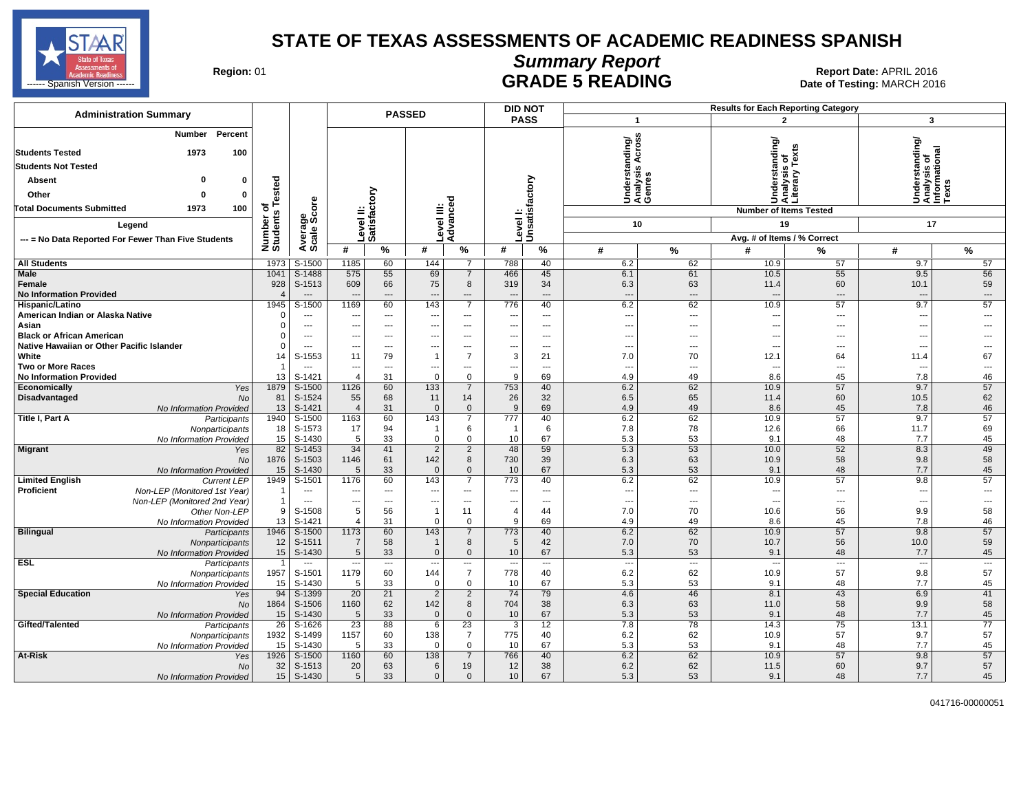

# **Summary Report**

Region: 01 **Region: 01 CONTRIGE 5 READING Report Date: APRIL 2016 Region: 01 Report Date: APRIL 2016** 

| <b>Administration Summary</b>                                     | <b>PASSED</b>             |                          |                          |                          |                          |                               | <b>DID NOT</b>           |                          |                                |                          |                          | <b>Results for Each Reporting Category</b>      |                                                                      |                          |
|-------------------------------------------------------------------|---------------------------|--------------------------|--------------------------|--------------------------|--------------------------|-------------------------------|--------------------------|--------------------------|--------------------------------|--------------------------|--------------------------|-------------------------------------------------|----------------------------------------------------------------------|--------------------------|
|                                                                   |                           |                          |                          |                          |                          |                               | <b>PASS</b>              |                          | $\overline{1}$                 |                          |                          | $\overline{2}$                                  | $\overline{\mathbf{3}}$                                              |                          |
| <b>Number</b><br>Percent<br>1973<br>100<br><b>Students Tested</b> |                           |                          |                          |                          |                          |                               |                          |                          | anding/<br>Acro:               |                          |                          | Understanding/<br>Analysis of<br>Literary Texts | rstanding/<br>Understanding<br>Analysis of<br>Informational<br>Texts |                          |
| <b>Students Not Tested</b>                                        |                           |                          |                          |                          |                          |                               |                          |                          | <b>SC</b>                      |                          |                          |                                                 |                                                                      |                          |
| o<br>Absent<br>$\mathbf 0$                                        |                           |                          |                          |                          |                          |                               |                          |                          | Understa<br>Analysis<br>Genres |                          |                          |                                                 |                                                                      |                          |
| Other<br>$\Omega$<br>$\mathbf 0$                                  | sted                      |                          |                          | δ                        |                          |                               |                          | factory                  |                                |                          |                          |                                                 |                                                                      |                          |
| 1973<br>100<br>Total Documents Submitted                          |                           |                          | ≝                        | ā                        | Ξ                        | 공                             |                          |                          |                                |                          |                          | <b>Number of Items Tested</b>                   |                                                                      |                          |
| Legend                                                            |                           | ige<br>Score             |                          |                          |                          | Advanc                        |                          | Unsatisf                 | 10                             |                          |                          | 19                                              | 17                                                                   |                          |
|                                                                   |                           |                          |                          | Level I<br>Satisfa       | evel                     |                               | evel                     |                          |                                |                          |                          | Avg. # of Items / % Correct                     |                                                                      |                          |
| --- = No Data Reported For Fewer Than Five Students               | Number of<br>Students Tes | Averare<br>Scale         | #                        | %                        | #                        | %                             | #                        | %                        | #                              | %                        | #                        | ℅                                               | #                                                                    | %                        |
| <b>All Students</b>                                               | 1973                      | S-1500                   | 1185                     | 60                       | 144                      | $\overline{7}$                | 788                      | 40                       | 6.2                            | 62                       | 10.9                     | 57                                              | 9.7                                                                  | 57                       |
| Male                                                              | 1041                      | S-1488                   | 575                      | 55                       | 69                       | $\overline{7}$                | 466                      | 45                       | 6.1                            | 61                       | 10.5                     | 55                                              | 9.5                                                                  | 56                       |
| Female                                                            | 928                       | S-1513                   | 609                      | 66                       | 75                       | 8                             | 319                      | 34                       | 6.3                            | 63                       | 11.4                     | 60                                              | 10.1                                                                 | 59                       |
| <b>No Information Provided</b>                                    |                           | $---$                    | $\overline{a}$           | $\overline{\phantom{a}}$ | $\overline{a}$           | $---$                         |                          | $---$                    | $\overline{a}$                 | $\overline{a}$           |                          | ---                                             | $\overline{\phantom{a}}$                                             | $---$                    |
| Hispanic/Latino                                                   | 1945                      | S-1500                   | 1169                     | 60                       | 143                      | $\overline{7}$                | 776                      | 40                       | 6.2                            | 62                       | 10.9                     | 57                                              | 9.7                                                                  | 57                       |
| American Indian or Alaska Native                                  | $\Omega$                  | $\overline{\phantom{a}}$ | ---                      | ---                      | $\overline{\phantom{a}}$ | $\cdots$                      | $\overline{\phantom{a}}$ | $\overline{a}$           | $\overline{\phantom{a}}$       | $\overline{\phantom{a}}$ | $\overline{\phantom{a}}$ | ---                                             | ---                                                                  | $\overline{\phantom{a}}$ |
| Asian                                                             | $\Omega$                  | $---$                    | ---                      | $---$                    | ---                      | $---$                         | ---                      | $---$                    | ---                            | $---$                    | $\overline{\phantom{a}}$ | ---                                             | ---                                                                  |                          |
| <b>Black or African American</b>                                  | $\Omega$                  | ---                      | ---                      | ---                      | ---                      | ---                           | ---                      | $\overline{\phantom{a}}$ | $\overline{\phantom{a}}$       | ---                      | $\overline{\phantom{a}}$ | ---                                             |                                                                      |                          |
| Native Hawaiian or Other Pacific Islander                         | $\Omega$                  | $---$                    | ---                      | $\hspace{0.05cm} \ldots$ | ---                      | $\cdots$                      | ---                      | ---                      | ---                            | $\hspace{0.05cm} \ldots$ | $\sim$                   | ---                                             | $\overline{a}$                                                       | $---$                    |
| White                                                             | 14                        | S-1553                   | 11                       | 79                       | $\overline{1}$           | $\overline{7}$                | 3                        | 21                       | 7.0                            | 70                       | 12.1                     | 64                                              | 11.4                                                                 | 67                       |
| <b>Two or More Races</b>                                          | $\mathbf 1$               | $\overline{\phantom{a}}$ | ---                      | ---                      | ---                      | $\qquad \qquad \cdots$        | $\hspace{0.05cm} \ldots$ | $\overline{a}$           | ---                            | ---                      | $\overline{\phantom{a}}$ | ---                                             | ---                                                                  | ---                      |
| <b>No Information Provided</b>                                    | 13                        | S-1421                   | $\overline{4}$           | 31                       | $\mathbf 0$              | $\mathbf 0$<br>$\overline{7}$ | 9                        | 69                       | 4.9                            | 49                       | 8.6                      | 45<br>57                                        | 7.8<br>9.7                                                           | 46<br>57                 |
| Economically<br>Yes<br><b>Disadvantaged</b><br><b>No</b>          | 1879<br>81                | S-1500<br>S-1524         | 1126<br>55               | 60<br>68                 | 133<br>11                |                               | 753<br>26                | 40<br>32                 | 6.2<br>6.5                     | 62<br>65                 | 10.9<br>11.4             | 60                                              | 10.5                                                                 | 62                       |
| No Information Provided                                           | 13                        | S-1421                   | $\overline{4}$           | 31                       | $\overline{0}$           | 14<br>$\Omega$                | 9                        | 69                       | 4.9                            | 49                       | 8.6                      | 45                                              | 7.8                                                                  | 46                       |
| Title I, Part A<br>Participants                                   | 1940                      | S-1500                   | 1163                     | 60                       | 143                      | $\overline{7}$                | 777                      | 40                       | 6.2                            | 62                       | 10.9                     | 57                                              | 9.7                                                                  | 57                       |
| Nonparticipants                                                   | 18                        | S-1573                   | 17                       | 94                       | -1                       | 6                             | $\overline{1}$           | 6                        | 7.8                            | 78                       | 12.6                     | 66                                              | 11.7                                                                 | 69                       |
| No Information Provided                                           | 15                        | S-1430                   | 5                        | 33                       | $\mathbf 0$              | $\Omega$                      | 10                       | 67                       | 5.3                            | 53                       | 9.1                      | 48                                              | 7.7                                                                  | 45                       |
| <b>Migrant</b><br>Yes                                             | 82                        | $S-1453$                 | 34                       | 41                       | $\overline{2}$           | $\overline{2}$                | 48                       | 59                       | 5.3                            | 53                       | 10.0                     | 52                                              | 8.3                                                                  | 49                       |
| <b>No</b>                                                         | 1876                      | S-1503                   | 1146                     | 61                       | 142                      | 8                             | 730                      | 39                       | 6.3                            | 63                       | 10.9                     | 58                                              | 9.8                                                                  | 58                       |
| No Information Provided                                           | 15                        | S-1430                   | 5                        | 33                       | $\Omega$                 | $\Omega$                      | 10                       | 67                       | 5.3                            | 53                       | 9.1                      | 48                                              | 7.7                                                                  | 45                       |
| <b>Limited English</b><br><b>Current LEP</b>                      | 1949                      | S-1501                   | 1176                     | 60                       | 143                      | $\overline{7}$                | 773                      | 40                       | 6.2                            | 62                       | 10.9                     | 57                                              | 9.8                                                                  | 57                       |
| <b>Proficient</b><br>Non-LEP (Monitored 1st Year)                 | -1                        | ---                      | ---                      | ---                      | ---                      | ---                           | ---                      | ---                      | $\overline{\phantom{a}}$       | ---                      | $\overline{\phantom{a}}$ | ---                                             | ---                                                                  | $\overline{a}$           |
| Non-LEP (Monitored 2nd Year)                                      | $\mathbf{1}$              | ---                      | ---                      | ---                      | ---                      | $\overline{\phantom{a}}$      | ---                      | ---                      | $\overline{\phantom{a}}$       | $\overline{\phantom{a}}$ | $\overline{\phantom{a}}$ | ---                                             | ---                                                                  | $\overline{\phantom{a}}$ |
| Other Non-LEP                                                     | 9                         | S-1508                   | 5                        | 56                       | $\overline{1}$           | 11                            | $\overline{4}$           | 44                       | 7.0                            | 70                       | 10.6                     | 56                                              | 9.9                                                                  | 58                       |
| No Information Provided                                           | 13<br>1946                | S-1421                   | $\overline{4}$           | 31                       | $\mathbf 0$              | $\mathbf 0$<br>$\overline{7}$ | 9                        | 69                       | 4.9                            | 49                       | 8.6                      | 45<br>57                                        | 7.8<br>9.8                                                           | 46                       |
| <b>Bilingual</b><br>Participants<br>Nonparticipants               | 12                        | S-1500<br>S-1511         | 1173<br>$\overline{7}$   | 60<br>58                 | 143                      | 8                             | 773<br>5                 | 40<br>42                 | 6.2<br>7.0                     | 62<br>70                 | 10.9<br>10.7             | 56                                              | 10.0                                                                 | 57<br>59                 |
| <b>No Information Provided</b>                                    | 15                        | S-1430                   | 5                        | 33                       | $\overline{0}$           | $\mathbf{0}$                  | 10                       | 67                       | 5.3                            | 53                       | 9.1                      | 48                                              | 7.7                                                                  | 45                       |
| <b>ESL</b><br>Participants                                        | $\overline{1}$            | ---                      | $\overline{\phantom{a}}$ | $\overline{\phantom{a}}$ | $\overline{\phantom{a}}$ | $\cdots$                      | $\sim$                   | ---                      | $\sim$                         | $\overline{\phantom{a}}$ | $\overline{\phantom{a}}$ |                                                 | $\overline{\phantom{a}}$                                             | $\overline{\phantom{a}}$ |
| Nonparticipants                                                   | 1957                      | S-1501                   | 1179                     | 60                       | 144                      | $\overline{7}$                | 778                      | 40                       | 6.2                            | 62                       | 10.9                     | 57                                              | 9.8                                                                  | 57                       |
| No Information Provided                                           | 15                        | S-1430                   | 5                        | 33                       | $\mathbf 0$              | $\mathbf 0$                   | 10                       | 67                       | 5.3                            | 53                       | 9.1                      | 48                                              | 7.7                                                                  | 45                       |
| <b>Special Education</b><br>Yes                                   | 94                        | S-1399                   | 20                       | $\overline{21}$          | $\overline{2}$           | $\overline{2}$                | 74                       | 79                       | 4.6                            | 46                       | 8.1                      | 43                                              | 6.9                                                                  | 41                       |
| No                                                                | 1864                      | S-1506                   | 1160                     | 62                       | 142                      | 8                             | 704                      | 38                       | 6.3                            | 63                       | 11.0                     | 58                                              | 9.9                                                                  | 58                       |
| No Information Provided                                           | 15                        | S-1430                   | 5                        | 33                       | $\overline{0}$           | $\mathbf{0}$                  | 10                       | 67                       | 5.3                            | 53                       | 9.1                      | 48                                              | 7.7                                                                  | 45                       |
| Gifted/Talented<br>Participants                                   | $\overline{26}$           | S-1626                   | $\overline{23}$          | 88                       | 6                        | $\overline{23}$               | 3                        | 12                       | 7.8                            | 78                       | 14.3                     | $\overline{75}$                                 | 13.1                                                                 | $\overline{77}$          |
| Nonparticipants                                                   | 1932                      | S-1499                   | 1157                     | 60                       | 138                      | $\overline{7}$                | 775                      | 40                       | 6.2                            | 62                       | 10.9                     | 57                                              | 9.7                                                                  | 57                       |
| No Information Provideo                                           | 15                        | S-1430                   | 5                        | 33                       | $\Omega$                 | $\mathbf 0$                   | 10                       | 67                       | 5.3                            | 53                       | 9.1                      | 48                                              | 7.7                                                                  | 45                       |
| At-Risk<br>Yes                                                    | 1926                      | S-1500                   | 1160                     | 60                       | 138                      | $\overline{7}$                | 766                      | 40                       | 6.2                            | 62                       | 10.9                     | 57                                              | 9.8                                                                  | 57                       |
| No                                                                | 32                        | S-1513                   | 20                       | 63                       | 6                        | 19                            | 12                       | 38                       | 6.2                            | 62                       | 11.5                     | 60                                              | 9.7                                                                  | 57                       |
| No Information Provided                                           | 15                        | S-1430                   | 5                        | 33                       | $\overline{0}$           | $\mathbf{0}$                  | 10                       | 67                       | 5.3                            | 53                       | 9.1                      | 48                                              | 7.7                                                                  | 45                       |

041716-00000051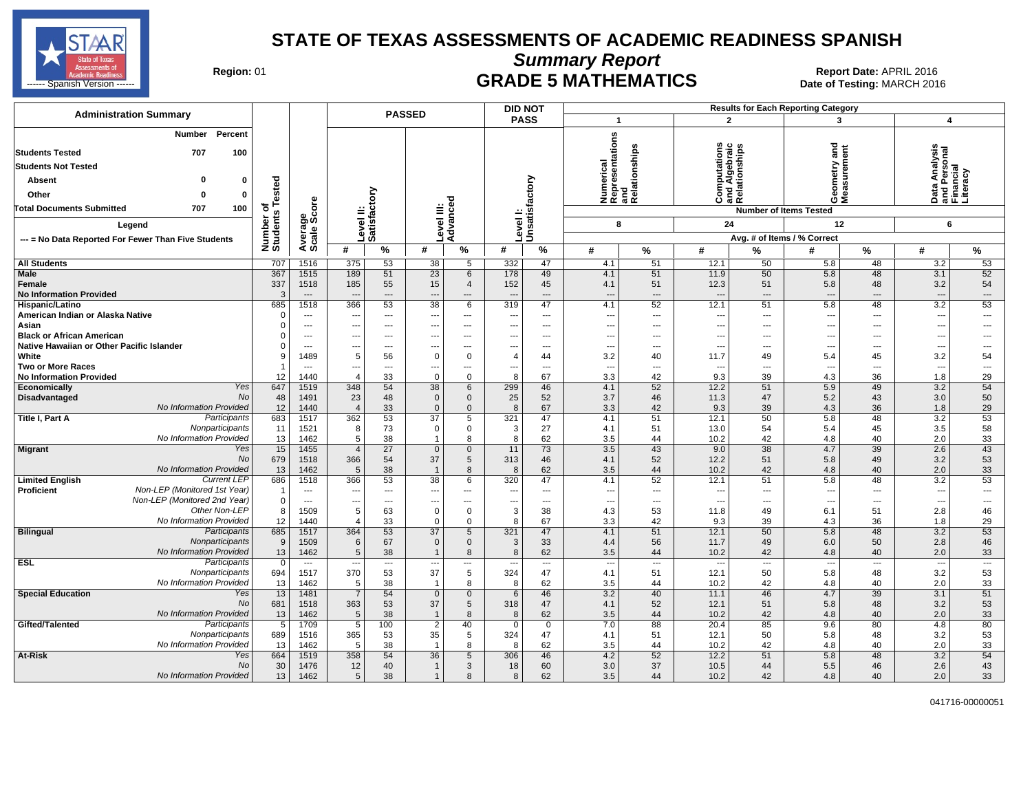

**Summary Report**

Region: 01 **Region: 01 Date: APRIL 2016**<br> **Date of Testing: MARCH 2016 Date of Testing: MARCH 2016** التابية المستشفى المستشفى المستشفى المستشفى المستشفى المستشفى المستشفى المستشفى المستشفى المستشفى المستشفى المستشفى المستشفى المستشفى المستشفى المستشفى المستشفى المستشفى المستشفى المستشفى المستشفى المستشفى المستشفى المستش

| <b>Administration Summary</b>                                                                                                                                                                                                                            |                                            |                          |                          |                           | <b>PASSED</b>   |                          |               | <b>DID NOT</b>           |                                                           |                                   |                                                                           |                          | <b>Results for Each Reporting Category</b>                                                          |                                                      |                                                             |                       |
|----------------------------------------------------------------------------------------------------------------------------------------------------------------------------------------------------------------------------------------------------------|--------------------------------------------|--------------------------|--------------------------|---------------------------|-----------------|--------------------------|---------------|--------------------------|-----------------------------------------------------------|-----------------------------------|---------------------------------------------------------------------------|--------------------------|-----------------------------------------------------------------------------------------------------|------------------------------------------------------|-------------------------------------------------------------|-----------------------|
|                                                                                                                                                                                                                                                          |                                            |                          |                          |                           |                 |                          |               | <b>PASS</b>              | $\overline{\mathbf{1}}$                                   |                                   | $\overline{2}$                                                            |                          | 3                                                                                                   |                                                      | $\overline{\mathbf{4}}$                                     |                       |
| Percent<br>Number<br><b>Students Tested</b><br>707<br>100<br><b>Students Not Tested</b><br>n<br>Absent<br>0<br>Other<br>0<br>$\Omega$<br><b>Total Documents Submitted</b><br>707<br>100<br>Legend<br>--- = No Data Reported For Fewer Than Five Students | sted<br>قة<br>৳<br>s<br>Number<br>Students | ge<br>Score<br>Average:  | =                        | Level II:<br>Satisfactory | Level III:      | Advanced                 | Level I:      | Unsatisfactory           | Numerical<br>Representations<br>and<br>Relationships<br>8 |                                   | ٤<br>$\mathbf{c}$<br>Computations<br>and Algebraic<br>Relationships<br>24 |                          | and<br>etry<br>e<br>Sas<br>ŎΣ<br><b>Number of Items Tested</b><br>12<br>Avg. # of Items / % Correct |                                                      | Data Analysis<br>and Personal<br>Financial<br>Literacy<br>6 |                       |
|                                                                                                                                                                                                                                                          |                                            |                          | #                        | %                         | #               | %                        | #             | $\%$                     | #                                                         | %                                 | #                                                                         | %                        | #                                                                                                   | %                                                    | #                                                           | %                     |
| <b>All Students</b>                                                                                                                                                                                                                                      | 707                                        | 1516                     | 375                      | 53                        | 38              | 5                        | 332           | 47                       | 4.1                                                       | 51                                | 12.1                                                                      | 50                       | 5.8                                                                                                 | 48                                                   | 3.2                                                         | 53                    |
| <b>Male</b>                                                                                                                                                                                                                                              | 367                                        | 1515                     | 189                      | 51                        | $\overline{23}$ | $6\phantom{1}$           | 178           | 49                       | 4.1                                                       | 51                                | 11.9                                                                      | 50                       | 5.8                                                                                                 | 48                                                   | 3.1                                                         | 52                    |
| Female                                                                                                                                                                                                                                                   | 337                                        | 1518                     | 185                      | 55                        | 15              | $\overline{4}$           | 152           | 45                       | 4.1                                                       | 51                                | 12.3                                                                      | 51                       | 5.8                                                                                                 | 48                                                   | 3.2                                                         | 54                    |
| <b>No Information Provided</b>                                                                                                                                                                                                                           | $\mathcal{B}$                              | $\hspace{0.05cm} \ldots$ | $\overline{\phantom{a}}$ | ---                       | ---             | ---                      |               | $\hspace{0.05cm} \ldots$ | ---                                                       | ---                               | $---$                                                                     | $\overline{\phantom{a}}$ | $\overline{\phantom{a}}$                                                                            | $\hspace{0.05cm} \cdots$                             | ---                                                         | ---                   |
| Hispanic/Latino                                                                                                                                                                                                                                          | 685                                        | 1518                     | 366                      | 53                        | 38              | 6                        | 319           | 47                       | 4.1                                                       | 52                                | 12.1                                                                      | 51                       | 5.8                                                                                                 | 48                                                   | $\overline{3.2}$                                            | 53                    |
| American Indian or Alaska Native                                                                                                                                                                                                                         |                                            | $\overline{\phantom{a}}$ |                          | ---                       |                 | $\overline{\phantom{a}}$ |               | $\overline{\phantom{a}}$ | ---                                                       | ---                               | ---                                                                       | $\overline{\phantom{a}}$ | $\overline{\phantom{a}}$                                                                            | $\overline{\phantom{a}}$                             | $\overline{a}$                                              | ---                   |
| Asian                                                                                                                                                                                                                                                    |                                            | $\hspace{0.05cm} \ldots$ | ---                      | $\qquad \qquad \cdots$    | ---             | $\overline{\phantom{a}}$ |               | $---$                    | ---                                                       | ---                               | ---                                                                       | $---$                    | $\overline{\phantom{a}}$                                                                            | ---                                                  | ---                                                         | ---                   |
| <b>Black or African American</b>                                                                                                                                                                                                                         |                                            | $---$                    | $---$                    | $---$                     | ---             | $---$                    | ---           | $---$                    | ---                                                       | $---$                             | $---$                                                                     | $---$                    | $\overline{\phantom{a}}$                                                                            | $- - -$                                              | ---                                                         | ---                   |
| Native Hawaiian or Other Pacific Islander<br>White                                                                                                                                                                                                       |                                            | $\overline{a}$<br>1489   | 5                        | ---                       |                 | $---$<br>$\mathbf 0$     |               | $---$                    | ---                                                       | ---                               | $\overline{\phantom{a}}$                                                  | $---$                    |                                                                                                     | $\overline{a}$                                       | ---                                                         | ---                   |
| <b>Two or More Races</b>                                                                                                                                                                                                                                 |                                            | $---$                    | $---$                    | 56<br>---                 | 0               | $\overline{\phantom{a}}$ | 4<br>---      | 44<br>$---$              | 3.2<br>$\overline{\phantom{a}}$                           | 40<br>---                         | 11.7<br>---                                                               | 49<br>$---$              | 5.4<br>$\ddotsc$                                                                                    | 45<br>$\overline{\phantom{a}}$                       | 3.2<br>---                                                  | 54<br>---             |
| <b>No Information Provided</b>                                                                                                                                                                                                                           | 12                                         | 1440                     | $\overline{4}$           | 33                        | ---<br>$\Omega$ | $\mathbf 0$              | 8             | 67                       | 3.3                                                       | 42                                | 9.3                                                                       | 39                       | 4.3                                                                                                 | 36                                                   | 1.8                                                         | 29                    |
| Yes<br>Economically                                                                                                                                                                                                                                      | 647                                        | 1519                     | 348                      | 54                        | 38              | $6\phantom{1}$           | 299           | 46                       | 4.1                                                       | 52                                | 12.2                                                                      | 51                       | 5.9                                                                                                 | 49                                                   | 3.2                                                         | 54                    |
| No<br>Disadvantaged                                                                                                                                                                                                                                      | 48                                         | 1491                     | 23                       | 48                        | $\mathbf 0$     | $\mathbf 0$              | 25            | 52                       | 3.7                                                       | 46                                | 11.3                                                                      | 47                       | 5.2                                                                                                 | 43                                                   | 3.0                                                         | 50                    |
| No Information Provided                                                                                                                                                                                                                                  | 12                                         | 1440                     | $\overline{4}$           | 33                        | $\mathbf 0$     | $\mathbf 0$              | 8             | 67                       | 3.3                                                       | 42                                | 9.3                                                                       | 39                       | 4.3                                                                                                 | 36                                                   | 1.8                                                         | 29                    |
| Participants<br>Title I, Part A                                                                                                                                                                                                                          | 683                                        | 1517                     | 362                      | 53                        | 37              | $5\overline{)}$          | 321           | 47                       | 4.1                                                       | 51                                | 12.1                                                                      | 50                       | 5.8                                                                                                 | 48                                                   | 3.2                                                         | 53                    |
| Nonparticipants                                                                                                                                                                                                                                          | 11                                         | 1521                     | 8                        | 73                        | 0               | $\mathbf 0$              | 3             | 27                       | 4.1                                                       | 51                                | 13.0                                                                      | 54                       | 5.4                                                                                                 | 45                                                   | 3.5                                                         | 58                    |
| No Information Provided                                                                                                                                                                                                                                  | 13                                         | 1462                     | 5                        | 38                        | $\mathbf{1}$    | 8                        | 8             | 62                       | 3.5                                                       | 44                                | 10.2                                                                      | 42                       | 4.8                                                                                                 | 40                                                   | 2.0                                                         | 33                    |
| Yes<br>Migrant                                                                                                                                                                                                                                           | 15                                         | 1455                     | $\overline{4}$           | $\overline{27}$           | $\mathbf{0}$    | $\mathbf 0$              | 11            | 73                       | 3.5                                                       | 43                                | 9.0                                                                       | 38                       | 4.7                                                                                                 | $\overline{39}$                                      | 2.6                                                         | 43                    |
| <b>No</b>                                                                                                                                                                                                                                                | 679                                        | 1518                     | 366                      | 54                        | 37              | 5                        | 313           | 46                       | 4.1                                                       | 52                                | 12.2                                                                      | 51                       | 5.8                                                                                                 | 49                                                   | 3.2                                                         | 53                    |
| No Information Provided                                                                                                                                                                                                                                  | 13                                         | 1462                     | 5                        | 38                        | $\mathbf{1}$    | 8                        | 8             | 62                       | 3.5                                                       | 44                                | 10.2                                                                      | 42                       | 4.8                                                                                                 | 40                                                   | 2.0                                                         | 33                    |
| <b>Current LEP</b><br><b>Limited English</b><br>Non-LEP (Monitored 1st Year)                                                                                                                                                                             | 686                                        | 1518                     | 366                      | 53                        | 38              | 6                        | 320           | 47                       | 4.1                                                       | 52                                | 12.1                                                                      | 51                       | 5.8                                                                                                 | 48                                                   | 3.2                                                         | 53                    |
| <b>Proficient</b><br>Non-LEP (Monitored 2nd Year)                                                                                                                                                                                                        | $\Omega$                                   | $---$<br>$\cdots$        | $\overline{\phantom{a}}$ | $---$<br>---              | ---             | $---$<br>$---$           | ---           | $---$<br>$---$           | ---<br>$\overline{\phantom{a}}$                           | $---$<br>$\overline{\phantom{a}}$ | $\sim$<br>---                                                             | $\sim$<br>$\overline{a}$ | $\overline{a}$<br>$\overline{\phantom{a}}$                                                          | $\overline{\phantom{a}}$<br>$\overline{\phantom{a}}$ | $\overline{a}$<br>$\overline{\phantom{a}}$                  | $\overline{a}$<br>--- |
| Other Non-LEP                                                                                                                                                                                                                                            | 8                                          | 1509                     | 5                        | 63                        | ---<br>0        | 0                        | 3             | 38                       | 4.3                                                       | 53                                | 11.8                                                                      | 49                       | 6.1                                                                                                 | 51                                                   | 2.8                                                         | 46                    |
| No Information Provided                                                                                                                                                                                                                                  | 12                                         | 1440                     | 4                        | 33                        | $\Omega$        | $\mathbf 0$              | 8             | 67                       | 3.3                                                       | 42                                | 9.3                                                                       | 39                       | 4.3                                                                                                 | 36                                                   | 1.8                                                         | 29                    |
| <b>Bilingual</b><br>Participants                                                                                                                                                                                                                         | 685                                        | 1517                     | 364                      | 53                        | 37              | 5                        | 321           | 47                       | 4.1                                                       | 51                                | 12.1                                                                      | 50                       | 5.8                                                                                                 | 48                                                   | 3.2                                                         | 53                    |
| Nonparticipants                                                                                                                                                                                                                                          | 9                                          | 1509                     | 6                        | 67                        | $\mathbf{0}$    | $\mathbf 0$              | 3             | 33                       | 4.4                                                       | 56                                | 11.7                                                                      | 49                       | 6.0                                                                                                 | 50                                                   | 2.8                                                         | 46                    |
| No Information Provided                                                                                                                                                                                                                                  | 13                                         | 1462                     | 5                        | 38                        |                 | 8                        | 8             | 62                       | 3.5                                                       | 44                                | 10.2                                                                      | 42                       | 4.8                                                                                                 | 40                                                   | 2.0                                                         | 33                    |
| <b>ESL</b><br>Participants                                                                                                                                                                                                                               | $\mathbf 0$                                | $\hspace{0.05cm} \ldots$ | $\overline{\phantom{a}}$ | $\hspace{0.05cm} \ldots$  | ---             | $\cdots$                 | ---           | $\scriptstyle\cdots$     | $\overline{\phantom{a}}$                                  | $\cdots$                          | $\hspace{0.05cm} \ldots$                                                  | $\hspace{0.05cm} \ldots$ | $\hspace{0.05cm} \cdots$                                                                            | $\hspace{0.05cm} \ldots$                             | $\overline{\phantom{a}}$                                    | $\ldots$              |
| Nonparticipants                                                                                                                                                                                                                                          | 694                                        | 1517                     | 370                      | 53                        | 37              | 5                        | 324           | 47                       | 4.1                                                       | 51                                | 12.1                                                                      | 50                       | 5.8                                                                                                 | 48                                                   | 3.2                                                         | 53                    |
| No Information Provided                                                                                                                                                                                                                                  | 13                                         | 1462                     | 5                        | 38                        |                 | 8                        | 8             | 62                       | 3.5                                                       | 44                                | 10.2                                                                      | 42                       | 4.8                                                                                                 | 40                                                   | 2.0                                                         | 33                    |
| <b>Special Education</b><br>Yes                                                                                                                                                                                                                          | 13                                         | 1481                     | $\overline{7}$           | 54                        | $\mathbf 0$     | $\mathbf 0$              | 6             | 46                       | 3.2                                                       | 40                                | 11.1                                                                      | 46                       | 4.7                                                                                                 | 39                                                   | 3.1                                                         | 51                    |
| <b>No</b>                                                                                                                                                                                                                                                | 681                                        | 1518                     | 363                      | 53                        | 37              | 5                        | 318           | 47                       | 4.1                                                       | 52                                | 12.1                                                                      | 51                       | 5.8                                                                                                 | 48                                                   | 3.2                                                         | 53                    |
| No Information Provided<br>Gifted/Talented<br><b>Participants</b>                                                                                                                                                                                        | 13<br>5                                    | 1462<br>1709             | 5<br>5                   | 38<br>100                 | $\overline{2}$  | 8<br>40                  | 8<br>$\Omega$ | 62<br>$\mathbf 0$        | 3.5<br>7.0                                                | 44<br>88                          | 10.2<br>20.4                                                              | 42<br>85                 | 4.8<br>9.6                                                                                          | 40<br>80                                             | 2.0<br>4.8                                                  | 33<br>80              |
| Nonparticipants                                                                                                                                                                                                                                          | 689                                        | 1516                     | 365                      | 53                        | 35              | 5                        | 324           | 47                       | 4.1                                                       | 51                                | 12.1                                                                      | 50                       | 5.8                                                                                                 | 48                                                   | 3.2                                                         | 53                    |
| No Information Provided                                                                                                                                                                                                                                  | 13                                         | 1462                     | 5                        | 38                        |                 | 8                        | 8             | 62                       | 3.5                                                       | 44                                | 10.2                                                                      | 42                       | 4.8                                                                                                 | 40                                                   | 2.0                                                         | 33                    |
| At-Risk<br>Yes                                                                                                                                                                                                                                           | 664                                        | 1519                     | 358                      | 54                        | 36              | $5\phantom{.0}$          | 306           | 46                       | 4.2                                                       | 52                                | 12.2                                                                      | 51                       | 5.8                                                                                                 | 48                                                   | 3.2                                                         | 54                    |
| No                                                                                                                                                                                                                                                       | 30                                         | 1476                     | 12                       | 40                        | 1               | 3                        | 18            | 60                       | 3.0                                                       | 37                                | 10.5                                                                      | 44                       | 5.5                                                                                                 | 46                                                   | 2.6                                                         | 43                    |
| No Information Provided                                                                                                                                                                                                                                  | 13                                         | 1462                     | 5                        | 38                        | $\mathbf{1}$    | 8                        | 8             | 62                       | 3.5                                                       | 44                                | 10.2                                                                      | 42                       | 4.8                                                                                                 | 40                                                   | 2.0                                                         | 33                    |

041716-00000051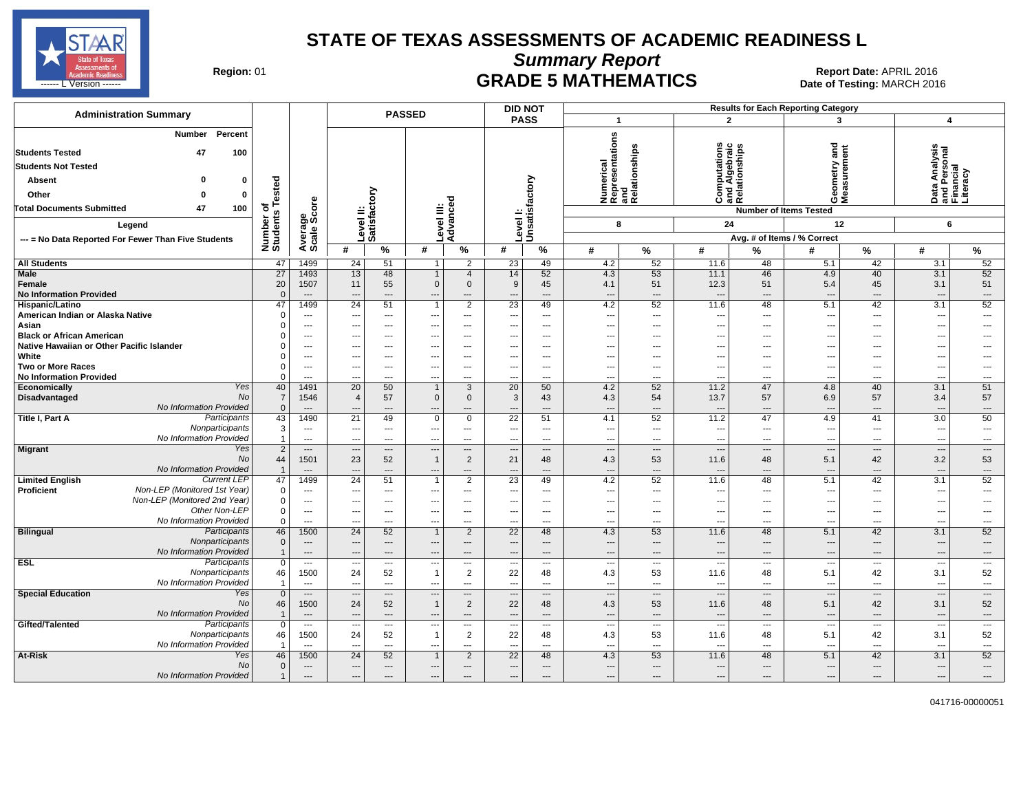

**Summary Report**

Region: 01 **Region: 01 Date: APRIL 2016**<br> **Date of Testing: MARCH 2016 Date of Testing: MARCH 2016** ------ L Version ------ MARCH 2016

| <b>Administration Summary</b>                                                                                     |                      |                                            |                                |                          | <b>PASSED</b>                            |                                                      | <b>DID NOT</b>                 |                                                      |                                 |                                                      |                                                                            |                              | <b>Results for Each Reporting Category</b> |                                |                                                             |                          |
|-------------------------------------------------------------------------------------------------------------------|----------------------|--------------------------------------------|--------------------------------|--------------------------|------------------------------------------|------------------------------------------------------|--------------------------------|------------------------------------------------------|---------------------------------|------------------------------------------------------|----------------------------------------------------------------------------|------------------------------|--------------------------------------------|--------------------------------|-------------------------------------------------------------|--------------------------|
|                                                                                                                   |                      |                                            |                                |                          |                                          |                                                      | <b>PASS</b>                    |                                                      | $\mathbf{1}$                    |                                                      |                                                                            | $\mathbf{2}$                 | 3                                          |                                | 4                                                           |                          |
| Percent<br>Number<br><b>Students Tested</b><br>47<br>100<br><b>Students Not Tested</b><br>n<br>Absent<br>$\Omega$ | sted                 |                                            |                                |                          |                                          |                                                      |                                |                                                      |                                 | Numerical<br>Representations<br>and<br>Relationships | utations<br>$\mathbf{c}$<br>Computations<br>and Algebraic<br>Relationships |                              | 로 돌<br>etry<br>Geomet<br>Measur            | 틇                              | w<br>Data Analysis<br>and Personal<br>Financial<br>Literacy |                          |
| Other<br>$\bf{0}$<br>$\Omega$                                                                                     | ة                    |                                            |                                | δ                        |                                          |                                                      |                                |                                                      |                                 |                                                      |                                                                            |                              |                                            |                                |                                                             |                          |
| 47<br>100<br><b>Total Documents Submitted</b>                                                                     | ৳<br>w               | ge<br>Score                                |                                |                          |                                          |                                                      |                                |                                                      |                                 |                                                      |                                                                            |                              | <b>Number of Items Tested</b>              |                                |                                                             |                          |
| Legend                                                                                                            | Number<br>Students   |                                            |                                | Level II:<br>Satisfacto  |                                          | Level III:<br>Advanced                               | <b>Level!</b>                  | Unsatisfactory                                       | 8                               |                                                      | 24                                                                         |                              | 12                                         |                                | 6                                                           |                          |
| --- = No Data Reported For Fewer Than Five Students                                                               |                      | Average:                                   |                                |                          |                                          |                                                      |                                |                                                      |                                 |                                                      |                                                                            |                              | Avg. # of Items / % Correct                |                                |                                                             |                          |
|                                                                                                                   |                      |                                            | #                              | %                        | #                                        | $\%$                                                 | #                              | %                                                    | #                               | %                                                    | #                                                                          | ℅                            | #                                          | %                              | #                                                           | %                        |
| <b>All Students</b>                                                                                               | 47                   | 1499                                       | 24                             | 51                       | 1                                        | $\overline{2}$                                       | 23                             | 49                                                   | 4.2                             | 52                                                   | 11.6                                                                       | 48                           | 5.1                                        | 42                             | 3.1                                                         | 52                       |
| Male                                                                                                              | $\overline{27}$      | 1493                                       | 13                             | 48                       |                                          | $\overline{4}$                                       | 14                             | 52                                                   | 4.3                             | 53                                                   | 11.1                                                                       | 46                           | 4.9                                        | 40                             | 3.1                                                         | 52                       |
| Female                                                                                                            | 20                   | 1507                                       | 11                             | 55                       | $\mathbf 0$                              | $\mathbf 0$                                          | 9                              | 45                                                   | 4.1                             | 51                                                   | 12.3                                                                       | 51                           | 5.4                                        | 45                             | 3.1                                                         | 51                       |
| <b>No Information Provided</b>                                                                                    | $\Omega$             | $---$                                      | ---                            | $\overline{\phantom{a}}$ | ---                                      | ---                                                  |                                | $\overline{\phantom{a}}$                             | ---                             | ---                                                  | $\overline{\phantom{a}}$                                                   | $\overline{a}$               | $\overline{\phantom{a}}$                   | ---                            | $---$                                                       | $\qquad \qquad \cdots$   |
| Hispanic/Latino                                                                                                   | 47                   | 1499                                       | 24                             | 51                       | $\mathbf{1}$                             | 2                                                    | 23                             | 49                                                   | 4.2                             | 52                                                   | 11.6                                                                       | 48                           | 5.1                                        | 42                             | 3.1                                                         | 52                       |
| American Indian or Alaska Native                                                                                  |                      | $\overline{\phantom{a}}$                   |                                | $\qquad \qquad \cdots$   |                                          | $\qquad \qquad \cdots$                               |                                | $\scriptstyle\cdots$                                 | $\overline{\phantom{a}}$        | ---                                                  |                                                                            | $\overline{\phantom{a}}$     | $\overline{\phantom{a}}$                   | ---                            | $\overline{\phantom{a}}$                                    | $\qquad \qquad \cdots$   |
| Asian                                                                                                             |                      | $\overline{\phantom{a}}$                   | $---$                          | $\qquad \qquad \cdots$   | ---                                      | $\overline{\phantom{a}}$                             |                                | $\scriptstyle\cdots$                                 | $\overline{\phantom{a}}$        | ---                                                  |                                                                            | ---                          | $\overline{\phantom{a}}$                   | ---                            | $\hspace{0.05cm} \ldots$                                    | ---                      |
| <b>Black or African American</b>                                                                                  |                      | $---$                                      | $---$                          | $---$                    | ---                                      | $---$                                                |                                | $---$                                                | ---                             | ---                                                  |                                                                            | ---                          | $\overline{\phantom{a}}$                   | $---$                          | $\overline{a}$                                              | $---$                    |
| Native Hawaiian or Other Pacific Islander<br>White                                                                |                      | $\overline{a}$<br>$\overline{\phantom{a}}$ |                                | ---<br>---               |                                          | $\overline{\phantom{a}}$<br>$\overline{\phantom{a}}$ |                                | $\overline{\phantom{a}}$<br>$\overline{\phantom{a}}$ | $\overline{\phantom{a}}$<br>--- | ---<br>---                                           |                                                                            | ---<br>---                   | $\overline{\phantom{a}}$                   | ---<br>---                     | ---                                                         | ---                      |
| <b>Two or More Races</b>                                                                                          | $\Omega$             | $\overline{\phantom{a}}$                   | $\overline{\phantom{a}}$       | $---$                    | ---                                      | $---$                                                | $\overline{\phantom{a}}$       | $---$                                                | ---                             | ---                                                  | ---                                                                        | ---                          | $\ddotsc$                                  | $---$                          | $\overline{\phantom{a}}$<br>$\overline{\phantom{a}}$        | ---                      |
| <b>No Information Provided</b>                                                                                    | $\Omega$             | $\overline{a}$                             | $\sim$                         | $\overline{a}$           | ---                                      | $\overline{a}$                                       |                                | $\overline{a}$                                       | ---                             | ---                                                  | $\overline{a}$                                                             | $---$                        | $\overline{\phantom{a}}$                   | $\overline{a}$                 | $\overline{a}$                                              | $\overline{a}$           |
| Yes<br>Economically                                                                                               | 40                   | 1491                                       | 20                             | 50                       | $\mathbf{1}$                             | 3                                                    | 20                             | 50                                                   | 4.2                             | 52                                                   | 11.2                                                                       | 47                           | 4.8                                        | 40                             | 3.1                                                         | 51                       |
| No<br>Disadvantaged                                                                                               | $\overline{7}$       | 1546                                       | $\overline{4}$                 | 57                       | $\mathbf 0$                              | $\mathbf 0$                                          | 3                              | 43                                                   | 4.3                             | 54                                                   | 13.7                                                                       | 57                           | 6.9                                        | 57                             | 3.4                                                         | 57                       |
| No Information Provided                                                                                           | $\mathbf{0}$         | $\overline{\phantom{a}}$                   |                                | ---                      |                                          |                                                      |                                | ---                                                  | ---                             | ---                                                  | $\overline{\phantom{a}}$                                                   | ---                          |                                            | $\overline{\phantom{a}}$       | $\overline{\phantom{a}}$                                    | ---                      |
| Participants<br>Title I, Part A                                                                                   | 43                   | 1490                                       | 21                             | 49                       | $\mathbf 0$                              | $\overline{0}$                                       | 22                             | 51                                                   | 4.1                             | 52                                                   | 11.2                                                                       | 47                           | 4.9                                        | 41                             | $\overline{3.0}$                                            | 50                       |
| Nonparticipants                                                                                                   | 3                    | $\sim$                                     | $---$                          | $---$                    | $---$                                    | $---$                                                | $\sim$                         | $\sim$                                               | $\overline{a}$                  | $\overline{\phantom{a}}$                             | ---                                                                        | $---$                        | $\overline{\phantom{a}}$                   | $\overline{\phantom{a}}$       | $---$                                                       | $\sim$                   |
| No Information Provided                                                                                           | $\mathbf{1}$         | $---$                                      |                                | $\overline{\phantom{a}}$ | ---                                      | $\overline{\phantom{a}}$                             |                                | $\overline{\phantom{a}}$                             | $\overline{\phantom{a}}$        | ---                                                  | ---                                                                        | ---                          | $\overline{\phantom{a}}$                   | ---                            | $\qquad \qquad \cdots$                                      | ---                      |
| Yes<br><b>Migrant</b>                                                                                             | 2                    | $---$                                      | $\overline{\phantom{a}}$       | $---$                    | ---                                      | $\cdots$                                             |                                | $\cdots$                                             | ---                             | $\overline{\phantom{a}}$                             | $\overline{\phantom{a}}$                                                   | $\overline{a}$               | $\overline{\phantom{a}}$                   | ---                            | $\cdots$                                                    | $\overline{\phantom{a}}$ |
| <b>No</b>                                                                                                         | 44                   | 1501                                       | 23                             | 52                       | $\mathbf{1}$                             | $\overline{2}$                                       | 21                             | 48                                                   | 4.3                             | 53                                                   | 11.6                                                                       | 48                           | 5.1                                        | 42                             | 3.2                                                         | 53                       |
| No Information Provided<br><b>Current LEP</b>                                                                     | $\overline{1}$<br>47 | $\overline{\phantom{a}}$<br>1499           | 24                             | $\overline{a}$<br>51     | 1                                        | $---$                                                |                                | $---$                                                | ---<br>4.2                      | ---<br>52                                            | $\overline{\phantom{a}}$<br>11.6                                           | ---                          | $\overline{\phantom{a}}$                   | $\overline{\phantom{a}}$<br>42 | ---<br>3.1                                                  | ---<br>52                |
| <b>Limited English</b><br>Non-LEP (Monitored 1st Year)<br>Proficient                                              | $\Omega$             | $---$                                      | $\overline{a}$                 | $---$                    | ---                                      | $\overline{2}$<br>$---$                              | 23<br>$\overline{\phantom{a}}$ | 49<br>$---$                                          | ---                             | $---$                                                | $\overline{a}$                                                             | 48<br>$\overline{a}$         | 5.1<br>$\overline{\phantom{a}}$            | $---$                          | $---$                                                       | $\overline{a}$           |
| Non-LEP (Monitored 2nd Year)                                                                                      | $\Omega$             | $\hspace{0.05cm} \cdots$                   |                                | $\overline{\phantom{a}}$ |                                          | $\overline{\phantom{a}}$                             |                                | $\overline{\phantom{a}}$                             | $\overline{\phantom{a}}$        | ---                                                  |                                                                            | ---                          | $\overline{\phantom{a}}$                   | ---                            | $\overline{\phantom{a}}$                                    | ---                      |
| Other Non-LEP                                                                                                     | 0                    | $---$                                      | $---$                          | $\overline{\phantom{a}}$ | ---                                      | $\overline{\phantom{a}}$                             | $- - -$                        | $---$                                                | ---                             | ---                                                  | ---                                                                        | $---$                        | $\overline{\phantom{a}}$                   | ---                            | $\hspace{0.05cm} \ldots$                                    | ---                      |
| No Information Provided                                                                                           | 0                    | $---$                                      | ---                            | $---$                    | ---                                      | $---$                                                | --                             | $---$                                                | ---                             | $\overline{\phantom{a}}$                             | ---                                                                        | $---$                        | ---                                        | $---$                          | $---$                                                       | $\sim$                   |
| <b>Bilingual</b><br>Participants                                                                                  | 46                   | 1500                                       | 24                             | 52                       |                                          | 2                                                    | 22                             | 48                                                   | 4.3                             | 53                                                   | 11.6                                                                       | 48                           | 5.1                                        | 42                             | 3.1                                                         | 52                       |
| Nonparticipants                                                                                                   | $\Omega$             | $\hspace{0.05cm} \ldots$                   | $\cdots$                       | $---$                    | ---                                      | $\cdots$                                             |                                | $---$                                                | ---                             | ---                                                  | ---                                                                        | $\qquad \qquad \cdots$       | $\overline{\phantom{a}}$                   | ---                            | $---$                                                       | $\cdots$                 |
| No Information Provided                                                                                           |                      | $---$                                      | $\overline{\phantom{a}}$       | $---$                    | $\overline{a}$                           | $---$                                                | --                             | $---$                                                | $\overline{\phantom{a}}$        | $---$                                                | $---$                                                                      | $---$                        | $\overline{\phantom{a}}$                   | $---$                          | $---$                                                       | $---$                    |
| <b>ESL</b><br>Participants                                                                                        | $\mathbf 0$          | $\hspace{0.05cm} \cdots$                   | $\overline{\phantom{a}}$       | $\cdots$                 | ---                                      | $\cdots$                                             | $\sim$                         | $\cdots$                                             | ---                             | $\hspace{0.05cm} \ldots$                             | $\overline{\phantom{a}}$                                                   | $\hspace{0.05cm} \ldots$     | $\overline{\phantom{a}}$                   | $\hspace{0.05cm} \ldots$       | $\scriptstyle\cdots$                                        | $\cdots$                 |
| Nonparticipants                                                                                                   | 46                   | 1500                                       | 24                             | 52                       | $\overline{1}$                           | 2                                                    | 22                             | 48                                                   | 4.3                             | 53                                                   | 11.6                                                                       | 48                           | 5.1                                        | 42                             | 3.1                                                         | 52                       |
| No Information Provided<br>Yes                                                                                    | -1                   | $---$                                      | $\overline{\phantom{a}}$       | $---$                    | $\overline{a}$                           | $---$                                                | $\overline{\phantom{a}}$       | $---$                                                | ---                             | ---                                                  | $\overline{\phantom{a}}$                                                   | $---$                        | $\overline{\phantom{a}}$                   | ---                            | $---$                                                       | $\hspace{0.05cm} \ldots$ |
| <b>Special Education</b><br><b>No</b>                                                                             | $\mathbf{0}$<br>46   | $\cdots$<br>1500                           | $\overline{\phantom{a}}$<br>24 | $---$<br>52              | $\overline{\phantom{a}}$<br>$\mathbf{1}$ | $\cdots$<br>2                                        | $\overline{\phantom{a}}$<br>22 | $\cdots$<br>48                                       | <br>4.3                         | ---<br>53                                            | $\overline{\phantom{a}}$<br>11.6                                           | $\qquad \qquad \cdots$<br>48 | ---<br>5.1                                 | $---$<br>42                    | $\hspace{0.05cm} \ldots$<br>3.1                             | $\cdots$<br>52           |
| No Information Provided                                                                                           | -1                   | $---$                                      | $\sim$                         | $---$                    | $---$                                    | $\overline{\phantom{a}}$                             | $\sim$                         | $\overline{a}$                                       | $\overline{\phantom{a}}$        | $---$                                                | $\overline{a}$                                                             | $\overline{a}$               | $\overline{\phantom{a}}$                   | $---$                          | $\overline{\phantom{a}}$                                    | $---$                    |
| Gifted/Talented<br>Participants                                                                                   | $\mathbf 0$          | $\overline{\phantom{a}}$                   | $\overline{\phantom{a}}$       | $\overline{\phantom{a}}$ | ---                                      | $\overline{\phantom{a}}$                             |                                | $\overline{\phantom{a}}$                             | $\overline{a}$                  | $\overline{\phantom{a}}$                             | ---                                                                        | $\overline{\phantom{a}}$     | ---                                        | ---                            | $\scriptstyle\cdots$                                        | $\overline{\phantom{a}}$ |
| Nonparticipants                                                                                                   | 46                   | 1500                                       | 24                             | 52                       | $\overline{1}$                           | $\overline{2}$                                       | 22                             | 48                                                   | 4.3                             | 53                                                   | 11.6                                                                       | 48                           | 5.1                                        | 42                             | 3.1                                                         | 52                       |
| No Information Provided                                                                                           |                      | $\sim$                                     | --                             | $\overline{a}$           | $- -$                                    | $\overline{a}$                                       | $\sim$                         | $\overline{a}$                                       | $\overline{a}$                  | $\overline{a}$                                       | $\overline{a}$                                                             | $\overline{a}$               | --                                         | $\overline{a}$                 | $\overline{a}$                                              | $\sim$                   |
| At-Risk<br>Yes                                                                                                    | 46                   | 1500                                       | 24                             | 52                       |                                          | $\overline{2}$                                       | 22                             | 48                                                   | 4.3                             | 53                                                   | 11.6                                                                       | 48                           | 5.1                                        | 42                             | 3.1                                                         | 52                       |
| No                                                                                                                | $\mathbf{0}$         | $---$                                      | ---                            | $\hspace{1.5cm} \dots$   | ---                                      | $---$                                                |                                | $---$                                                | ---                             | $---$                                                | $\overline{a}$                                                             | $---$                        | $\overline{\phantom{a}}$                   | $\overline{\phantom{a}}$       | $\overline{\phantom{a}}$                                    | $\hspace{0.05cm} \cdots$ |
| No Information Provided                                                                                           | $\mathbf{1}$         | $\overline{\phantom{a}}$                   | $\overline{\phantom{a}}$       | $\overline{\phantom{a}}$ | ---                                      | $---$                                                | ---                            | $\overline{\phantom{a}}$                             | ---                             | ---                                                  | $\hspace{1.5cm} \cdots$                                                    | ---                          | $\overline{\phantom{a}}$                   | $\overline{\phantom{a}}$       | $\overline{\phantom{a}}$                                    | $\overline{\phantom{a}}$ |

041716-00000051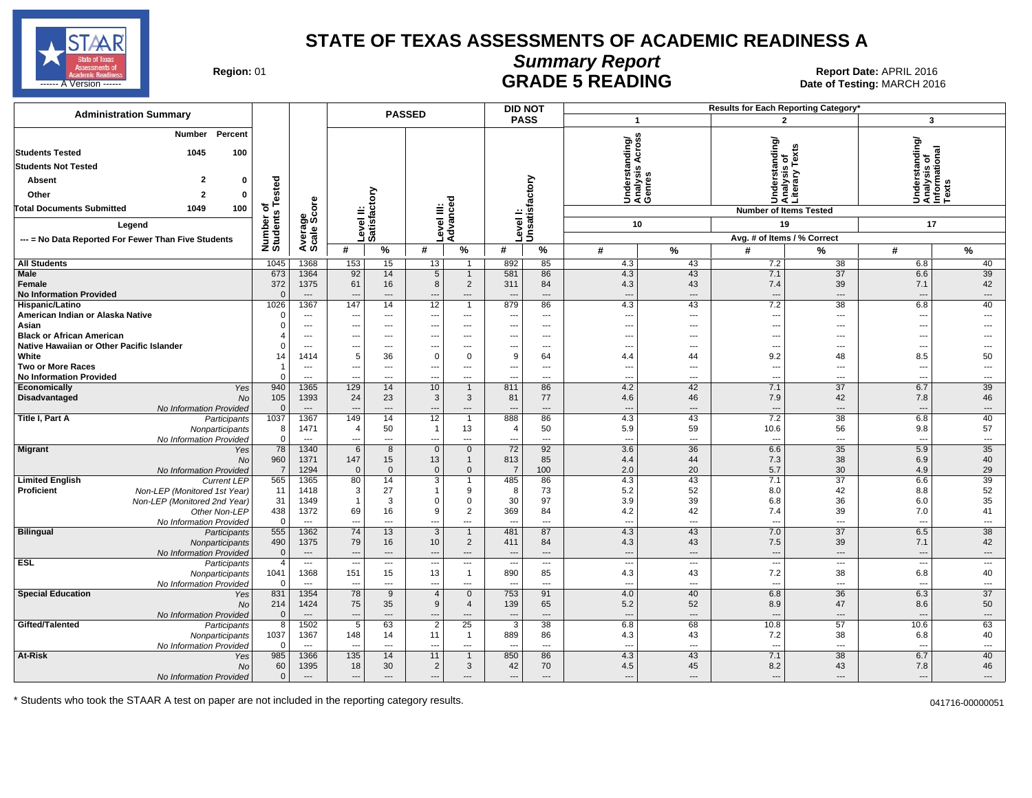

# **Summary Report**

Region: 01 **Region: 01 CONTRIGE 5 READING Report Date: APRIL 2016 Region: 01 Report Date: APRIL 2016** ------ A Version ------ MARCH 2016

| <b>Administration Summary</b>                                           | <b>PASSED</b>              |                                            |                    |                          |                       |                                  |                          | <b>DID NOT</b>                 |                                 |                                             | Results for Each Reporting Category' |                                |                                   |                                                            |
|-------------------------------------------------------------------------|----------------------------|--------------------------------------------|--------------------|--------------------------|-----------------------|----------------------------------|--------------------------|--------------------------------|---------------------------------|---------------------------------------------|--------------------------------------|--------------------------------|-----------------------------------|------------------------------------------------------------|
|                                                                         |                            |                                            |                    |                          |                       |                                  |                          | <b>PASS</b>                    |                                 | $\mathbf{1}$                                |                                      | $\mathbf{2}$                   |                                   | 3                                                          |
| Number<br>Percent                                                       |                            |                                            |                    |                          |                       |                                  |                          |                                |                                 | Jnderstanding/<br>\nalysis Across<br>∋enres |                                      |                                |                                   |                                                            |
| 1045<br>100<br><b>Students Tested</b>                                   |                            |                                            |                    |                          |                       |                                  |                          |                                |                                 |                                             |                                      |                                |                                   |                                                            |
| <b>Students Not Tested</b>                                              |                            |                                            |                    |                          |                       |                                  |                          |                                |                                 |                                             |                                      | ê                              |                                   |                                                            |
| $\overline{2}$<br>Absent<br>$\mathbf{0}$                                |                            |                                            |                    |                          |                       |                                  |                          |                                |                                 |                                             | nderstanding/<br>nalysis of          | ζã                             |                                   | Understanding/<br> Analysis of<br> Informational<br> Texts |
| Other<br>$\overline{2}$<br>$\mathbf 0$                                  | sted                       |                                            |                    | δ                        |                       |                                  |                          | actory                         |                                 |                                             | nder                                 |                                |                                   |                                                            |
| 100<br><b>Total Documents Submitted</b><br>1049                         | $\frac{5}{9}$              |                                            |                    |                          |                       | ठ                                |                          |                                |                                 | うそう                                         |                                      | S&š                            |                                   |                                                            |
|                                                                         |                            | ge<br>Score                                |                    | Level II:<br>Satisfact   | ≝                     | evel III<br>dvanc                |                          | Level I:<br>Unsatisf           |                                 |                                             |                                      | <b>Number of Items Tested</b>  |                                   |                                                            |
| Legend                                                                  |                            |                                            |                    |                          |                       |                                  |                          |                                |                                 | 10                                          |                                      | 19                             |                                   | 17                                                         |
| --- = No Data Reported For Fewer Than Five Students                     | Number<br>Students         | Avera<br>Scale                             |                    |                          |                       | ⋖                                |                          |                                |                                 |                                             |                                      | Avg. # of Items / % Correct    |                                   |                                                            |
|                                                                         |                            |                                            | #                  | $\%$                     | #                     | $\%$                             | #                        | %                              | #                               | %                                           | #                                    | %                              | #                                 | %                                                          |
| <b>All Students</b><br><b>Male</b>                                      | 1045<br>673                | 1368<br>1364                               | 153<br>92          | 15<br>14                 | 13<br>$5\overline{}$  | $\overline{1}$                   | 892<br>581               | 85<br>86                       | 4.3<br>4.3                      | 43<br>43                                    | 7.2<br>7.1                           | 38<br>$\overline{37}$          | 6.8<br>6.6                        | 40<br>39                                                   |
| Female                                                                  | 372                        | 1375                                       | 61                 | 16                       | 8                     | $\overline{1}$<br>$\overline{2}$ | 311                      | 84                             | 4.3                             | 43                                          | 7.4                                  | 39                             | 7.1                               | 42                                                         |
| <b>No Information Provided</b>                                          | $\Omega$                   | $\overline{a}$                             | $\overline{a}$     | ---                      | $\overline{a}$        | $\overline{a}$                   |                          | $---$                          | $\overline{\phantom{a}}$        | ---                                         | $\sim$                               | $\overline{\phantom{a}}$       | $\overline{\phantom{a}}$          | $---$                                                      |
| Hispanic/Latino                                                         | 1026                       | 1367                                       | 147                | 14                       | 12                    | $\overline{1}$                   | 879                      | 86                             | 4.3                             | 43                                          | 7.2                                  | $\overline{38}$                | 6.8                               | 40                                                         |
| American Indian or Alaska Native                                        | $\Omega$                   | $\overline{a}$                             | ---                | $\overline{a}$           | ---                   | $\cdots$                         | $\overline{\phantom{a}}$ | $\sim$                         | $---$                           | $\overline{a}$                              | $---$                                | $\sim$                         | $\overline{\phantom{a}}$          | ---                                                        |
| Asian                                                                   | $\Omega$                   | $\hspace{0.05cm} \ldots$                   | ---                | ---                      | ---                   | ---                              | ---                      | $\qquad \qquad -\qquad$        | $\overline{\phantom{a}}$        | ---                                         | ---                                  | ---                            | $\qquad \qquad \cdots$            | ---                                                        |
| <b>Black or African American</b>                                        | 4                          | $---$                                      | ---                | ---                      | ---                   | ---                              | ---                      | $---$                          | $\sim$                          | ---                                         | ---                                  | $\overline{a}$                 | $\overline{\phantom{a}}$          | $---$                                                      |
| Native Hawaiian or Other Pacific Islander                               | $\Omega$                   | $---$                                      | ---                | $\overline{a}$           | $\overline{a}$        | $---$                            | $-$                      | $---$                          | $\sim$                          | ---                                         | $\sim$                               | $\sim$                         | $---$                             | $\overline{a}$                                             |
| White                                                                   | 14                         | 1414                                       | 5                  | 36                       | $\overline{0}$        | $\mathbf 0$                      | 9                        | 64                             | 4.4                             | 44                                          | 9.2                                  | 48                             | 8.5                               | 50                                                         |
| <b>Two or More Races</b>                                                | $\overline{1}$<br>$\Omega$ | $\hspace{0.05cm} \ldots$<br>$\overline{a}$ | ---                | ---<br>---               | ---                   | $\overline{a}$<br>$---$          | ---<br>$\overline{a}$    | $\scriptstyle\cdots$<br>$---$  | $\overline{\phantom{a}}$        | ---<br>---                                  | ---                                  | $\overline{\phantom{a}}$       | $\overline{\phantom{a}}$<br>$---$ | ---<br>---                                                 |
| <b>No Information Provided</b><br>Economically<br>Yes                   | 940                        | 1365                                       | ---<br>129         | 14                       | ---<br>10             | $\overline{1}$                   | 811                      | 86                             | $\sim$<br>4.2                   | 42                                          | $\sim$<br>7.1                        | $\sim$<br>37                   | 6.7                               | 39                                                         |
| Disadvantaged<br>No                                                     | 105                        | 1393                                       | 24                 | 23                       | $\mathbf{3}$          | 3                                | 81                       | 77                             | 4.6                             | 46                                          | 7.9                                  | 42                             | 7.8                               | 46                                                         |
| No Information Provided                                                 | $\overline{0}$             | $\overline{a}$                             | ---                | $\overline{\phantom{a}}$ | ---                   | $---$                            | ---                      | $---$                          | $\overline{\phantom{a}}$        | $\overline{a}$                              | $\overline{\phantom{a}}$             | $---$                          | $---$                             | $---$                                                      |
| Title I, Part A<br>Participants                                         | 1037                       | 1367                                       | 149                | 14                       | 12                    | $\overline{1}$                   | 888                      | 86                             | 4.3                             | 43                                          | 7.2                                  | $\overline{38}$                | 6.8                               | 40                                                         |
| Nonparticipants                                                         | 8                          | 1471                                       | $\overline{4}$     | 50                       | $\overline{1}$        | 13                               | $\overline{4}$           | 50                             | 5.9                             | 59                                          | 10.6                                 | 56                             | 9.8                               | 57                                                         |
| No Information Provided                                                 | $\mathbf 0$                | $\overline{a}$                             | ---                | ---                      | ---                   | $---$                            | $\overline{a}$           | $---$                          | $\sim$                          | $\overline{a}$                              | $\overline{\phantom{a}}$             | $\sim$                         | $---$                             | ---                                                        |
| <b>Migrant</b><br>Yes                                                   | 78                         | 1340                                       | 6                  | 8                        | $\overline{0}$        | $\mathbf{0}$                     | $\overline{72}$          | 92                             | 3.6                             | $\overline{36}$                             | 6.6                                  | $\overline{35}$                | 5.9                               | 35                                                         |
| <b>No</b>                                                               | 960                        | 1371                                       | 147                | 15<br>$\overline{0}$     | 13<br>$\mathbf{0}$    | $\overline{1}$                   | 813<br>$\overline{7}$    | 85                             | 4.4                             | 44                                          | 7.3<br>5.7                           | 38                             | 6.9                               | 40<br>29                                                   |
| No Information Provided<br><b>Limited English</b><br><b>Current LEP</b> | $\overline{7}$<br>565      | 1294<br>1365                               | $\mathbf{0}$<br>80 | 14                       | 3                     | $\mathbf 0$<br>$\mathbf{1}$      | 485                      | 100<br>86                      | 2.0<br>4.3                      | 20<br>43                                    | 7.1                                  | 30<br>37                       | 4.9<br>6.6                        | 39                                                         |
| <b>Proficient</b><br>Non-LEP (Monitored 1st Year)                       | 11                         | 1418                                       | 3                  | 27                       | -1                    | 9                                | 8                        | 73                             | 5.2                             | 52                                          | 8.0                                  | 42                             | 8.8                               | 52                                                         |
| Non-LEP (Monitored 2nd Year)                                            | 31                         | 1349                                       | $\overline{1}$     | 3                        | $\Omega$              | $\mathbf 0$                      | 30                       | 97                             | 3.9                             | 39                                          | 6.8                                  | 36                             | 6.0                               | 35                                                         |
| Other Non-LEP                                                           | 438                        | 1372                                       | 69                 | 16                       | 9                     | $\overline{2}$                   | 369                      | 84                             | 4.2                             | 42                                          | 7.4                                  | 39                             | 7.0                               | 41                                                         |
| No Information Provided                                                 | $\mathbf 0$                | $\overline{\phantom{a}}$                   | ---                | ---                      | ---                   | ---                              |                          | $\overline{a}$                 | $\overline{\phantom{a}}$        | ---                                         | $\overline{\phantom{a}}$             | $\overline{\phantom{a}}$       | $\overline{\phantom{a}}$          | ---                                                        |
| <b>Bilingual</b><br>Participants                                        | 555                        | 1362                                       | $\overline{74}$    | $\overline{13}$          | $\overline{3}$        | $\overline{1}$                   | 481                      | 87                             | 4.3                             | 43                                          | 7.0                                  | $\overline{37}$                | 6.5                               | 38                                                         |
| Nonparticipants                                                         | 490                        | 1375                                       | 79                 | 16                       | 10                    | 2                                | 411                      | 84                             | 4.3                             | 43                                          | 7.5                                  | 39                             | 7.1                               | 42                                                         |
| No Information Provided                                                 | $\mathbf 0$                | $\qquad \qquad \cdots$                     | ---                | ---                      | ---                   | $\qquad \qquad \cdots$           | ---                      | $\cdots$                       | $\overline{\phantom{a}}$        | $\overline{a}$                              | $\overline{\phantom{a}}$             | $\overline{\phantom{a}}$       | $\overline{\phantom{a}}$          | $\overline{\phantom{a}}$                                   |
| <b>ESL</b><br>Participants<br>Nonparticipants                           | $\overline{4}$<br>1041     | $\hspace{0.05cm} \ldots$<br>1368           | ---<br>151         | ---<br>15                | ---<br>13             | ---<br>$\overline{1}$            | ---<br>890               | $\overline{\phantom{a}}$<br>85 | $\overline{\phantom{a}}$<br>4.3 | ---<br>43                                   | ---<br>7.2                           | $\overline{\phantom{a}}$<br>38 | $\overline{\phantom{a}}$<br>6.8   | $\cdots$<br>40                                             |
| No Information Provided                                                 | $\Omega$                   | $\overline{a}$                             | $\overline{a}$     | $\overline{a}$           | ---                   | $\overline{a}$                   |                          | $\overline{a}$                 | $\overline{\phantom{a}}$        | $\overline{a}$                              | $\sim$                               | $\overline{\phantom{a}}$       | $\overline{\phantom{a}}$          | $\overline{\phantom{a}}$                                   |
| <b>Special Education</b><br>Yes                                         | 831                        | 1354                                       | 78                 | 9                        | $\overline{4}$        | $\mathbf 0$                      | 753                      | 91                             | 4.0                             | 40                                          | 6.8                                  | 36                             | 6.3                               | 37                                                         |
| N <sub>O</sub>                                                          | 214                        | 1424                                       | 75                 | 35                       | 9                     | $\overline{4}$                   | 139                      | 65                             | 5.2                             | 52                                          | 8.9                                  | 47                             | 8.6                               | 50                                                         |
| No Information Provided                                                 | $\mathbf{0}$               | $\overline{\phantom{a}}$                   | ---                | ---                      | $\overline{a}$        | $\overline{a}$                   | $\overline{a}$           | $\overline{a}$                 | $\overline{\phantom{a}}$        | $\overline{a}$                              | $\sim$                               | $---$                          | $\overline{a}$                    | $---$                                                      |
| Gifted/Talented<br>Participants                                         | 8                          | 1502                                       | $\overline{5}$     | 63                       | $\overline{2}$        | $\overline{25}$                  | $\overline{3}$           | $\overline{38}$                | 6.8                             | 68                                          | 10.8                                 | 57                             | 10.6                              | 63                                                         |
| Nonparticipants                                                         | 1037                       | 1367                                       | 148                | 14                       | 11                    | $\overline{1}$                   | 889                      | 86                             | 4.3                             | 43                                          | 7.2                                  | 38                             | 6.8                               | 40                                                         |
| No Information Provided                                                 | $\Omega$                   | $\overline{\phantom{a}}$                   | $\sim$             | $\overline{a}$           | $\overline{a}$        | $---$                            | $\overline{\phantom{a}}$ | $\sim$                         | $\sim$                          | $\overline{a}$                              | $\sim$                               | $\sim$                         | $\overline{\phantom{a}}$          | $---$                                                      |
| At-Risk<br>Yes                                                          | 985                        | 1366                                       | 135                | 14                       | 11                    | $\overline{1}$                   | 850                      | 86                             | 4.3                             | 43                                          | 7.1                                  | 38                             | 6.7                               | 40                                                         |
| <b>No</b><br>No Information Provided                                    | 60<br>$\mathbf{0}$         | 1395<br>$\overline{a}$                     | 18<br>---          | 30<br>---                | $\overline{c}$<br>--- | 3<br>---                         | 42<br>---                | 70<br>$\overline{a}$           | 4.5<br>$\overline{\phantom{a}}$ | 45<br>---                                   | 8.2<br>$\overline{\phantom{a}}$      | 43<br>$\overline{a}$           | 7.8<br>$---$                      | 46<br>$---$                                                |
|                                                                         |                            |                                            |                    |                          |                       |                                  |                          |                                |                                 |                                             |                                      |                                |                                   |                                                            |

\* Students who took the STAAR A test on paper are not included in the reporting category results. 041716-00000051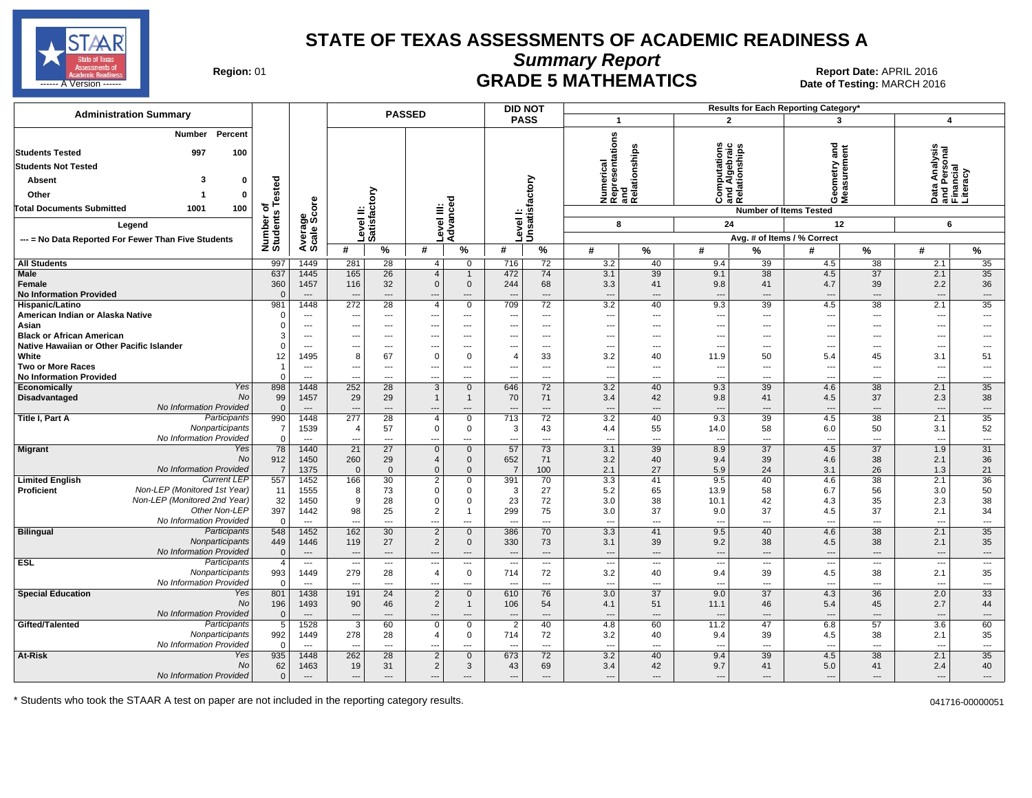

**Summary Report**

Region: 01 **Region: 01 Date: APRIL 2016**<br> **Date of Testing: MARCH 2016 Date of Testing: MARCH 2016** للمستقال المستقل المستقل المستقل المستقل المستقل المستقل المستقل المستقل المستقل المستقل المستقل المستقل المستقل المستقل المستقل المستقل المستقل المستقل المستقل المستقل المستقل المستقل المستقل المستقل المستقل المستقل المس

| <b>Administration Summary</b>                                                           |                       |                                            |                                 |                          | <b>PASSED</b>                 |                                            | <b>DID NOT</b>                  |                                   |                                                      |                |                                                             |                          | Results for Each Reporting Category' |                          |                                                 |                                |
|-----------------------------------------------------------------------------------------|-----------------------|--------------------------------------------|---------------------------------|--------------------------|-------------------------------|--------------------------------------------|---------------------------------|-----------------------------------|------------------------------------------------------|----------------|-------------------------------------------------------------|--------------------------|--------------------------------------|--------------------------|-------------------------------------------------|--------------------------------|
|                                                                                         |                       |                                            |                                 |                          |                               |                                            | <b>PASS</b>                     |                                   | $\overline{\mathbf{1}}$                              |                | $\overline{2}$                                              |                          | 3                                    |                          | 4                                               |                                |
| Percent<br>Number<br><b>Students Tested</b><br>997<br>100<br><b>Students Not Tested</b> |                       |                                            |                                 |                          |                               |                                            |                                 |                                   | Numerical<br>Representations<br>and<br>Relationships | elationships   | utations<br>횽                                               | ship<br>5                | ang<br>ang                           | 툽                        | w<br>Data Analysis<br>and Personal<br>Financial |                                |
| з                                                                                       |                       |                                            |                                 |                          |                               |                                            |                                 |                                   |                                                      |                | ō.                                                          | nd Alge<br>elation       | etry                                 |                          |                                                 |                                |
| Absent<br>O                                                                             | ested                 |                                            |                                 |                          |                               |                                            |                                 |                                   |                                                      |                | $\overline{\overline{\overline{5}}}\overline{\overline{2}}$ |                          | Geomet<br>Measure                    |                          |                                                 |                                |
| Other<br>0                                                                              |                       |                                            |                                 | ξ                        |                               |                                            |                                 |                                   |                                                      |                | ပိ နူ ဇို                                                   |                          |                                      |                          |                                                 |                                |
| <b>Total Documents Submitted</b><br>1001<br>100                                         | ৳                     | ge<br>Score                                | $\Rightarrow$                   |                          |                               |                                            |                                 |                                   |                                                      |                |                                                             |                          | <b>Number of Items Tested</b>        |                          |                                                 |                                |
| Legend                                                                                  |                       |                                            |                                 | evel II:<br>atisfacto    | Level III:                    | Advanced                                   | Level I:                        | Unsatisfactory                    | 8                                                    |                | 24                                                          |                          | 12                                   |                          | 6                                               |                                |
| --- = No Data Reported For Fewer Than Five Students                                     |                       | Average                                    |                                 | ۱Ő                       |                               |                                            |                                 |                                   |                                                      |                |                                                             |                          | Avg. # of Items / % Correct          |                          |                                                 |                                |
|                                                                                         | Number of<br>Students |                                            | #                               | $\%$                     | #                             | %                                          | #                               | %                                 | #                                                    | $\%$           | #                                                           | %                        | #                                    | %                        | #                                               | %                              |
| <b>All Students</b>                                                                     | 997                   | 1449                                       | 281                             | 28                       | 4                             | $\overline{0}$                             | 716                             | 72                                | 3.2                                                  | 40             | 9.4                                                         | 39                       | 4.5                                  | 38                       | 2.1                                             | 35                             |
| Male                                                                                    | 637                   | 1445                                       | 165                             | 26                       | $\overline{4}$                | $\mathbf{1}$                               | 472                             | 74                                | 3.1                                                  | 39             | 9.1                                                         | 38                       | 4.5                                  | $\overline{37}$          | 2.1                                             | 35                             |
| Female                                                                                  | 360                   | 1457                                       | 116                             | 32                       | $\mathbf{0}$                  | $\mathbf 0$                                | 244                             | 68                                | 3.3                                                  | 41             | 9.8                                                         | 41                       | 4.7                                  | 39                       | 2.2                                             | 36                             |
| <b>No Information Provided</b>                                                          | $\Omega$              | $\overline{\phantom{a}}$                   | $\overline{\phantom{a}}$        | $\overline{\phantom{a}}$ |                               | ---                                        |                                 | $\overline{\phantom{a}}$          | ---                                                  | ---            | ---                                                         | ---                      |                                      | $\overline{\phantom{a}}$ | $\overline{a}$                                  | $\overline{\phantom{a}}$       |
| Hispanic/Latino                                                                         | 981                   | 1448                                       | 272                             | 28                       | $\overline{4}$                | $\mathbf{0}$                               | 709                             | 72                                | 3.2                                                  | 40             | 9.3                                                         | 39                       | 4.5                                  | 38                       | 2.1                                             | 35                             |
| American Indian or Alaska Native                                                        |                       | $\overline{\phantom{a}}$                   | ---                             | $\overline{\phantom{a}}$ | ---                           | $\overline{\phantom{a}}$                   |                                 | $\scriptstyle\cdots$              | $\overline{\phantom{a}}$                             | ---            | ---                                                         | $\overline{\phantom{a}}$ | $\overline{\phantom{a}}$             | ---                      | $\hspace{0.05cm} \ldots$                        | ---                            |
| Asian                                                                                   |                       | $\overline{\phantom{a}}$                   | $---$                           | $---$                    | ---                           | $---$                                      | ---                             | $---$                             | ---                                                  | ---            | $---$                                                       | ---                      | $\ddotsc$                            | ---                      | $\overline{\phantom{a}}$                        | ---                            |
| <b>Black or African American</b><br>Native Hawaiian or Other Pacific Islander           |                       | $\overline{a}$<br>$\overline{\phantom{a}}$ |                                 | $---$<br>---             |                               | $\overline{a}$<br>$\overline{\phantom{a}}$ |                                 | $---$<br>$\overline{\phantom{a}}$ | ---                                                  | ---            |                                                             | ---<br>$\overline{a}$    | $\overline{a}$                       | $\overline{a}$<br>---    | $\overline{a}$                                  | $\overline{a}$<br>---          |
| White                                                                                   | 12                    | 1495                                       | ---<br>8                        | 67                       | ---<br>$\Omega$               | $\mathbf 0$                                |                                 | 33                                | $\overline{\phantom{a}}$<br>3.2                      | ---<br>40      | ---<br>11.9                                                 | 50                       | $\overline{\phantom{a}}$<br>5.4      | 45                       | $\scriptstyle\cdots$<br>3.1                     | 51                             |
| <b>Two or More Races</b>                                                                |                       | $---$                                      | $---$                           | $\overline{a}$           | ---                           | $\overline{a}$                             |                                 | $---$                             | ---                                                  | ---            | $\sim$                                                      | ---                      | $\overline{\phantom{a}}$             | $\overline{a}$           | $---$                                           | $\overline{a}$                 |
| <b>No Information Provided</b>                                                          | $\Omega$              | $\overline{\phantom{a}}$                   | ---                             | ---                      | ---                           |                                            |                                 | $\overline{\phantom{a}}$          | $\overline{\phantom{a}}$                             | ---            | ---                                                         | ---                      | $\overline{\phantom{a}}$             | ---                      | $\overline{a}$                                  | ---                            |
| Yes<br>Economically                                                                     | 898                   | 1448                                       | 252                             | 28                       | 3                             | $\mathbf 0$                                | 646                             | 72                                | 3.2                                                  | 40             | 9.3                                                         | 39                       | 4.6                                  | 38                       | 2.1                                             | 35                             |
| No<br>Disadvantaged                                                                     | 99                    | 1457                                       | 29                              | 29                       | $\mathbf{1}$                  | $\overline{1}$                             | 70                              | 71                                | 3.4                                                  | 42             | 9.8                                                         | 41                       | 4.5                                  | 37                       | 2.3                                             | 38                             |
| No Information Provided                                                                 | $\mathbf{0}$          | $---$                                      | $---$                           | $---$                    |                               | ---                                        |                                 | $---$                             | ---                                                  | ---            | $---$                                                       | ---                      | $\overline{\phantom{a}}$             | $---$                    | $---$                                           | $\cdots$                       |
| Participants<br>Title I, Part A                                                         | 990                   | 1448                                       | 277                             | 28                       | 4                             | $\mathbf 0$                                | 713                             | 72                                | 3.2                                                  | 40             | 9.3                                                         | 39                       | 4.5                                  | 38                       | 2.1                                             | 35                             |
| Nonparticipants                                                                         | $\overline{7}$        | 1539                                       | $\overline{4}$                  | 57                       | $\mathbf 0$                   | $\mathbf 0$                                | 3                               | 43                                | 4.4                                                  | 55             | 14.0                                                        | 58                       | 6.0                                  | 50                       | 3.1                                             | 52                             |
| No Information Provided                                                                 | $\mathbf 0$           | $\overline{\phantom{a}}$                   | ---                             | $\overline{\phantom{a}}$ | ---                           | ---                                        | $- - -$                         | $\overline{\phantom{a}}$          | ---                                                  | ---            | $\overline{\phantom{a}}$                                    | $\overline{a}$           | $\overline{\phantom{a}}$             | ---                      | $\overline{\phantom{a}}$                        | $\overline{\phantom{a}}$       |
| Yes<br><b>Migrant</b><br><b>No</b>                                                      | 78<br>912             | 1440<br>1450                               | 21<br>260                       | 27<br>29                 | $\mathbf 0$<br>$\overline{4}$ | $\mathbf 0$<br>$\mathbf 0$                 | 57<br>652                       | 73<br>71                          | 3.1<br>3.2                                           | 39<br>40       | 8.9<br>9.4                                                  | 37<br>39                 | 4.5<br>4.6                           | $\overline{37}$<br>38    | 1.9<br>2.1                                      | 31<br>36                       |
| No Information Provided                                                                 | $\overline{7}$        | 1375                                       | $\Omega$                        | $\mathbf{0}$             | $\Omega$                      | $\mathbf{0}$                               | $\overline{7}$                  | 100                               | 2.1                                                  | 27             | 5.9                                                         | 24                       | 3.1                                  | 26                       | 1.3                                             | 21                             |
| <b>Current LEP</b><br><b>Limited English</b>                                            | 557                   | 1452                                       | 166                             | 30                       | 2                             | $\mathbf 0$                                | 391                             | 70                                | 3.3                                                  | 41             | 9.5                                                         | 40                       | 4.6                                  | 38                       | 2.1                                             | 36                             |
| Non-LEP (Monitored 1st Year)<br><b>Proficient</b>                                       | 11                    | 1555                                       | 8                               | 73                       | 0                             | 0                                          | -3                              | 27                                | 5.2                                                  | 65             | 13.9                                                        | 58                       | 6.7                                  | 56                       | 3.0                                             | 50                             |
| Non-LEP (Monitored 2nd Year)                                                            | 32                    | 1450                                       | 9                               | 28                       | $\mathbf 0$                   | $\mathbf 0$                                | 23                              | 72                                | 3.0                                                  | 38             | 10.1                                                        | 42                       | 4.3                                  | 35                       | 2.3                                             | 38                             |
| Other Non-LEP                                                                           | 397                   | 1442                                       | 98                              | 25                       | $\overline{2}$                | $\mathbf{1}$                               | 299                             | 75                                | 3.0                                                  | 37             | 9.0                                                         | 37                       | 4.5                                  | 37                       | 2.1                                             | 34                             |
| No Information Provided                                                                 | $\Omega$              | $---$                                      | $\overline{a}$                  | $---$                    | ---                           | $\overline{a}$                             |                                 | $---$                             | ---                                                  | ---            | $\overline{a}$                                              | ---                      | $\overline{\phantom{a}}$             | $---$                    | $\overline{a}$                                  | $\overline{a}$                 |
| Participants<br><b>Bilingual</b>                                                        | 548                   | 1452                                       | 162                             | 30                       | $\overline{2}$                | $\mathbf{0}$                               | 386                             | 70                                | $\overline{3.3}$                                     | 41             | 9.5                                                         | 40                       | 4.6                                  | $\overline{38}$          | 2.1                                             | $\overline{35}$                |
| Nonparticipants                                                                         | 449                   | 1446                                       | 119                             | 27                       | $\overline{2}$                | $\mathbf 0$                                | 330                             | 73                                | 3.1                                                  | 39             | 9.2                                                         | 38                       | 4.5                                  | 38                       | 2.1                                             | 35                             |
| No Information Provided<br>Participants                                                 | $\Omega$              | $---$                                      | $\overline{\phantom{a}}$        | $---$                    |                               | $---$                                      |                                 | $---$                             | $\overline{a}$                                       | $\overline{a}$ | $\overline{a}$                                              | ---                      | $\overline{\phantom{a}}$             | $---$                    |                                                 | $\overline{\phantom{a}}$       |
| <b>ESL</b><br>Nonparticipants                                                           | $\overline{4}$<br>993 | $---$<br>1449                              | $\overline{\phantom{a}}$<br>279 | $---$<br>28              | ---<br>$\overline{4}$         | $\overline{\phantom{a}}$<br>$\mathbf 0$    | $\overline{\phantom{a}}$<br>714 | $---$<br>72                       | ---<br>3.2                                           | ---<br>40      | $\overline{\phantom{a}}$<br>9.4                             | $---$<br>39              | $\overline{\phantom{a}}$<br>4.5      | ---<br>38                | $\overline{\phantom{a}}$<br>2.1                 | $\overline{\phantom{a}}$<br>35 |
| No Information Provided                                                                 | $\Omega$              | $---$                                      | $\sim$                          | $---$                    | ---                           | $---$                                      |                                 | $---$                             | ---                                                  | $\overline{a}$ | $\overline{a}$                                              | $---$                    | $\overline{\phantom{a}}$             | $\overline{a}$           | $\overline{a}$                                  | $\sim$                         |
| <b>Special Education</b><br>Yes                                                         | 801                   | 1438                                       | 191                             | 24                       | $\overline{2}$                | $\mathbf{0}$                               | 610                             | 76                                | 3.0                                                  | 37             | 9.0                                                         | 37                       | 4.3                                  | 36                       | 2.0                                             | 33                             |
| No                                                                                      | 196                   | 1493                                       | 90                              | 46                       | $\overline{2}$                | $\mathbf{1}$                               | 106                             | 54                                | 4.1                                                  | 51             | 11.1                                                        | 46                       | 5.4                                  | 45                       | 2.7                                             | 44                             |
| No Information Provided                                                                 | $\mathbf{0}$          | $---$                                      | $---$                           | $\overline{\phantom{a}}$ | ---                           | $---$                                      |                                 | $\overline{\phantom{a}}$          | ---                                                  | ---            | $\overline{a}$                                              | $---$                    | $\overline{\phantom{a}}$             | $\overline{\phantom{a}}$ | $\overline{\phantom{a}}$                        | $\overline{\phantom{a}}$       |
| Gifted/Talented<br>Participants                                                         | 5                     | 1528                                       | 3                               | 60                       | $\mathbf 0$                   | $\mathbf 0$                                | $\overline{2}$                  | 40                                | 4.8                                                  | 60             | 11.2                                                        | 47                       | 6.8                                  | $\overline{57}$          | 3.6                                             | 60                             |
| Nonparticipants                                                                         | 992                   | 1449                                       | 278                             | 28                       | 4                             | $\mathbf 0$                                | 714                             | 72                                | 3.2                                                  | 40             | 9.4                                                         | 39                       | 4.5                                  | 38                       | 2.1                                             | 35                             |
| No Information Provided                                                                 | $\Omega$              | $\hspace{0.05cm} \cdots$                   | $\sim$                          | $\overline{\phantom{a}}$ | ---                           | $\overline{a}$                             |                                 | $\overline{\phantom{a}}$          | ---                                                  | $\overline{a}$ | $\overline{a}$                                              | $---$                    | $\overline{\phantom{a}}$             | ---                      | $\overline{a}$                                  | $\overline{\phantom{a}}$       |
| At-Risk<br>Yes                                                                          | 935                   | 1448                                       | 262                             | 28                       | $\overline{2}$                | $\mathbf{0}$                               | 673                             | 72                                | 3.2                                                  | 40             | 9.4                                                         | 39                       | 4.5                                  | 38                       | 2.1                                             | 35                             |
| No                                                                                      | 62                    | 1463                                       | 19                              | 31                       | $\overline{2}$                | 3                                          | 43                              | 69                                | 3.4                                                  | 42             | 9.7                                                         | 41                       | 5.0                                  | 41                       | 2.4                                             | 40                             |
| No Information Provided                                                                 | $\mathbf 0$           | $---$                                      | $---$                           | $---$                    | ---                           | $---$                                      |                                 | $---$                             | ---                                                  | $---$          | $\overline{a}$                                              | $---$                    | $\overline{\phantom{a}}$             | $---$                    | $\overline{\phantom{a}}$                        | $---$                          |

\* Students who took the STAAR A test on paper are not included in the reporting category results. 041716-00000051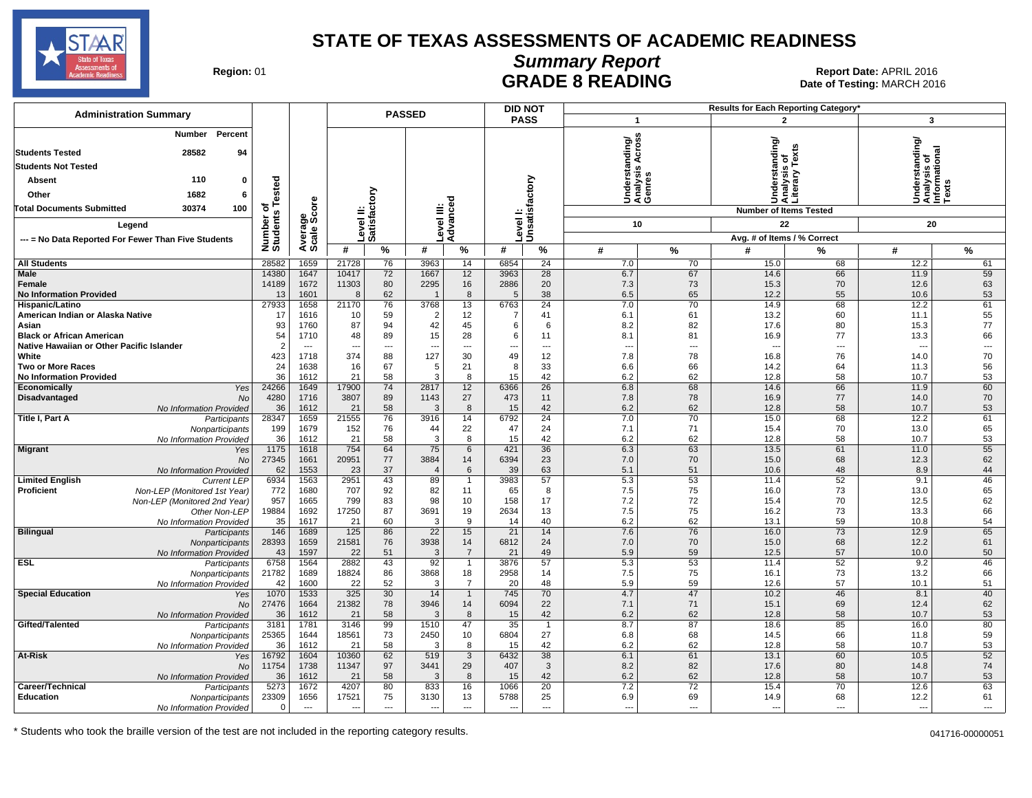

# **Summary Report**

Region: 01 **Region: 01 CONTRIGGLARGE 8 READING Report Date: APRIL 2016 Region: 01 Report Date: APRIL 2016** Date of Testing: MARCH 2016

| <b>Administration Summary</b>                               |                       |                          |                          |                          | <b>PASSED</b>        |                                  |                          | <b>DID NOT</b>             |                          |                                                       |              | <b>Results for Each Reporting Category</b>      |                                                        |                          |
|-------------------------------------------------------------|-----------------------|--------------------------|--------------------------|--------------------------|----------------------|----------------------------------|--------------------------|----------------------------|--------------------------|-------------------------------------------------------|--------------|-------------------------------------------------|--------------------------------------------------------|--------------------------|
|                                                             |                       |                          |                          |                          |                      |                                  |                          | <b>PASS</b>                | $\overline{1}$           |                                                       |              | $\overline{2}$                                  | 3                                                      |                          |
| Percent<br>Number                                           |                       |                          |                          |                          |                      |                                  |                          |                            |                          | °SS<br> Understanding/<br> Analysis Across<br> Genres |              | Understanding/<br>Analysis of<br>Literary Texts | rstanding/                                             |                          |
| 28582<br><b>Students Tested</b><br>94                       |                       |                          |                          |                          |                      |                                  |                          |                            |                          |                                                       |              |                                                 | Understanding<br>Analysis of<br>Informational<br>Texts |                          |
| <b>Students Not Tested</b>                                  |                       |                          |                          |                          |                      |                                  |                          |                            |                          |                                                       |              |                                                 |                                                        |                          |
| 110<br>$\mathbf 0$<br><b>Absent</b>                         |                       |                          |                          |                          |                      |                                  |                          |                            |                          |                                                       |              |                                                 |                                                        |                          |
| 1682<br>Other<br>6                                          | Tested                |                          |                          | š                        |                      |                                  |                          |                            |                          |                                                       |              |                                                 |                                                        |                          |
| 30374<br>100<br><b>Total Documents Submitted</b>            | ৳                     |                          |                          |                          |                      |                                  |                          |                            |                          |                                                       |              | <b>Number of Items Tested</b>                   |                                                        |                          |
| Legend                                                      |                       |                          |                          | Level II:<br>Satisfact   |                      | Level III:<br>Advanced           |                          | Level I:<br>Unsatisfactory |                          | 10                                                    |              | 22                                              | 20                                                     |                          |
|                                                             |                       |                          |                          |                          |                      |                                  |                          |                            |                          |                                                       |              | Avg. # of Items / % Correct                     |                                                        |                          |
| --- = No Data Reported For Fewer Than Five Students         | Number of<br>Students | Average<br>Scale Score   | #                        | $\%$                     | #                    | $\%$                             | #                        | %                          | #                        | $\%$                                                  | #            | %                                               | #                                                      | $\%$                     |
| <b>All Students</b>                                         | 28582                 | 1659                     | 21728                    | 76                       | 3963                 | 14                               | 6854                     | 24                         | 7.0                      | 70                                                    | 15.0         | 68                                              | 12.2                                                   | 61                       |
| Male                                                        | 14380                 | 1647                     | 10417                    | 72                       | 1667                 | 12                               | 3963                     | $\overline{28}$            | 6.7                      | 67                                                    | 14.6         | 66                                              | 11.9                                                   | 59                       |
| Female                                                      | 14189                 | 1672                     | 11303                    | 80                       | 2295                 | 16                               | 2886                     | 20                         | 7.3                      | 73                                                    | 15.3         | 70                                              | 12.6                                                   | 63                       |
| <b>No Information Provided</b>                              | 13                    | 1601                     | 8                        | 62                       |                      | 8                                | 5                        | 38                         | 6.5                      | 65                                                    | 12.2         | 55                                              | 10.6                                                   | 53                       |
| Hispanic/Latino                                             | 27933                 | 1658                     | 21170                    | 76                       | 3768                 | 13                               | 6763                     | 24                         | 7.0                      | 70                                                    | 14.9         | 68                                              | 12.2                                                   | 61                       |
| American Indian or Alaska Native<br>Asian                   | 17<br>93              | 1616<br>1760             | 10<br>87                 | 59<br>94                 | $\overline{2}$<br>42 | 12<br>45                         | $\overline{7}$<br>6      | 41<br>6                    | 6.1<br>8.2               | 61<br>82                                              | 13.2<br>17.6 | 60<br>80                                        | 11.1<br>15.3                                           | 55<br>77                 |
| <b>Black or African American</b>                            | 54                    | 1710                     | 48                       | 89                       | 15                   | 28                               | 6                        | 11                         | 8.1                      | 81                                                    | 16.9         | 77                                              | 13.3                                                   | 66                       |
| Native Hawaiian or Other Pacific Islander                   | $\overline{2}$        | $\overline{\phantom{a}}$ |                          | $\overline{\phantom{a}}$ | ---                  | $\overline{a}$                   | ---                      | $\overline{a}$             | $\overline{a}$           | $\overline{a}$                                        |              | Ξ.                                              |                                                        | $\overline{\phantom{a}}$ |
| White                                                       | 423                   | 1718                     | 374                      | 88                       | 127                  | 30                               | 49                       | 12                         | 7.8                      | 78                                                    | 16.8         | 76                                              | 14.0                                                   | 70                       |
| <b>Two or More Races</b>                                    | 24                    | 1638                     | 16                       | 67                       | 5                    | 21                               | 8                        | 33                         | 6.6                      | 66                                                    | 14.2         | 64                                              | 11.3                                                   | 56                       |
| <b>No Information Provided</b>                              | 36                    | 1612                     | 21                       | 58<br>$\overline{74}$    | 3                    | 8                                | 15                       | 42                         | 6.2                      | 62                                                    | 12.8         | 58<br>66                                        | 10.7<br>11.9                                           | 53                       |
| Economically<br>Yes<br>Disadvantaged<br>No                  | 24266<br>4280         | 1649<br>1716             | 17900<br>3807            | 89                       | 2817<br>1143         | 12<br>27                         | 6366<br>473              | 26<br>11                   | 6.8<br>7.8               | 68<br>78                                              | 14.6<br>16.9 | 77                                              | 14.0                                                   | 60<br>70                 |
| No Information Provided                                     | 36                    | 1612                     | 21                       | 58                       | 3                    | 8                                | 15                       | 42                         | 6.2                      | 62                                                    | 12.8         | 58                                              | 10.7                                                   | 53                       |
| Title I, Part A<br>Participants                             | 28347                 | 1659                     | 21555                    | 76                       | 3916                 | 14                               | 6792                     | 24                         | 7.0                      | 70                                                    | 15.0         | 68                                              | 12.2                                                   | 61                       |
| Nonparticipants                                             | 199                   | 1679                     | 152                      | 76                       | 44                   | 22                               | 47                       | 24                         | 7.1                      | 71                                                    | 15.4         | 70                                              | 13.0                                                   | 65                       |
| No Information Provided                                     | 36                    | 1612                     | 21                       | 58                       | 3                    | 8                                | 15                       | 42                         | 6.2                      | 62                                                    | 12.8         | 58                                              | 10.7                                                   | 53                       |
| <b>Migrant</b><br>Yes<br><b>No</b>                          | 1175<br>27345         | 1618<br>1661             | 754<br>20951             | 64<br>77                 | 75<br>3884           | 6<br>14                          | 421<br>6394              | 36<br>23                   | 6.3<br>7.0               | 63<br>70                                              | 13.5<br>15.0 | 61<br>68                                        | 11.0<br>12.3                                           | 55<br>62                 |
| No Information Provided                                     | 62                    | 1553                     | 23                       | 37                       | $\overline{4}$       | 6                                | 39                       | 63                         | 5.1                      | 51                                                    | 10.6         | 48                                              | 8.9                                                    | 44                       |
| <b>Limited English</b><br><b>Current LEP</b>                | 6934                  | 1563                     | 2951                     | 43                       | 89                   | $\mathbf{1}$                     | 3983                     | 57                         | 5.3                      | 53                                                    | 11.4         | 52                                              | 9.1                                                    | 46                       |
| <b>Proficient</b><br>Non-LEP (Monitored 1st Year)           | 772                   | 1680                     | 707                      | 92                       | 82                   | 11                               | 65                       | 8                          | 7.5                      | 75                                                    | 16.0         | 73                                              | 13.0                                                   | 65                       |
| Non-LEP (Monitored 2nd Year)                                | 957                   | 1665                     | 799                      | 83                       | 98                   | 10                               | 158                      | 17                         | 7.2                      | 72                                                    | 15.4         | 70                                              | 12.5                                                   | 62                       |
| Other Non-LEP                                               | 19884<br>35           | 1692<br>1617             | 17250<br>21              | 87<br>60                 | 3691<br>3            | 19<br>9                          | 2634<br>14               | 13<br>40                   | 7.5<br>6.2               | 75<br>62                                              | 16.2<br>13.1 | 73<br>59                                        | 13.3<br>10.8                                           | 66<br>54                 |
| No Information Provided<br><b>Bilingual</b><br>Participants | 146                   | 1689                     | 125                      | 86                       | $\overline{22}$      | 15                               | 21                       | 14                         | 7.6                      | 76                                                    | 16.0         | 73                                              | 12.9                                                   | 65                       |
| Nonparticipants                                             | 28393                 | 1659                     | 21581                    | 76                       | 3938                 | 14                               | 6812                     | 24                         | 7.0                      | 70                                                    | 15.0         | 68                                              | 12.2                                                   | 61                       |
| No Information Provided                                     | 43                    | 1597                     | 22                       | 51                       | 3                    | $\overline{7}$                   | 21                       | 49                         | 5.9                      | 59                                                    | 12.5         | 57                                              | 10.0                                                   | 50                       |
| ESL<br>Participants                                         | 6758                  | 1564                     | 2882                     | 43                       | 92                   | $\overline{1}$                   | 3876                     | 57                         | 5.3                      | 53                                                    | 11.4         | 52                                              | 9.2                                                    | 46                       |
| Nonparticipants                                             | 21782                 | 1689                     | 18824                    | 86                       | 3868                 | 18                               | 2958                     | 14                         | 7.5                      | 75                                                    | 16.1         | 73                                              | 13.2                                                   | 66                       |
| No Information Provideo<br><b>Special Education</b><br>Yes  | 42<br>1070            | 1600<br>1533             | 22<br>325                | 52<br>30                 | 3<br>14              | $\overline{7}$<br>$\overline{1}$ | 20<br>745                | 48<br>70                   | 5.9<br>4.7               | 59<br>47                                              | 12.6<br>10.2 | 57<br>46                                        | 10.1<br>8.1                                            | 51<br>40                 |
| <b>No</b>                                                   | 27476                 | 1664                     | 21382                    | 78                       | 3946                 | 14                               | 6094                     | 22                         | 7.1                      | 71                                                    | 15.1         | 69                                              | 12.4                                                   | 62                       |
| No Information Provided                                     | 36                    | 1612                     | 21                       | 58                       | 3                    | 8                                | 15                       | 42                         | 6.2                      | 62                                                    | 12.8         | 58                                              | 10.7                                                   | 53                       |
| Gifted/Talented<br>Participants                             | 3181                  | 1781                     | 3146                     | 99                       | 1510                 | 47                               | 35                       | $\overline{1}$             | 8.7                      | 87                                                    | 18.6         | 85                                              | 16.0                                                   | 80                       |
| Nonparticipants                                             | 25365                 | 1644                     | 18561                    | 73                       | 2450                 | 10                               | 6804                     | 27                         | 6.8                      | 68                                                    | 14.5         | 66                                              | 11.8                                                   | 59                       |
| No Information Provided                                     | 36                    | 1612                     | 21                       | 58                       | 3                    | 8                                | 15<br>6432               | 42                         | 6.2                      | 62<br>61                                              | 12.8         | 58<br>60                                        | 10.7                                                   | 53<br>52                 |
| At-Risk<br>Yes<br>No                                        | 16792<br>11754        | 1604<br>1738             | 10360<br>11347           | 62<br>97                 | 519<br>3441          | $\mathbf{3}$<br>29               | 407                      | 38<br>3                    | 6.1<br>8.2               | 82                                                    | 13.1<br>17.6 | 80                                              | 10.5<br>14.8                                           | 74                       |
| No Information Provided                                     | 36                    | 1612                     | 21                       | 58                       | 3                    | 8                                | 15                       | 42                         | 6.2                      | 62                                                    | 12.8         | 58                                              | 10.7                                                   | 53                       |
| Career/Technical<br>Participants                            | 5273                  | 1672                     | 4207                     | 80                       | 833                  | 16                               | 1066                     | 20                         | 7.2                      | 72                                                    | 15.4         | 70                                              | 12.6                                                   | 63                       |
| Education<br>Nonparticipants                                | 23309                 | 1656                     | 17521                    | 75                       | 3130                 | 13                               | 5788                     | 25                         | 6.9                      | 69                                                    | 14.9         | 68                                              | 12.2                                                   | 61                       |
| No Information Provided                                     | $\Omega$              | ---                      | $\overline{\phantom{a}}$ | $\overline{a}$           | ---                  | $---$                            | $\overline{\phantom{a}}$ | $---$                      | $\overline{\phantom{a}}$ | $\overline{a}$                                        | $\sim$       | ---                                             | ---                                                    | $\overline{\phantom{a}}$ |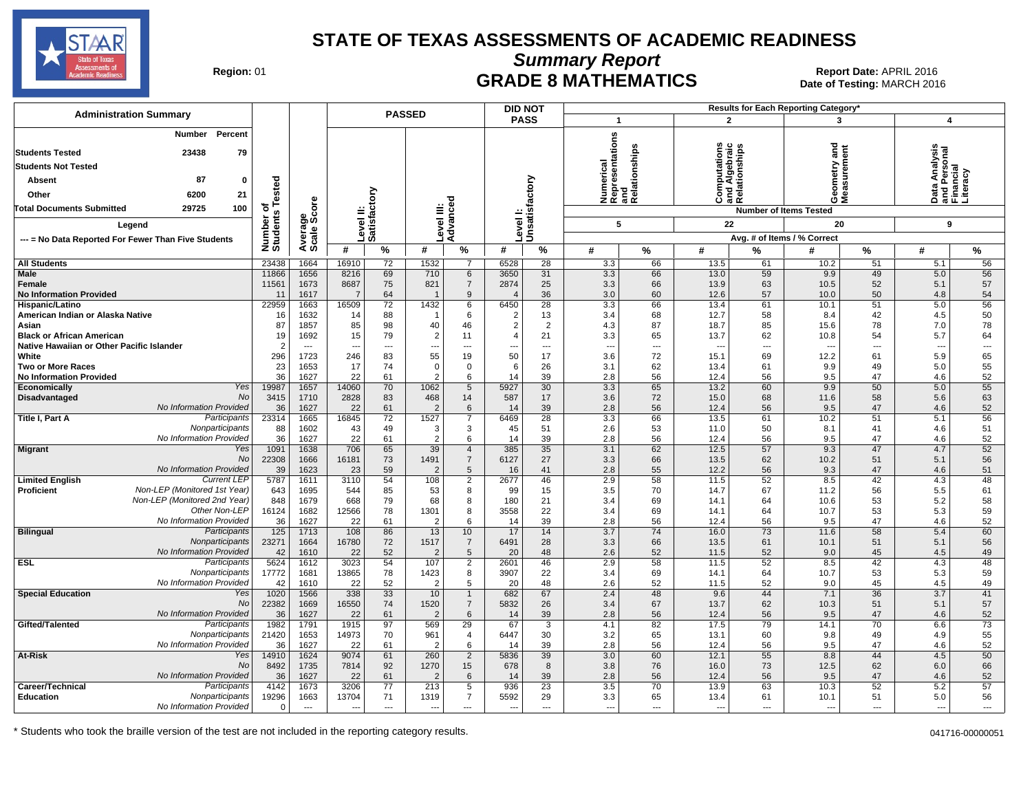

**Summary Report**

Region: 01 **Region: 01 Date: APRIL 2016**<br> **Date of Testing: MARCH 2016 Date of Testing: MARCH 2016** Date of Testing: MARCH 2016

|                                                                         |                    |                                  | <b>PASSED</b>             |                          |                        |                                  | <b>DID NOT</b> |                            |                                  |              |                | Results for Each Reporting Category'  |                             |             |                                                             |                                |
|-------------------------------------------------------------------------|--------------------|----------------------------------|---------------------------|--------------------------|------------------------|----------------------------------|----------------|----------------------------|----------------------------------|--------------|----------------|---------------------------------------|-----------------------------|-------------|-------------------------------------------------------------|--------------------------------|
| <b>Administration Summary</b>                                           |                    |                                  |                           |                          |                        |                                  |                | <b>PASS</b>                | $\mathbf{1}$                     |              | $\mathbf{2}$   |                                       | 3                           |             | 4                                                           |                                |
| <b>Number</b><br>Percent                                                |                    |                                  |                           |                          |                        |                                  |                |                            |                                  |              |                |                                       |                             |             |                                                             |                                |
| 23438<br><b>Students Tested</b><br>79                                   |                    |                                  |                           |                          |                        |                                  |                |                            |                                  |              | ations         |                                       | ᢎ                           |             | sis                                                         |                                |
| <b>Students Not Tested</b>                                              |                    |                                  |                           |                          |                        |                                  |                |                            |                                  |              |                | 흚                                     |                             |             |                                                             |                                |
| 87<br><b>Absent</b><br>$\mathbf{0}$                                     |                    |                                  |                           |                          |                        |                                  |                |                            | epresentations<br>nd<br>umerical | elationships |                | nd Alge<br>elation                    | eometi<br>easure            |             |                                                             |                                |
| 6200<br>21<br>Other                                                     | ested              |                                  |                           |                          |                        |                                  |                |                            |                                  |              | င်္            |                                       | ŏέ                          |             | Data Analysis<br>and Personal<br><sup>-</sup> inancial<br>ó |                                |
| <b>Total Documents Submitted</b><br>29725<br>100                        | ৳<br>'n,           | ge<br>Score                      |                           |                          |                        |                                  |                |                            | z ∝                              | . ಹ          |                | ಹ ∝∠<br><b>Number of Items Tested</b> |                             |             | σŒ                                                          |                                |
| Legend                                                                  | Number<br>Students |                                  | Level II:<br>Satisfactory |                          | evel III:              | Advanced                         |                | Level I:<br>Unsatisfactory | 5                                |              | 22             |                                       | 20                          |             | 9                                                           |                                |
| --- = No Data Reported For Fewer Than Five Students                     |                    | Averag<br>Scale                  |                           |                          |                        |                                  |                |                            |                                  |              |                |                                       | Avg. # of Items / % Correct |             |                                                             |                                |
|                                                                         |                    |                                  | #                         | $\%$                     | #                      | %                                | #              | %                          | #                                | $\%$         | #              | %                                     | #                           | %           | #                                                           | $\%$                           |
| <b>All Students</b>                                                     | 23438              | 1664                             | 16910                     | 72                       | 1532                   | $\overline{7}$                   | 6528           | 28                         | 3.3                              | 66           | 13.5           | 61                                    | 10.2                        | 51          | 5.1                                                         | 56                             |
| <b>Male</b><br>Female                                                   | 11866<br>11561     | 1656<br>1673                     | 8216<br>8687              | 69<br>75                 | 710<br>821             | 6<br>$\overline{7}$              | 3650<br>2874   | 31<br>25                   | 3.3<br>3.3                       | 66<br>66     | 13.0<br>13.9   | 59<br>63                              | 9.9<br>10.5                 | 49<br>52    | 5.0<br>5.1                                                  | 56<br>57                       |
| <b>No Information Provided</b>                                          | 11                 | 1617                             | $\overline{7}$            | 64                       |                        | 9                                |                | 36                         | 3.0                              | 60           | 12.6           | 57                                    | 10.0                        | 50          | 4.8                                                         | 54                             |
| Hispanic/Latino                                                         | 22959              | 1663                             | 16509                     | 72                       | 1432                   | 6                                | 6450           | 28                         | 3.3                              | 66           | 13.4           | 61                                    | 10.1                        | 51          | 5.0                                                         | 56                             |
| American Indian or Alaska Native<br>Asian                               | 16<br>87           | 1632<br>1857                     | 14<br>85                  | 88<br>98                 | 40                     | 6<br>46                          | 2              | 13<br>2                    | 3.4<br>4.3                       | 68<br>87     | 12.7<br>18.7   | 58<br>85                              | 8.4<br>15.6                 | 42<br>78    | 4.5<br>7.0                                                  | 50<br>78                       |
| <b>Black or African American</b>                                        | 19                 | 1692                             | 15                        | 79                       | $\overline{2}$         | 11                               |                | 21                         | 3.3                              | 65           | 13.7           | 62                                    | 10.8                        | 54          | 5.7                                                         | 64                             |
| Native Hawaiian or Other Pacific Islander                               | 2                  | $\overline{\phantom{a}}$         |                           | $\overline{\phantom{a}}$ |                        | $\overline{\phantom{a}}$         |                | $\overline{\phantom{a}}$   | ÷.,                              | ---          |                | $---$                                 | $\overline{\phantom{a}}$    | ---         | $\overline{\phantom{a}}$                                    | ---                            |
| White<br><b>Two or More Races</b>                                       | 296<br>23          | 1723<br>1653                     | 246<br>17                 | 83<br>74                 | 55<br>$\mathbf 0$      | 19<br>$\mathbf 0$                | 50<br>-6       | 17<br>26                   | 3.6<br>3.1                       | 72<br>62     | 15.1<br>13.4   | 69<br>61                              | 12.2<br>9.9                 | 61<br>49    | 5.9<br>5.0                                                  | 65<br>55                       |
| <b>No Information Provided</b>                                          | 36                 | 1627                             | 22                        | 61                       | 2                      | 6                                | 14             | 39                         | 2.8                              | 56           | 12.4           | 56                                    | 9.5                         | 47          | 4.6                                                         | 52                             |
| Yes<br>Economically<br><b>No</b>                                        | 19987              | 1657                             | 14060                     | 70                       | 1062                   | 5                                | 5927           | 30<br>17                   | 3.3<br>3.6                       | 65           | 13.2<br>15.0   | 60<br>68                              | 9.9                         | 50<br>58    | 5.0<br>5.6                                                  | 55                             |
| Disadvantaged<br>No Information Provided                                | 3415<br>36         | 1710<br>1627                     | 2828<br>22                | 83<br>61                 | 468<br>2               | 14<br>6                          | 587<br>14      | 39                         | 2.8                              | 72<br>56     | 12.4           | 56                                    | 11.6<br>9.5                 | 47          | 4.6                                                         | 63<br>52                       |
| Participants<br>Title I, Part A                                         | 23314              | 1665                             | 16845                     | 72                       | 1527                   | $\overline{7}$                   | 6469           | 28                         | 3.3                              | 66           | 13.5           | 61                                    | 10.2                        | 51          | 5.1                                                         | 56                             |
| Nonparticipants<br>No Information Provided                              | 88<br>36           | 1602<br>1627                     | 43<br>22                  | 49<br>61                 | 3<br>$\overline{2}$    | 3<br>6                           | 45<br>14       | 51<br>39                   | 2.6<br>2.8                       | 53<br>56     | 11.0<br>12.4   | 50<br>56                              | 8.1<br>9.5                  | 41<br>47    | 4.6<br>4.6                                                  | 51<br>52                       |
| <b>Migrant</b><br>Yes                                                   | 1091               | 1638                             | 706                       | 65                       | 39                     | $\overline{4}$                   | 385            | 35                         | 3.1                              | 62           | 12.5           | 57                                    | 9.3                         | 47          | 4.7                                                         | 52                             |
| No                                                                      | 22308              | 1666                             | 16181                     | 73                       | 1491                   | $\overline{7}$                   | 6127           | 27                         | 3.3                              | 66           | 13.5           | 62                                    | 10.2                        | 51          | 5.1                                                         | 56                             |
| No Information Provided<br><b>Limited English</b><br><b>Current LEP</b> | 39<br>5787         | 1623<br>1611                     | 23<br>3110                | 59<br>54                 | $\overline{2}$<br>108  | $5\phantom{1}$<br>$\overline{2}$ | 16<br>2677     | 41<br>46                   | 2.8<br>2.9                       | 55<br>58     | 12.2<br>11.5   | 56<br>52                              | 9.3<br>8.5                  | 47<br>42    | 4.6<br>4.3                                                  | 51<br>48                       |
| Non-LEP (Monitored 1st Year)<br><b>Proficient</b>                       | 643                | 1695                             | 544                       | 85                       | 53                     | 8                                | 99             | 15                         | 3.5                              | 70           | 14.7           | 67                                    | 11.2                        | 56          | 5.5                                                         | 61                             |
| Non-LEP (Monitored 2nd Year)<br>Other Non-LEP                           | 848                | 1679                             | 668                       | 79<br>78                 | 68                     | 8                                | 180            | 21                         | 3.4                              | 69           | 14.1           | 64<br>64                              | 10.6                        | 53          | 5.2                                                         | 58                             |
| No Information Provided                                                 | 16124<br>36        | 1682<br>1627                     | 12566<br>22               | 61                       | 1301<br>$\overline{2}$ | 8<br>6                           | 3558<br>14     | 22<br>39                   | 3.4<br>2.8                       | 69<br>56     | 14.1<br>12.4   | 56                                    | 10.7<br>9.5                 | 53<br>47    | 5.3<br>4.6                                                  | 59<br>52                       |
| <b>Bilingual</b><br>Participants                                        | 125                | 1713                             | 108                       | 86                       | 13                     | 10                               | 17             | 14                         | $\overline{3.7}$                 | 74           | 16.0           | 73                                    | 11.6                        | 58          | 5.4                                                         | 60                             |
| Nonparticipants<br>No Information Provided                              | 23271<br>42        | 1664<br>1610                     | 16780<br>22               | 72<br>52                 | 1517<br>$\overline{2}$ | $\overline{7}$<br>$5\phantom{1}$ | 6491<br>20     | 28<br>48                   | 3.3<br>2.6                       | 66<br>52     | 13.5<br>11.5   | 61<br>52                              | 10.1<br>9.0                 | 51<br>45    | 5.1<br>4.5                                                  | 56<br>49                       |
| Participants<br><b>ESL</b>                                              | 5624               | 1612                             | 3023                      | 54                       | 107                    | $\overline{2}$                   | 2601           | 46                         | 2.9                              | 58           | 11.5           | 52                                    | 8.5                         | 42          | 4.3                                                         | 48                             |
| Nonparticipants                                                         | 17772              | 1681                             | 13865                     | 78                       | 1423                   | 8                                | 3907           | 22                         | 3.4                              | 69           | 14.1           | 64                                    | 10.7                        | 53          | 5.3                                                         | 59                             |
| No Information Provided<br>Yes<br><b>Special Education</b>              | 42<br>1020         | 1610<br>1566                     | 22<br>338                 | 52<br>33                 | $\overline{2}$<br>10   | 5<br>$\mathbf{1}$                | 20<br>682      | 48<br>67                   | 2.6<br>2.4                       | 52<br>48     | 11.5<br>9.6    | 52<br>44                              | 9.0<br>7.1                  | 45<br>36    | 4.5<br>3.7                                                  | 49<br>41                       |
| No                                                                      | 22382              | 1669                             | 16550                     | 74                       | 1520                   | $\overline{7}$                   | 5832           | 26                         | 3.4                              | 67           | 13.7           | 62                                    | 10.3                        | 51          | 5.1                                                         | 57                             |
| No Information Provided<br>Participants                                 | 36                 | 1627                             | 22                        | 61                       | $\overline{2}$         | $6\phantom{.}6$                  | 14             | 39                         | 2.8                              | 56           | 12.4           | 56                                    | 9.5                         | 47          | 4.6                                                         | 52                             |
| Gifted/Talented<br>Nonparticipants                                      | 1982<br>21420      | 1791<br>1653                     | 1915<br>14973             | 97<br>70                 | 569<br>961             | $\overline{29}$<br>4             | 67<br>6447     | 3<br>30                    | 4.1<br>3.2                       | 82<br>65     | 17.5<br>13.1   | 79<br>60                              | 14.1<br>9.8                 | 70<br>49    | 6.6<br>4.9                                                  | 73<br>55                       |
| No Information Provided                                                 | 36                 | 1627                             | 22                        | 61                       | $\overline{2}$         | 6                                | 14             | 39                         | 2.8                              | 56           | 12.4           | 56                                    | 9.5                         | 47          | 4.6                                                         | 52                             |
| At-Risk<br>Yes<br><b>No</b>                                             | 14910<br>8492      | 1624<br>1735                     | 9074<br>7814              | 61<br>92                 | 260<br>1270            | 2<br>15                          | 5836<br>678    | 39<br>8                    | 3.0<br>3.8                       | 60<br>76     | 12.1<br>16.0   | 55<br>73                              | 8.8<br>12.5                 | 44<br>62    | 4.5<br>6.0                                                  | 50<br>66                       |
| No Information Provided                                                 | 36                 | 1627                             | 22                        | 61                       | $\overline{2}$         | 6                                | 14             | 39                         | 2.8                              | 56           | 12.4           | 56                                    | 9.5                         | 47          | 4.6                                                         | 52                             |
| Participants<br>Career/Technical                                        | 4142               | 1673                             | 3206                      | 77                       | 213                    | 5                                | 936            | 23                         | 3.5                              | 70           | 13.9           | 63                                    | 10.3                        | 52          | 5.2                                                         | 57                             |
| <b>Education</b><br>Nonparticipants<br>No Information Provided          | 19296<br>$\Omega$  | 1663<br>$\overline{\phantom{a}}$ | 13704<br>$\sim$           | 71<br>$\sim$             | 1319<br>$\sim$         | $\overline{7}$<br>$\overline{a}$ | 5592<br>$\sim$ | 29<br>$---$                | 3.3<br>$\sim$                    | 65<br>$---$  | 13.4<br>$\sim$ | 61<br>$---$                           | 10.1<br>---                 | 51<br>$---$ | 5.0<br>$---$                                                | 56<br>$\overline{\phantom{a}}$ |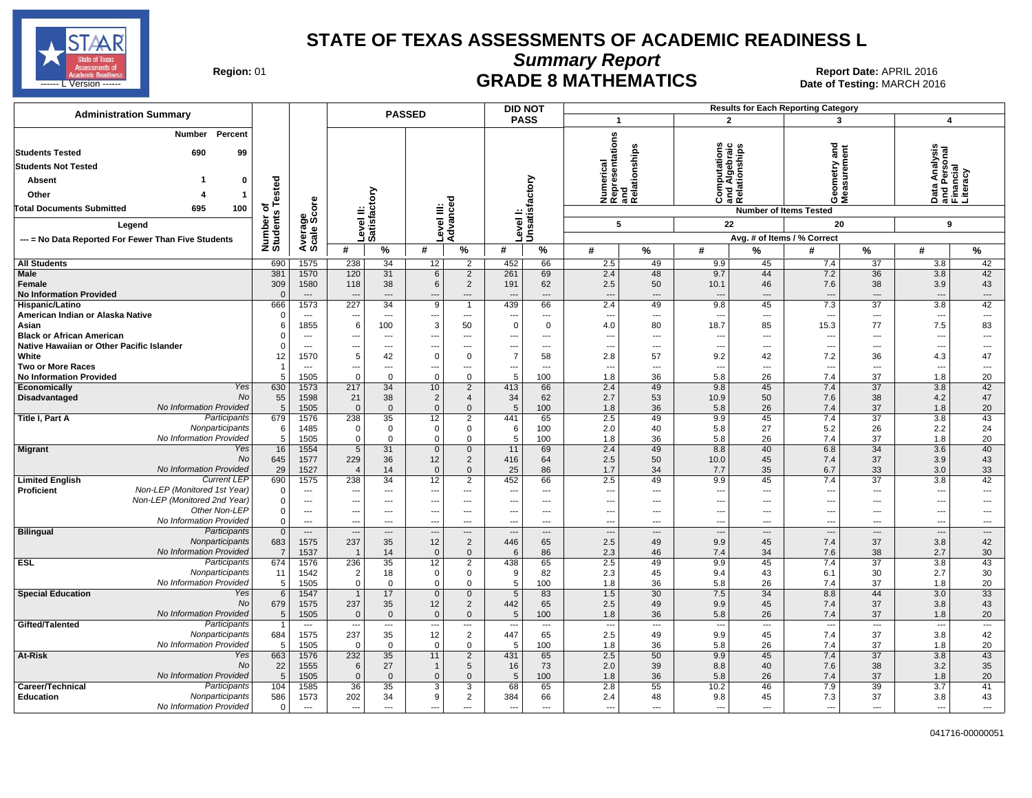

**Summary Report**

Region: 01 **Region: 01 Date: APRIL 2016**<br> **Date of Testing: MARCH 2016 Date of Testing: MARCH 2016** ------ L Version ------ MARCH 2016

| <b>Administration Summary</b>                                                                                                        |                       | <b>PASSED</b>                    |                           |                                |                        |                                         | <b>DID NOT</b>                   |                                |                                                      |                          |                               |                                            | <b>Results for Each Reporting Category</b> |                                |                                                        |                                |
|--------------------------------------------------------------------------------------------------------------------------------------|-----------------------|----------------------------------|---------------------------|--------------------------------|------------------------|-----------------------------------------|----------------------------------|--------------------------------|------------------------------------------------------|--------------------------|-------------------------------|--------------------------------------------|--------------------------------------------|--------------------------------|--------------------------------------------------------|--------------------------------|
|                                                                                                                                      |                       |                                  |                           |                                |                        |                                         | <b>PASS</b>                      |                                | $\mathbf{1}$                                         |                          | $\overline{2}$                |                                            | 3                                          |                                | 4                                                      |                                |
| <b>Percent</b><br>Number<br>99<br><b>Students Tested</b><br>690<br><b>Students Not Tested</b><br>Absent<br>0<br>Other<br>$\mathbf 1$ | ested                 |                                  | Level II:<br>Satisfactory |                                |                        |                                         |                                  | Unsatisfactory                 | Numerical<br>Representations<br>and<br>Relationships | elationships             | tations<br>Ξ.<br>ᇗ<br>ē.<br>Ő | nd Algebraio<br>alationships<br>᠊ᢐ<br>ಹ ∩∠ | and<br>8<br>oΣ                             |                                | Data Analysis<br>and Personal<br>Financial<br>Literacy |                                |
| <b>Total Documents Submitted</b><br>695<br>100                                                                                       | ৳                     |                                  |                           |                                |                        |                                         |                                  |                                |                                                      |                          |                               |                                            | <b>Number of Items Tested</b>              |                                |                                                        |                                |
| Legend                                                                                                                               |                       |                                  |                           |                                | Level III:<br>Advanced |                                         | Level I:                         |                                | 5                                                    |                          | 22                            |                                            | 20                                         |                                | 9                                                      |                                |
|                                                                                                                                      |                       |                                  |                           |                                |                        |                                         |                                  |                                |                                                      |                          |                               |                                            | Avg. # of Items / % Correct                |                                |                                                        |                                |
| --- = No Data Reported For Fewer Than Five Students                                                                                  | Number of<br>Students | Average<br>Scale Score           | #                         | %                              | #                      | %                                       | #                                | %                              | #                                                    | $\%$                     | #                             | %                                          | #                                          | %                              | #                                                      | $\%$                           |
|                                                                                                                                      |                       | 1575                             |                           | 34                             |                        |                                         |                                  | 66                             | 2.5                                                  | 49                       |                               | 45                                         | 7.4                                        | $\overline{37}$                | 3.8                                                    |                                |
| <b>All Students</b><br><b>Male</b>                                                                                                   | 690<br>381            | 1570                             | 238<br>120                | 31                             | 12<br>6                | 2<br>$\overline{2}$                     | 452<br>261                       | 69                             | 2.4                                                  | 48                       | 9.9<br>9.7                    | 44                                         | 7.2                                        | $\overline{36}$                | 3.8                                                    | 42<br>42                       |
| Female                                                                                                                               | 309                   | 1580                             | 118                       | 38                             | 6                      | $\overline{2}$                          | 191                              | 62                             | 2.5                                                  | 50                       | 10.1                          | 46                                         | 7.6                                        | 38                             | 3.9                                                    | 43                             |
| <b>No Information Provided</b>                                                                                                       | $\Omega$              | $\overline{\phantom{a}}$         |                           | $\overline{\phantom{a}}$       |                        | $\overline{a}$                          |                                  | $\overline{\phantom{a}}$       | ---                                                  | ---                      | $\overline{a}$                | ---                                        | $\overline{\phantom{a}}$                   | $\overline{\phantom{a}}$       | $\overline{a}$                                         | $\overline{\phantom{a}}$       |
| <b>Hispanic/Latino</b>                                                                                                               | 666                   | 1573                             | 227                       | 34                             | 9                      | $\overline{1}$                          | 439                              | 66                             | 2.4                                                  | 49                       | 9.8                           | 45                                         | 7.3                                        | 37                             | 3.8                                                    | 42                             |
| American Indian or Alaska Native                                                                                                     | $\Omega$              | $\overline{\phantom{a}}$         | ---                       | $---$                          | ---                    | $\overline{\phantom{a}}$                | $\sim$                           | $\overline{\phantom{a}}$       | ---                                                  | $\overline{\phantom{a}}$ | ---                           | $\overline{\phantom{a}}$                   | $\overline{\phantom{a}}$                   | ---                            | $\overline{\phantom{a}}$                               | $\hspace{0.05cm} \ldots$       |
| Asian                                                                                                                                | 6                     | 1855                             | 6                         | 100                            | 3                      | 50                                      | $\mathbf 0$                      | $\mathbf 0$                    | 4.0                                                  | 80                       | 18.7                          | 85                                         | 15.3                                       | 77                             | 7.5                                                    | 83                             |
| <b>Black or African American</b>                                                                                                     |                       | $\overline{\phantom{a}}$         |                           | $\hspace{0.05cm} \cdots$       |                        | $\overline{\phantom{a}}$                |                                  | $\overline{\phantom{a}}$       | ---                                                  | ---                      |                               | ---                                        | ---                                        | ---                            | $\overline{\phantom{a}}$                               | ---                            |
| Native Hawaiian or Other Pacific Islander                                                                                            |                       | $---$                            | ---                       | $---$                          | ---                    | $\overline{a}$                          | $\overline{a}$<br>$\overline{7}$ | $---$                          | ÷.,                                                  | ---                      | $\sim$                        | ---                                        | $\overline{\phantom{a}}$                   | $\overline{a}$                 | $\overline{\phantom{a}}$                               | ---                            |
| White<br><b>Two or More Races</b>                                                                                                    | 12                    | 1570<br>$\overline{\phantom{a}}$ | 5<br>---                  | 42<br>---                      | $\Omega$               | $\mathbf 0$<br>$\overline{\phantom{a}}$ | ---                              | 58<br>$\overline{\phantom{a}}$ | 2.8<br>---                                           | 57<br>---                | 9.2<br>---                    | 42<br>---                                  | 7.2<br>$\overline{\phantom{a}}$            | 36<br>---                      | 4.3<br>$\overline{\phantom{a}}$                        | 47<br>---                      |
| <b>No Information Provided</b>                                                                                                       | 5                     | 1505                             | 0                         | $\mathbf 0$                    | $\Omega$               | $\mathbf 0$                             | 5                                | 100                            | 1.8                                                  | 36                       | 5.8                           | 26                                         | 7.4                                        | 37                             | 1.8                                                    | 20                             |
| Yes<br>Economically                                                                                                                  | 630                   | 1573                             | 217                       | 34                             | 10                     | $\overline{2}$                          | 413                              | 66                             | 2.4                                                  | 49                       | 9.8                           | 45                                         | 7.4                                        | 37                             | 3.8                                                    | 42                             |
| No<br>Disadvantaged                                                                                                                  | 55                    | 1598                             | 21                        | 38                             | $\overline{2}$         | $\overline{4}$                          | 34                               | 62                             | 2.7                                                  | 53                       | 10.9                          | 50                                         | 7.6                                        | 38                             | 4.2                                                    | 47                             |
| No Information Provided                                                                                                              | 5                     | 1505                             | $\mathbf{0}$              | $\mathbf{0}$                   | $\Omega$               | $\mathbf{0}$                            | 5                                | 100                            | 1.8                                                  | 36                       | 5.8                           | 26                                         | 7.4                                        | 37                             | 1.8                                                    | 20                             |
| Participants<br>Title I, Part A                                                                                                      | 679                   | 1576                             | 238                       | 35                             | 12                     | $\overline{2}$                          | 441                              | 65                             | 2.5                                                  | 49                       | 9.9                           | 45                                         | 7.4                                        | $\overline{37}$                | 3.8                                                    | 43                             |
| Nonparticipants                                                                                                                      | 6                     | 1485                             | 0                         | $\mathbf 0$                    | 0                      | $\mathbf 0$                             | 6                                | 100                            | 2.0                                                  | 40                       | 5.8                           | 27                                         | 5.2                                        | 26                             | 2.2                                                    | 24                             |
| No Information Provided                                                                                                              | 5                     | 1505                             | $\mathbf 0$               | $\mathbf 0$                    | $\mathbf 0$            | $\mathbf{0}$                            | 5                                | 100                            | 1.8                                                  | 36                       | 5.8                           | 26                                         | 7.4                                        | 37<br>$\overline{34}$          | 1.8                                                    | 20                             |
| Yes<br><b>Migrant</b><br>No                                                                                                          | 16<br>645             | 1554<br>1577                     | 5<br>229                  | 31<br>36                       | $\mathbf 0$<br>12      | $\overline{0}$<br>$\overline{2}$        | 11<br>416                        | 69<br>64                       | 2.4<br>2.5                                           | 49<br>50                 | 8.8<br>10.0                   | 40<br>45                                   | 6.8<br>7.4                                 | 37                             | 3.6<br>3.9                                             | 40<br>43                       |
| No Information Provided                                                                                                              | 29                    | 1527                             | $\overline{4}$            | 14                             | $\mathbf 0$            | $\mathbf 0$                             | 25                               | 86                             | 1.7                                                  | 34                       | 7.7                           | 35                                         | 6.7                                        | 33                             | 3.0                                                    | 33                             |
| <b>Current LEP</b><br><b>Limited English</b>                                                                                         | 690                   | 1575                             | 238                       | 34                             | 12                     | $\overline{2}$                          | 452                              | 66                             | 2.5                                                  | 49                       | 9.9                           | 45                                         | 7.4                                        | 37                             | 3.8                                                    | 42                             |
| Non-LEP (Monitored 1st Year)<br><b>Proficient</b>                                                                                    | $\Omega$              | $\overline{\phantom{a}}$         |                           | $---$                          | --                     | $---$                                   |                                  | $---$                          | ---                                                  | $\overline{a}$           | $\overline{a}$                | $---$                                      | $\overline{\phantom{a}}$                   | ---                            | $\overline{\phantom{a}}$                               | $\overline{a}$                 |
| Non-LEP (Monitored 2nd Year)                                                                                                         | $\Omega$              | $---$                            | $\sim$                    | $---$                          | ---                    | $---$                                   | $\sim$                           | $---$                          | ---                                                  | $---$                    | ---                           | $---$                                      | $\sim$                                     | $---$                          | $\overline{\phantom{a}}$                               | ---                            |
| Other Non-LEP                                                                                                                        | $\mathbf 0$           | $---$                            | ---                       | $---$                          | ---                    | $---$                                   | $\sim$                           | $---$                          | ---                                                  | $\overline{a}$           | ---                           | ---                                        | $\overline{\phantom{a}}$                   | $\overline{a}$                 | $\overline{a}$                                         | ---                            |
| No Information Provided                                                                                                              | $\Omega$              | $\overline{\phantom{a}}$         | $\overline{\phantom{a}}$  | $-$                            | ---                    | $---$                                   | $\sim$                           | $---$                          | ---                                                  | $---$                    | $---$                         | $---$                                      | ---                                        | $---$                          | $\overline{\phantom{a}}$                               | $---$                          |
| <b>Bilingual</b><br>Participants<br>Nonparticipants                                                                                  | $\mathbf{0}$<br>683   | $\overline{a}$                   |                           | $\overline{\phantom{a}}$       |                        | $---$                                   |                                  | $\overline{a}$                 | $\overline{\phantom{a}}$<br>2.5                      | $\overline{\phantom{a}}$ | $\overline{a}$                | $---$                                      | $\overline{\phantom{a}}$                   | $\overline{\phantom{a}}$<br>37 | $\overline{\phantom{a}}$<br>3.8                        | $\overline{\phantom{a}}$<br>42 |
| No Information Provided                                                                                                              | $\overline{7}$        | 1575<br>1537                     | 237<br>$\overline{1}$     | 35<br>14                       | 12<br>$\mathbf 0$      | $\overline{2}$<br>$\mathbf 0$           | 446<br>6                         | 65<br>86                       | 2.3                                                  | 49<br>46                 | 9.9<br>7.4                    | 45<br>34                                   | 7.4<br>7.6                                 | 38                             | 2.7                                                    | 30                             |
| Participants<br><b>ESL</b>                                                                                                           | 674                   | 1576                             | 236                       | 35                             | 12                     | 2                                       | 438                              | 65                             | 2.5                                                  | 49                       | 9.9                           | 45                                         | 7.4                                        | 37                             | 3.8                                                    | 43                             |
| Nonparticipants                                                                                                                      | 11                    | 1542                             | $\overline{2}$            | 18                             | 0                      | $\mathbf 0$                             | 9                                | 82                             | 2.3                                                  | 45                       | 9.4                           | 43                                         | 6.1                                        | 30                             | 2.7                                                    | 30                             |
| No Information Provided                                                                                                              | 5                     | 1505                             | $\mathbf 0$               | $\mathbf{0}$                   | $\Omega$               | $\mathbf 0$                             | 5                                | 100                            | 1.8                                                  | 36                       | 5.8                           | 26                                         | 7.4                                        | 37                             | 1.8                                                    | 20                             |
| Yes<br><b>Special Education</b>                                                                                                      | $6\phantom{1}$        | 1547                             | $\overline{1}$            | 17                             | $\mathbf 0$            | $\overline{0}$                          | 5                                | 83                             | 1.5                                                  | 30                       | 7.5                           | 34                                         | 8.8                                        | 44                             | 3.0                                                    | 33                             |
| No                                                                                                                                   | 679                   | 1575                             | 237                       | 35                             | 12                     | $\overline{2}$                          | 442                              | 65                             | 2.5                                                  | 49                       | 9.9                           | 45                                         | 7.4                                        | 37                             | 3.8                                                    | 43                             |
| No Information Provided                                                                                                              | 5                     | 1505                             | $\mathbf 0$               | $\mathbf 0$                    | $\mathbf 0$            | $\mathbf 0$                             | 5                                | 100                            | 1.8                                                  | 36                       | 5.8                           | 26                                         | 7.4                                        | 37                             | 1.8                                                    | 20                             |
| Gifted/Talented<br>Participants<br>Nonparticipants                                                                                   | 684                   | $\overline{\phantom{a}}$<br>1575 | ---<br>237                | $\overline{\phantom{a}}$<br>35 | $\overline{a}$<br>12   | $---$<br>$\overline{2}$                 | ---<br>447                       | $---$<br>65                    | $\overline{\phantom{a}}$<br>2.5                      | ---<br>49                | ---<br>9.9                    | $\overline{\phantom{a}}$<br>45             | $\overline{\phantom{a}}$<br>7.4            | ---<br>37                      | $\overline{\phantom{a}}$<br>3.8                        | $\overline{\phantom{a}}$<br>42 |
| No Information Provided                                                                                                              | 5                     | 1505                             | 0                         | $\mathbf{0}$                   | $\Omega$               | $\mathbf{0}$                            | 5                                | 100                            | 1.8                                                  | 36                       | 5.8                           | 26                                         | 7.4                                        | 37                             | 1.8                                                    | 20                             |
| <b>At-Risk</b><br>Yes                                                                                                                | 663                   | 1576                             | 232                       | 35                             | 11                     | 2                                       | 431                              | 65                             | 2.5                                                  | 50                       | 9.9                           | 45                                         | 7.4                                        | 37                             | 3.8                                                    | 43                             |
| No                                                                                                                                   | 22                    | 1555                             | 6                         | 27                             |                        | $5\phantom{.0}$                         | 16                               | 73                             | 2.0                                                  | 39                       | 8.8                           | 40                                         | 7.6                                        | 38                             | 3.2                                                    | 35                             |
| No Information Provided                                                                                                              | -5                    | 1505                             | $\Omega$                  | $\mathbf{0}$                   | $\Omega$               | $\mathbf{0}$                            | .5                               | 100                            | 1.8                                                  | 36                       | 5.8                           | 26                                         | 7.4                                        | 37                             | 1.8                                                    | 20                             |
| Participants<br>Career/Technical                                                                                                     | 104                   | 1585                             | 36                        | 35                             | 3                      | 3                                       | 68                               | 65                             | 2.8                                                  | 55                       | 10.2                          | 46                                         | 7.9                                        | 39                             | 3.7                                                    | 41                             |
| Education<br>Nonparticipants                                                                                                         | 586                   | 1573                             | 202                       | 34                             | 9                      | $\overline{2}$                          | 384                              | 66                             | 2.4                                                  | 48                       | 9.8                           | 45                                         | 7.3                                        | 37                             | 3.8                                                    | 43                             |
| No Information Provided                                                                                                              | 0                     | $\overline{\phantom{a}}$         | ---                       | $\overline{\phantom{a}}$       | ---                    | $\overline{a}$                          | $\overline{\phantom{a}}$         | ---                            | ---                                                  | ---                      | $\overline{a}$                | ---                                        | $\overline{\phantom{a}}$                   | ---                            | $\overline{a}$                                         | ---                            |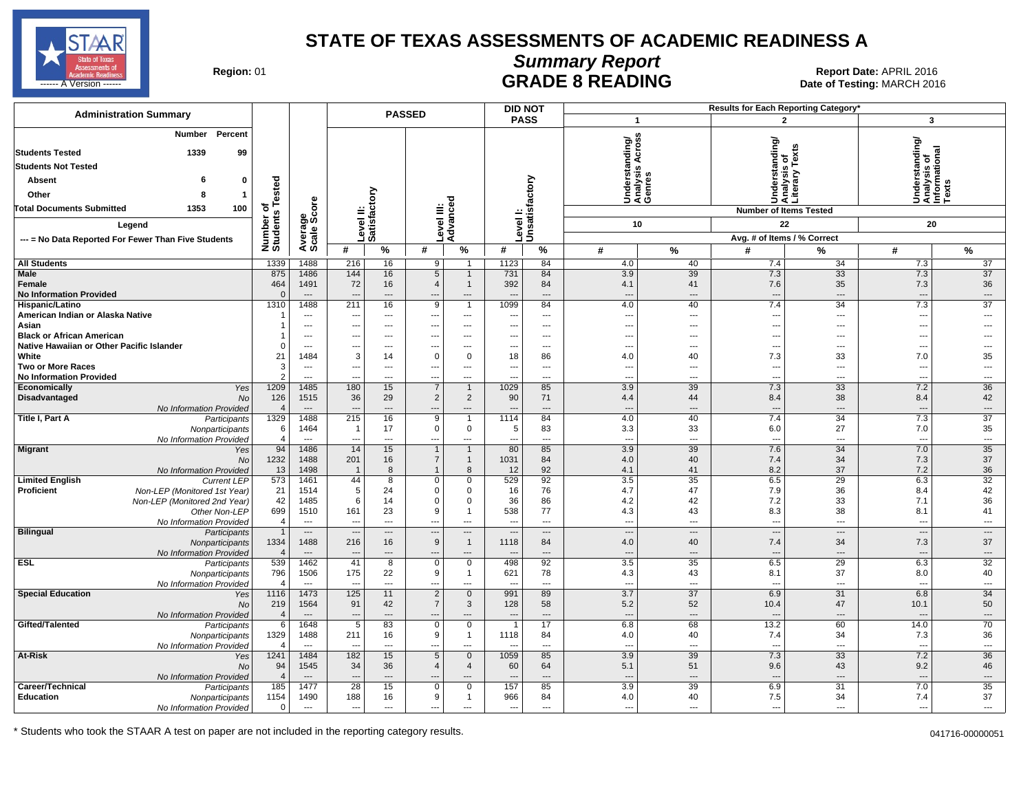

# **Summary Report**

Region: 01 **Region: 01 CONTRIGGLARGE 8 READING Report Date: APRIL 2016 Region: 01 Report Date: APRIL 2016** ------ A Version ------ MARCH 2016

| <b>Administration Summary</b>                                    |                       |                          |                                   |                                | <b>PASSED</b>                    |                                  |                          | <b>DID NOT</b>                |                                                      |                                |                                 | <b>Results for Each Reporting Category</b>      |                                                        |                                |
|------------------------------------------------------------------|-----------------------|--------------------------|-----------------------------------|--------------------------------|----------------------------------|----------------------------------|--------------------------|-------------------------------|------------------------------------------------------|--------------------------------|---------------------------------|-------------------------------------------------|--------------------------------------------------------|--------------------------------|
|                                                                  |                       |                          |                                   |                                |                                  |                                  |                          | <b>PASS</b>                   | $\mathbf{1}$                                         |                                |                                 | $\overline{2}$                                  | $\mathbf{3}$                                           |                                |
| Percent<br><b>Number</b>                                         |                       |                          |                                   |                                |                                  |                                  |                          |                               | S<br>tanding/<br>is Across                           |                                |                                 | Understanding/<br>Analysis of<br>Literary Texts |                                                        |                                |
| <b>Students Tested</b><br>1339<br>99                             |                       |                          |                                   |                                |                                  |                                  |                          |                               |                                                      |                                |                                 |                                                 |                                                        |                                |
| <b>Students Not Tested</b>                                       |                       |                          |                                   |                                |                                  |                                  |                          |                               |                                                      |                                |                                 |                                                 | rstanding/                                             |                                |
| Absent<br>6<br>0                                                 |                       |                          |                                   |                                |                                  |                                  |                          |                               |                                                      |                                |                                 |                                                 |                                                        |                                |
| Other<br>-1                                                      | Tested                |                          |                                   |                                |                                  |                                  |                          |                               |                                                      | Understa<br>Analysis<br>Genres |                                 |                                                 | Understanding<br>Analysis of<br>Informational<br>Texts |                                |
| <b>Total Documents Submitted</b><br>1353<br>100                  | ৳                     |                          |                                   |                                |                                  |                                  |                          |                               |                                                      |                                |                                 |                                                 |                                                        |                                |
|                                                                  |                       |                          |                                   |                                |                                  |                                  |                          |                               |                                                      |                                |                                 | <b>Number of Items Tested</b>                   |                                                        |                                |
| Legend                                                           | Number of<br>Students | Average<br>Scale Score   |                                   | Level II:<br>Satisfactory      | Level III:<br>Advanced           |                                  |                          | Level I:<br>Unsatisfactory    |                                                      | 10                             |                                 | 22                                              | 20                                                     |                                |
| --- = No Data Reported For Fewer Than Five Students              |                       |                          |                                   |                                |                                  |                                  |                          |                               |                                                      |                                |                                 | Avg. # of Items / % Correct                     |                                                        |                                |
|                                                                  |                       |                          | #                                 | $\%$                           | #                                | %                                | #                        | %                             | #                                                    | %                              | #                               | %                                               | #                                                      | %                              |
| <b>All Students</b><br>Male                                      | 1339<br>875           | 1488<br>1486             | 216<br>144                        | 16<br>16                       | 9<br>$\overline{5}$              | - 1<br>$\overline{1}$            | 1123<br>731              | 84<br>84                      | 4.0<br>3.9                                           | 40<br>$\overline{39}$          | 7.4<br>7.3                      | 34<br>33                                        | 7.3<br>7.3                                             | 37<br>$\overline{37}$          |
| Female                                                           | 464                   | 1491                     | 72                                | 16                             | $\overline{4}$                   | $\mathbf{1}$                     | 392                      | 84                            | 4.1                                                  | 41                             | 7.6                             | 35                                              | 7.3                                                    | 36                             |
| <b>No Information Provided</b>                                   | $\Omega$              | $---$                    | $\overline{a}$                    | $\overline{\phantom{a}}$       | ---                              | $\cdots$                         |                          | ---                           | $\overline{a}$                                       | $---$                          | $\overline{\phantom{a}}$        | ---                                             | $\overline{\phantom{a}}$                               | $\hspace{0.05cm} \cdots$       |
| Hispanic/Latino                                                  | 1310                  | 1488                     | 211                               | 16                             | 9                                | $\overline{1}$                   | 1099                     | 84                            | 4.0                                                  | 40                             | 7.4                             | 34                                              | 7.3                                                    | 37                             |
| American Indian or Alaska Native                                 |                       | $---$                    | $\overline{a}$                    | $---$                          | $\overline{\phantom{a}}$         | $---$                            | ---                      | $---$                         | $\overline{\phantom{a}}$                             | $---$                          | ---                             | ---                                             | $\overline{a}$                                         | $\sim$                         |
| Asian<br><b>Black or African American</b>                        |                       | $---$<br>$---$           | $\hspace{0.05cm} \ldots$<br>$---$ | $---$<br>$---$                 | $---$<br>$---$                   | $---$<br>$---$                   | $-$<br>$-$               | $\sim$ $\sim$<br>$---$        | $\overline{\phantom{a}}$<br>$\overline{\phantom{a}}$ | $---$<br>$---$                 | $\ddotsc$<br>$\sim$             | $\overline{a}$<br>---                           | $\overline{a}$<br>$\overline{a}$                       | $---$                          |
| Native Hawaiian or Other Pacific Islander                        | $\mathbf 0$           | $\overline{\phantom{a}}$ | ---                               | $\overline{\phantom{a}}$       | ---                              | ---                              | ---                      | $\overline{\phantom{a}}$      | ---                                                  | $\overline{\phantom{a}}$       | $\overline{\phantom{a}}$        | ---                                             | ---                                                    |                                |
| White                                                            | 21                    | 1484                     | 3                                 | 14                             | $\mathbf 0$                      | $\mathbf 0$                      | 18                       | 86                            | 4.0                                                  | 40                             | 7.3                             | 33                                              | 7.0                                                    | 35                             |
| Two or More Races                                                | 3                     | $\hspace{0.05cm} \ldots$ | $\qquad \qquad -$                 | $\qquad \qquad \cdots$         | ---                              | $\cdots$                         |                          | $\qquad \qquad \cdots$        | $\overline{\phantom{a}}$                             | $\qquad \qquad \cdots$         | $\sim$                          | ---                                             | ---                                                    | $\overline{\phantom{a}}$       |
| <b>No Information Provided</b>                                   | $\mathfrak{p}$        | $\overline{a}$           | ---                               | $---$                          | ---                              | ---                              | $\overline{\phantom{a}}$ | $---$                         | ---                                                  | $\overline{\phantom{a}}$       | $\overline{\phantom{a}}$        | ---                                             | ---                                                    | $\overline{\phantom{a}}$       |
| Economically<br>Yes<br>Disadvantaged                             | 1209                  | 1485                     | 180<br>36                         | 15                             | $\overline{7}$<br>$\sqrt{2}$     | $\overline{1}$<br>$\overline{2}$ | 1029<br>90               | 85<br>71                      | 3.9                                                  | 39<br>44                       | 7.3                             | 33<br>38                                        | 7.2                                                    | 36<br>42                       |
| No<br>No Information Provided                                    | 126<br>$\overline{4}$ | 1515<br>$\overline{a}$   | ---                               | 29<br>$\overline{\phantom{a}}$ | ---                              | ---                              |                          | $\hspace{1.5cm} \textbf{---}$ | 4.4<br>$\overline{\phantom{a}}$                      | $---$                          | 8.4<br>$\overline{\phantom{a}}$ | ---                                             | 8.4<br>$\overline{\phantom{a}}$                        | $\cdots$                       |
| Title I, Part A<br>Participants                                  | 1329                  | 1488                     | 215                               | 16                             | $\overline{9}$                   | $\overline{1}$                   | 1114                     | 84                            | 4.0                                                  | 40                             | 7.4                             | 34                                              | 7.3                                                    | $\overline{37}$                |
| Nonparticipants                                                  | 6                     | 1464                     | $\mathbf{1}$                      | 17                             | $\mathbf 0$                      | 0                                | 5                        | 83                            | 3.3                                                  | 33                             | 6.0                             | 27                                              | 7.0                                                    | 35                             |
| No Information Provided                                          | 4                     | $\overline{a}$           | $-$                               | $\sim$                         | $\overline{a}$                   | $\overline{a}$<br>$\mathbf{1}$   | $\sim$                   | $---$                         | $\overline{\phantom{a}}$                             | $\overline{\phantom{a}}$       | $\overline{\phantom{a}}$        | $\overline{a}$                                  | $\overline{\phantom{a}}$                               | $\overline{\phantom{a}}$<br>35 |
| <b>Migrant</b><br>Yes<br>No                                      | 94<br>1232            | 1486<br>1488             | 14<br>201                         | 15<br>16                       | $\overline{1}$<br>$\overline{7}$ | $\mathbf{1}$                     | 80<br>1031               | 85<br>84                      | 3.9<br>4.0                                           | 39<br>40                       | 7.6<br>7.4                      | 34<br>34                                        | 7.0<br>7.3                                             | 37                             |
| No Information Provided                                          | 13                    | 1498                     | $\overline{1}$                    | 8                              | $\overline{1}$                   | 8                                | 12                       | 92                            | 4.1                                                  | 41                             | 8.2                             | 37                                              | 7.2                                                    | 36                             |
| <b>Limited English</b><br><b>Current LEP</b>                     | 573                   | 1461                     | 44                                | 8                              | $\mathsf 0$                      | $\mathsf 0$                      | 529                      | 92                            | 3.5                                                  | 35                             | 6.5                             | 29                                              | 6.3                                                    | 32                             |
| <b>Proficient</b><br>Non-LEP (Monitored 1st Year)                | 21                    | 1514                     | 5                                 | 24                             | $\mathbf 0$                      | $\mathbf 0$                      | 16                       | 76                            | 4.7                                                  | 47                             | 7.9                             | 36                                              | 8.4                                                    | 42                             |
| Non-LEP (Monitored 2nd Year)                                     | 42<br>699             | 1485<br>1510             | 6<br>161                          | 14<br>23                       | $\mathbf 0$<br>9                 | $\mathbf 0$<br>$\mathbf{1}$      | 36<br>538                | 86<br>77                      | 4.2                                                  | 42<br>43                       | 7.2<br>8.3                      | 33<br>38                                        | 7.1<br>8.1                                             | 36<br>41                       |
| Other Non-LEP<br>No Information Provided                         | $\overline{4}$        | $\overline{\phantom{a}}$ | $\overline{\phantom{a}}$          | $\overline{a}$                 | $\overline{a}$                   | $\overline{a}$                   | ---                      | $\overline{a}$                | 4.3<br>$\overline{\phantom{a}}$                      | $\overline{a}$                 | $\overline{\phantom{a}}$        | ---                                             | ---                                                    | $\hspace{0.05cm} \cdots$       |
| <b>Bilingual</b><br>Participants                                 | $\overline{1}$        | $---$                    | $\overline{a}$                    | $\overline{\phantom{a}}$       | $\overline{\phantom{a}}$         | $\overline{a}$                   |                          | $\overline{a}$                | $\overline{\phantom{a}}$                             | $\sim$                         | $\sim$                          | $\overline{a}$                                  | $\overline{a}$                                         | $\overline{\phantom{a}}$       |
| Nonparticipants                                                  | 1334                  | 1488                     | 216                               | 16                             | $9\,$                            | $\mathbf{1}$                     | 1118                     | 84                            | 4.0                                                  | 40                             | 7.4                             | 34                                              | 7.3                                                    | 37                             |
| No Information Provided                                          |                       | $\overline{a}$           |                                   | $\overline{\phantom{a}}$       | $\overline{a}$                   | $---$                            |                          | ---                           | $\overline{\phantom{a}}$                             | $---$                          | --                              | ---                                             |                                                        | $\overline{\phantom{a}}$       |
| <b>ESL</b><br>Participants<br>Nonparticipants                    | 539<br>796            | 1462<br>1506             | 41<br>175                         | 8<br>22                        | $\mathsf 0$<br>9                 | 0<br>$\overline{1}$              | 498<br>621               | 92<br>78                      | 3.5<br>4.3                                           | 35<br>43                       | 6.5<br>8.1                      | 29<br>37                                        | 6.3<br>8.0                                             | 32<br>40                       |
| No Information Provided                                          |                       | $---$                    | $\overline{a}$                    | $---$                          | $---$                            | $---$                            |                          | $---$                         | $\overline{\phantom{a}}$                             | $---$                          | $\sim$                          | ---                                             | $\sim$                                                 | $\overline{\phantom{a}}$       |
| <b>Special Education</b><br>Yes                                  | 1116                  | 1473                     | 125                               | 11                             | $\overline{2}$                   | $\overline{0}$                   | 991                      | 89                            | 3.7                                                  | 37                             | 6.9                             | 31                                              | 6.8                                                    | 34                             |
| <b>No</b>                                                        | 219                   | 1564                     | 91                                | 42                             | $\overline{7}$                   | $\mathbf{3}$                     | 128                      | 58                            | 5.2                                                  | 52                             | 10.4                            | 47                                              | 10.1                                                   | 50                             |
| No Information Provided                                          | $\overline{4}$        | $\overline{a}$           |                                   | ---                            |                                  | $\overline{a}$                   |                          | ---                           | $\overline{\phantom{a}}$                             | $\overline{a}$                 | $\overline{\phantom{a}}$        | ---                                             |                                                        | $\hspace{0.05cm} \ldots$       |
| Gifted/Talented<br>Participants<br>Nonparticipants               | 6<br>1329             | 1648<br>1488             | 5<br>211                          | 83<br>16                       | $\mathbf 0$<br>9                 | $\mathbf 0$<br>$\overline{1}$    | 1<br>1118                | 17<br>84                      | 6.8<br>4.0                                           | 68<br>40                       | 13.2<br>7.4                     | 60<br>34                                        | 14.0<br>7.3                                            | 70<br>36                       |
| No Information Provided                                          | $\overline{4}$        | $\overline{a}$           |                                   | $\overline{a}$                 | $\overline{a}$                   | $\overline{a}$                   |                          | $\overline{a}$                | $\overline{a}$                                       | $\overline{a}$                 | $\overline{\phantom{a}}$        | ---                                             | $\overline{a}$                                         | $\overline{\phantom{a}}$       |
| At-Risk<br>Yes                                                   | 1241                  | 1484                     | 182                               | 15                             | $\,$ 5 $\,$                      | $\mathbf 0$                      | 1059                     | 85                            | 3.9                                                  | 39                             | 7.3                             | 33                                              | 7.2                                                    | $\overline{36}$                |
| <b>No</b>                                                        | 94                    | 1545                     | 34                                | 36                             | $\overline{4}$                   | $\overline{4}$                   | 60                       | 64                            | 5.1                                                  | 51                             | 9.6                             | 43                                              | 9.2                                                    | 46                             |
| No Information Provided                                          |                       | $---$                    | $\overline{\phantom{a}}$          | $---$                          | $---$                            | $---$                            |                          | $---$                         | $\overline{a}$                                       | $---$                          | --                              | $\overline{a}$                                  | $\overline{\phantom{a}}$                               | $---$                          |
| Career/Technical<br>Participants<br>Education<br>Nonparticipants | 185<br>1154           | 1477<br>1490             | 28<br>188                         | 15<br>16                       | $\overline{0}$<br>9              | 0<br>$\mathbf{1}$                | 157<br>966               | 85<br>84                      | 3.9<br>4.0                                           | 39<br>40                       | 6.9<br>7.5                      | 31<br>34                                        | 7.0<br>7.4                                             | 35<br>37                       |
| No Information Provided                                          | $\mathbf{0}$          | $\sim$                   | $\hspace{0.05cm} \ldots$          | $---$                          | $\qquad \qquad \cdots$           | $---$                            | $\hspace{0.05cm} \ldots$ | $---$                         | $\overline{\phantom{a}}$                             | $---$                          | $\overline{\phantom{a}}$        | ---                                             | ---                                                    | $\overline{a}$                 |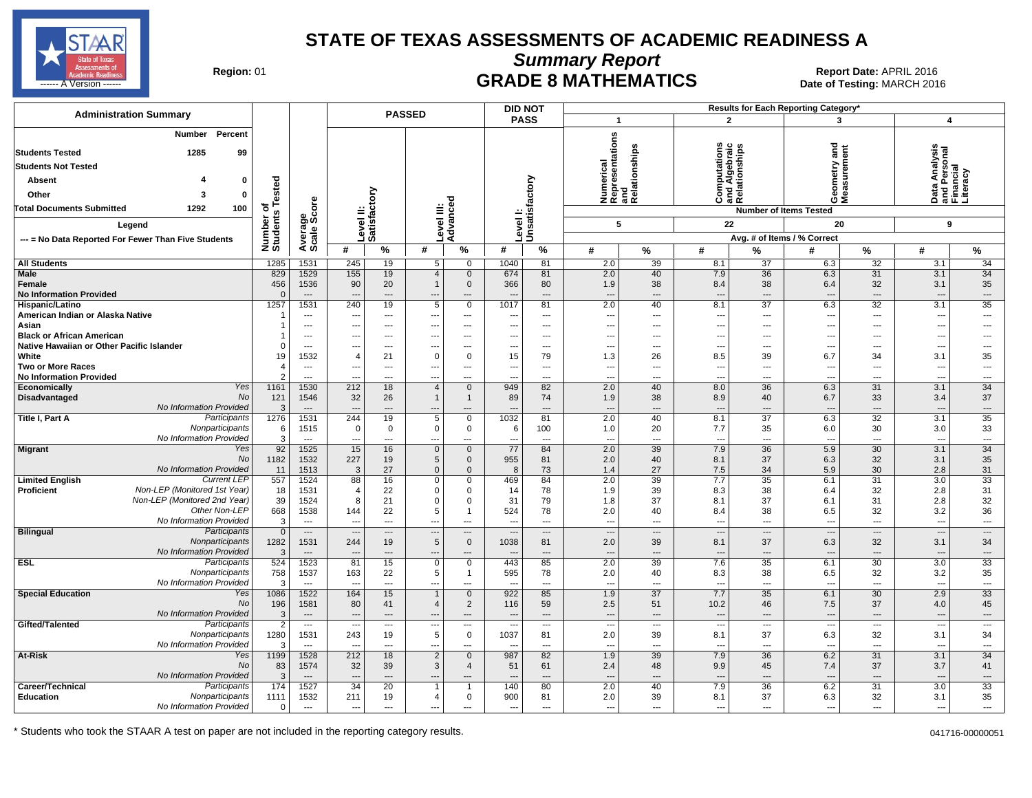

**Summary Report**

Region: 01 **Region: 01 Date: APRIL 2016**<br> **Date of Testing: MARCH 2016 Date of Testing: MARCH 2016** المستقال المستقل المستقل المستقل المستقل المستقل المستقل المستقل المستقل المستقل المستقل المستقل المستقل المستقل المستقل المستقل المستقل المستقل المستقل المستقل المستقل المستقل المستقل المستقل المستقل المستقل المستقل المس

|                                                             |                       |                                   |                                                      |                                   |                               |                                                      |                          | <b>DID NOT</b>                 |                                                      |                          |                                                      |                          | Results for Each Reporting Category'  |                                 |                                                      |                          |
|-------------------------------------------------------------|-----------------------|-----------------------------------|------------------------------------------------------|-----------------------------------|-------------------------------|------------------------------------------------------|--------------------------|--------------------------------|------------------------------------------------------|--------------------------|------------------------------------------------------|--------------------------|---------------------------------------|---------------------------------|------------------------------------------------------|--------------------------|
| <b>Administration Summary</b>                               |                       |                                   |                                                      | <b>PASSED</b>                     |                               |                                                      |                          | <b>PASS</b>                    | $\mathbf{1}$                                         |                          |                                                      | $\mathbf{2}$             | 3                                     |                                 | 4                                                    |                          |
| Number Percent                                              |                       |                                   |                                                      |                                   |                               |                                                      |                          |                                |                                                      |                          |                                                      |                          |                                       |                                 |                                                      |                          |
| 1285                                                        |                       |                                   |                                                      |                                   |                               |                                                      |                          |                                | Numerical<br>Representations<br>and<br>Relationships |                          |                                                      |                          | ខ្លួ                                  |                                 |                                                      |                          |
| <b>Students Tested</b><br>99                                |                       |                                   |                                                      |                                   |                               |                                                      |                          |                                |                                                      | elationships             | tations                                              | ebraic<br>ships          |                                       | ē                               | Data Analysis<br>and Personal<br>Financial           |                          |
| <b>Students Not Tested</b>                                  |                       |                                   |                                                      |                                   |                               |                                                      |                          |                                |                                                      |                          |                                                      |                          | ieometry<br>leasurem                  | ë                               |                                                      |                          |
| <b>Absent</b><br>0                                          |                       |                                   |                                                      |                                   |                               |                                                      |                          |                                |                                                      |                          | Computa:<br>Ind Alge<br>telations                    |                          |                                       |                                 |                                                      |                          |
| Other<br>0<br>3                                             | ested                 |                                   |                                                      | δ                                 |                               |                                                      |                          |                                |                                                      |                          | ت ≌ ت                                                |                          | פֿ⊙                                   |                                 |                                                      |                          |
| 100<br><b>Total Documents Submitted</b><br>1292             | ৳                     |                                   |                                                      | Level II:<br> Satisfacto          |                               | Level III:<br>Advanced                               |                          | Level I:<br>Unsatisfactory     |                                                      |                          |                                                      |                          | <b>Number of Items Tested</b>         |                                 |                                                      |                          |
| Legend                                                      |                       |                                   |                                                      |                                   |                               |                                                      |                          |                                | 5                                                    |                          | 22                                                   |                          | 20                                    |                                 | 9                                                    |                          |
| --- = No Data Reported For Fewer Than Five Students         |                       |                                   |                                                      |                                   |                               |                                                      |                          |                                |                                                      |                          |                                                      |                          | Avg. # of Items / % Correct           |                                 |                                                      |                          |
|                                                             | Number of<br>Students | Average<br>Scale Score            | #                                                    | $\%$                              | #                             | %                                                    | #                        | %                              | #                                                    | %                        | #                                                    | %                        | #                                     | %                               | #                                                    | %                        |
| <b>All Students</b>                                         | 1285                  | 1531                              | 245                                                  | 19                                | 5 <sup>1</sup>                | $\mathbf 0$                                          | 1040                     | 81                             | 2.0                                                  | 39                       | 8.1                                                  | 37                       | 6.3                                   | 32                              | 3.1                                                  | 34                       |
| <b>Male</b>                                                 | 829                   | 1529                              | 155                                                  | 19                                | $\overline{4}$                | $\mathbf 0$                                          | 674                      | 81                             | 2.0                                                  | 40                       | 7.9                                                  | 36                       | 6.3                                   | 31                              | 3.1                                                  | 34                       |
| Female                                                      | 456                   | 1536                              | 90                                                   | 20                                | $\mathbf{1}$                  | $\mathbf 0$                                          | 366                      | 80                             | 1.9                                                  | 38                       | 8.4                                                  | 38                       | 6.4                                   | 32                              | 3.1                                                  | 35                       |
| <b>No Information Provided</b>                              |                       | $\overline{\phantom{a}}$          | $\overline{\phantom{a}}$                             | $\overline{\phantom{a}}$          |                               | ---                                                  |                          | $\overline{\phantom{a}}$       | $\overline{\phantom{a}}$                             | ---                      | $\overline{\phantom{a}}$                             | $\overline{a}$           | $\overline{\phantom{a}}$              | $\overline{\phantom{a}}$        | ---                                                  | $\qquad \qquad \cdots$   |
| Hispanic/Latino<br>American Indian or Alaska Native         | 1257                  | 1531<br>$\overline{\phantom{a}}$  | 240                                                  | 19<br>$---$                       | 5                             | $\mathbf 0$<br>$---$                                 | 1017                     | 81<br>$---$                    | 2.0<br>---                                           | 40<br>---                | 8.1                                                  | 37<br>$\overline{a}$     | 6.3                                   | 32<br>---                       | 3.1<br>$\overline{\phantom{a}}$                      | 35<br>---                |
| Asian                                                       |                       | $---$                             | $---$<br>$---$                                       | $\overline{\phantom{a}}$          | ---<br>---                    | $---$                                                |                          | $---$                          | ---                                                  | ---                      | ---<br>$\overline{a}$                                | ---                      | $\ddotsc$<br>$\overline{\phantom{a}}$ | ---                             | $\qquad \qquad \cdots$                               | ---                      |
| <b>Black or African American</b>                            |                       | $\overline{\phantom{a}}$          | $\overline{\phantom{a}}$                             | $---$                             | ---                           | $\overline{\phantom{a}}$                             | $- - -$                  | $\hspace{0.05cm} \ldots$       | ---                                                  | ---                      | ---                                                  | $---$                    | $\ddotsc$                             | $---$                           | $\overline{\phantom{a}}$                             | ---                      |
| Native Hawaiian or Other Pacific Islander                   | $\Omega$              | $---$                             |                                                      | $\overline{a}$                    |                               | $\overline{a}$                                       |                          | $---$                          | ---                                                  | ---                      |                                                      | $---$                    |                                       | ---                             | $\overline{a}$                                       | ---                      |
| White                                                       | 19                    | 1532                              | $\overline{4}$                                       | 21                                | $\Omega$                      | $\mathbf 0$                                          | 15                       | 79                             | 1.3                                                  | 26                       | 8.5                                                  | 39                       | 6.7                                   | 34                              | 3.1                                                  | 35                       |
| Two or More Races                                           |                       | $---$                             | $---$                                                | ---                               | ---                           | $---$                                                | $- - -$                  | $\overline{\phantom{a}}$       | ---                                                  | ---                      | $\overline{a}$                                       | ---                      | $\ddotsc$                             | ---                             | $\hspace{0.05cm} \ldots$                             | ---                      |
| <b>No Information Provided</b><br>Economically<br>Yes       | 1161                  | $---$<br>1530                     | $\overline{\phantom{a}}$<br>212                      | ---<br>18                         | ---<br>$\overline{4}$         | $\overline{a}$<br>$\mathbf 0$                        | 949                      | $---$<br>82                    | ---<br>2.0                                           | ---<br>40                | $---$<br>8.0                                         | ---<br>36                | $\overline{\phantom{a}}$<br>6.3       | $-$<br>31                       | ---<br>3.1                                           | $\overline{a}$<br>34     |
| No<br>Disadvantaged                                         | 121                   | 1546                              | 32                                                   | 26                                | $\mathbf{1}$                  | $\overline{1}$                                       | 89                       | 74                             | 1.9                                                  | 38                       | 8.9                                                  | 40                       | 6.7                                   | 33                              | 3.4                                                  | 37                       |
| No Information Provided                                     | $\mathbf{3}$          | $\overline{\phantom{a}}$          | ---                                                  | $---$                             |                               | $---$                                                |                          | $---$                          | $\overline{a}$                                       | $\overline{a}$           | $\overline{a}$                                       | $---$                    | $\overline{\phantom{a}}$              | $---$                           | $\overline{\phantom{a}}$                             | $---$                    |
| Participants<br>Title I, Part A                             | 1276                  | 1531                              | 244                                                  | 19                                | $\overline{5}$                | $\mathbf 0$                                          | 1032                     | 81                             | 2.0                                                  | 40                       | 8.1                                                  | 37                       | 6.3                                   | 32                              | 3.1                                                  | 35                       |
| Nonparticipants                                             | 6                     | 1515                              | $\mathbf 0$                                          | $\mathbf 0$                       | $\mathbf 0$                   | $\mathbf 0$                                          | 6                        | 100                            | 1.0                                                  | 20                       | 7.7                                                  | 35                       | 6.0                                   | 30                              | 3.0                                                  | 33                       |
| No Information Provided                                     | 3                     | $---$                             | $---$                                                | $---$                             | ---                           | $---$                                                | $\sim$                   | $---$                          | $\overline{\phantom{a}}$                             | $\sim$                   | $---$                                                | $---$                    | $\overline{\phantom{a}}$              | $---$                           | $---$                                                | $\sim$                   |
| <b>Migrant</b><br>Yes<br>No                                 | 92<br>1182            | 1525<br>1532                      | 15<br>227                                            | 16<br>19                          | $\mathbf 0$<br>5              | $\mathbf 0$<br>$\mathbf 0$                           | 77<br>955                | 84<br>81                       | 2.0<br>2.0                                           | 39<br>40                 | 7.9<br>8.1                                           | 36<br>37                 | 5.9<br>6.3                            | 30<br>32                        | 3.1<br>3.1                                           | 34<br>35                 |
| No Information Provided                                     | 11                    | 1513                              | 3                                                    | 27                                | $\mathbf 0$                   | $\mathbf{0}$                                         | 8                        | 73                             | 1.4                                                  | 27                       | 7.5                                                  | 34                       | 5.9                                   | 30                              | 2.8                                                  | 31                       |
| <b>Current LEP</b><br><b>Limited English</b>                | 557                   | 1524                              | 88                                                   | 16                                | 0                             | $\mathbf 0$                                          | 469                      | 84                             | 2.0                                                  | 39                       | 7.7                                                  | 35                       | 6.1                                   | 31                              | 3.0                                                  | 33                       |
| Non-LEP (Monitored 1st Year)<br><b>Proficient</b>           | 18                    | 1531                              | 4                                                    | 22                                | 0                             | $\mathbf 0$                                          | 14                       | 78                             | 1.9                                                  | 39                       | 8.3                                                  | 38                       | 6.4                                   | 32                              | 2.8                                                  | 31                       |
| Non-LEP (Monitored 2nd Year)                                | 39                    | 1524                              | 8                                                    | 21                                | $\mathbf 0$                   | $\mathbf 0$                                          | 31                       | 79                             | 1.8                                                  | 37                       | 8.1                                                  | 37                       | 6.1                                   | 31                              | 2.8                                                  | 32                       |
| Other Non-LEP                                               | 668                   | 1538                              | 144                                                  | 22                                | 5                             | -1                                                   | 524                      | 78                             | 2.0                                                  | 40                       | 8.4                                                  | 38                       | 6.5                                   | 32                              | 3.2                                                  | 36                       |
| No Information Provided<br>Participants<br><b>Bilingual</b> | 3<br>$\overline{0}$   | $---$<br>$\overline{\phantom{a}}$ | $\overline{\phantom{a}}$<br>$\overline{\phantom{a}}$ | $---$<br>$\overline{\phantom{a}}$ | ---<br>$\qquad \qquad \cdots$ | $\overline{\phantom{a}}$<br>$\overline{\phantom{a}}$ | $\overline{\phantom{a}}$ | $---$<br>$\cdots$              | ---<br>$\overline{\phantom{a}}$                      | ---<br>$\cdots$          | $\overline{\phantom{a}}$<br>$\overline{\phantom{a}}$ | $---$<br>$\cdots$        | $\overline{\phantom{a}}$<br>---       | ---<br>$\overline{\phantom{a}}$ | $\overline{\phantom{a}}$<br>$\hspace{0.05cm} \ldots$ | $---$<br>$\cdots$        |
| Nonparticipants                                             | 1282                  | 1531                              | 244                                                  | 19                                | 5                             | $\mathbf{0}$                                         | 1038                     | 81                             | 2.0                                                  | 39                       | 8.1                                                  | 37                       | 6.3                                   | 32                              | 3.1                                                  | 34                       |
| No Information Provided                                     | 3                     | $---$                             |                                                      | ---                               |                               | ---                                                  |                          | $---$                          | ---                                                  | ---                      | $\overline{\phantom{a}}$                             | ---                      |                                       | $\overline{\phantom{a}}$        | $\overline{\phantom{a}}$                             | ---                      |
| <b>ESL</b><br>Participants                                  | 524                   | 1523                              | 81                                                   | 15                                | 0                             | $\mathbf 0$                                          | 443                      | 85                             | 2.0                                                  | 39                       | 7.6                                                  | 35                       | 6.1                                   | 30                              | 3.0                                                  | 33                       |
| Nonparticipants                                             | 758                   | 1537                              | 163                                                  | 22                                | 5                             | -1                                                   | 595                      | 78                             | 2.0                                                  | 40                       | 8.3                                                  | 38                       | 6.5                                   | 32                              | 3.2                                                  | 35                       |
| No Information Provided<br>Yes                              | 3                     | $---$<br>1522                     |                                                      | ---                               | ---                           | ---<br>$\mathbf{0}$                                  | 922                      | $\overline{\phantom{a}}$<br>85 | ---<br>1.9                                           | ---<br>37                | $\overline{\phantom{a}}$<br>7.7                      | $\overline{a}$<br>35     | 6.1                                   | ---<br>30                       | $\overline{a}$<br>2.9                                | ---<br>33                |
| <b>Special Education</b><br>No                              | 1086<br>196           | 1581                              | 164<br>80                                            | 15<br>41                          | 1<br>4                        | $\overline{2}$                                       | 116                      | 59                             | 2.5                                                  | 51                       | 10.2                                                 | 46                       | 7.5                                   | 37                              | 4.0                                                  | 45                       |
| No Information Provided                                     | 3                     | $\overline{\phantom{a}}$          | $\overline{\phantom{a}}$                             | ---                               |                               | $\overline{\phantom{a}}$                             |                          | $\overline{\phantom{a}}$       | $\overline{\phantom{a}}$                             | ---                      | $\overline{\phantom{a}}$                             | $\overline{a}$           | $\overline{\phantom{a}}$              | $\overline{\phantom{a}}$        | ---                                                  | ---                      |
| Participants<br>Gifted/Talented                             | 2                     | $---$                             | $\sim$                                               | $\overline{\phantom{a}}$          | ---                           | $\overline{\phantom{a}}$                             |                          | $\overline{\phantom{a}}$       | ---                                                  | $\overline{\phantom{a}}$ | $\overline{\phantom{a}}$                             | $\overline{\phantom{a}}$ | $\overline{\phantom{a}}$              | ---                             | $\overline{\phantom{a}}$                             | $\overline{\phantom{a}}$ |
| Nonparticipants                                             | 1280                  | 1531                              | 243                                                  | 19                                | 5                             | $\mathbf{0}$                                         | 1037                     | 81                             | 2.0                                                  | 39                       | 8.1                                                  | 37                       | 6.3                                   | 32                              | 3.1                                                  | 34                       |
| No Information Provided                                     | 3                     | $---$                             | $\overline{\phantom{a}}$                             | $\overline{\phantom{a}}$          | ---                           | ---                                                  |                          | $\overline{\phantom{a}}$       | ---                                                  | ---                      | ---                                                  | ---                      | $\overline{\phantom{a}}$              | ---                             | $\overline{\phantom{a}}$                             | ---                      |
| Yes<br>At-Risk<br>No                                        | 1199                  | 1528                              | 212                                                  | 18                                | $\overline{2}$<br>3           | $\mathbf{0}$                                         | 987                      | 82                             | 1.9                                                  | 39                       | 7.9                                                  | 36                       | 6.2                                   | 31                              | 3.1                                                  | 34                       |
| No Information Provided                                     | 83<br>3               | 1574<br>$---$                     | 32<br>---                                            | 39<br>---                         |                               | 4                                                    | 51                       | 61<br>$---$                    | 2.4<br>---                                           | 48<br>---                | 9.9<br>$\overline{\phantom{a}}$                      | 45                       | 7.4                                   | 37<br>$\overline{\phantom{a}}$  | 3.7<br>$---$                                         | 41<br>$\overline{a}$     |
| Participants<br>Career/Technical                            | 174                   | 1527                              | 34                                                   | 20                                | 1                             | $\mathbf{1}$                                         | 140                      | 80                             | 2.0                                                  | 40                       | 7.9                                                  | 36                       | 6.2                                   | 31                              | 3.0                                                  | 33                       |
| <b>Education</b><br>Nonparticipants                         | 1111                  | 1532                              | 211                                                  | 19                                | 4                             | $\mathbf 0$                                          | 900                      | 81                             | 2.0                                                  | 39                       | 8.1                                                  | 37                       | 6.3                                   | 32                              | 3.1                                                  | 35                       |
| No Information Provided                                     | $\Omega$              | $\overline{a}$                    | $\overline{a}$                                       | ---                               | ---                           |                                                      |                          | $---$                          | ---                                                  | ---                      | $\overline{a}$                                       | ---                      | $\overline{\phantom{a}}$              | $\overline{a}$                  | $\overline{a}$                                       | $\overline{a}$           |

\* Students who took the STAAR A test on paper are not included in the reporting category results. 041716-00000051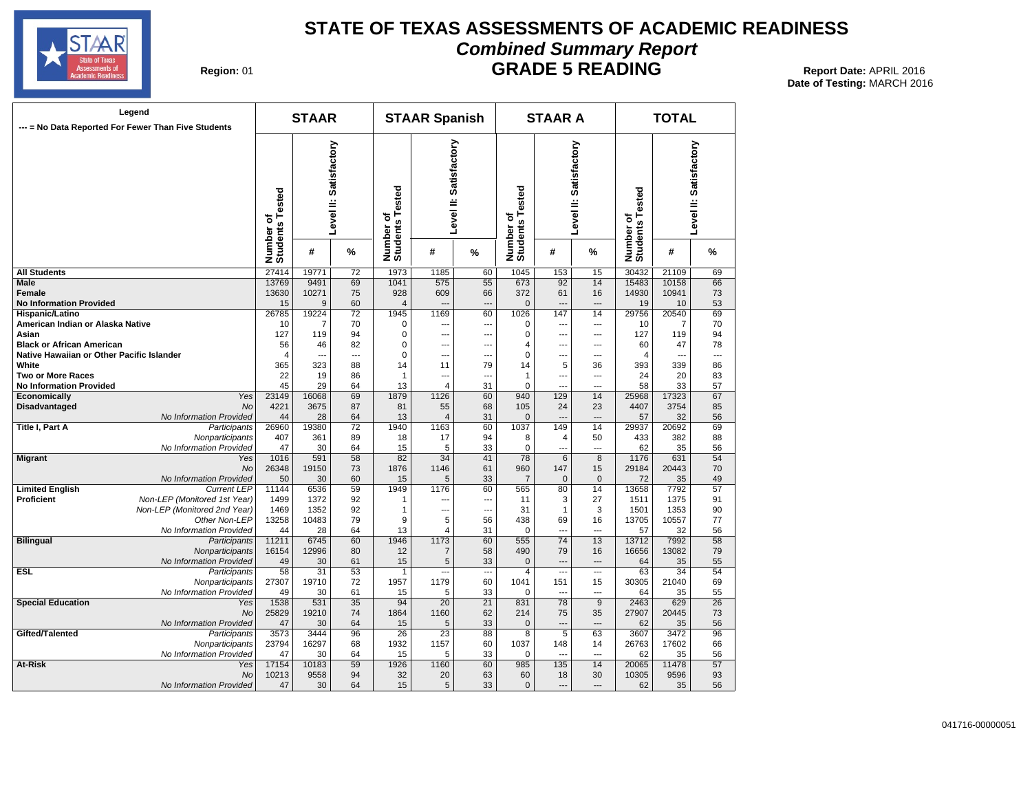

## **STATE OF TEXAS ASSESSMENTS OF ACADEMIC READINESS Combined Summary Report GRADE 5 READING** Report Date: APRIL 2016

| Region: 01 |  |
|------------|--|
|------------|--|

| Legend<br>--- = No Data Reported For Fewer Than Five Students |                              | <b>STAAR</b>                                                                                                           |           |                 |                                         | <b>STAAR Spanish</b>   |           |                              | <b>STAAR A</b>         |                          | <b>TOTAL</b> |           |                 |  |
|---------------------------------------------------------------|------------------------------|------------------------------------------------------------------------------------------------------------------------|-----------|-----------------|-----------------------------------------|------------------------|-----------|------------------------------|------------------------|--------------------------|--------------|-----------|-----------------|--|
|                                                               |                              | Satisfactory<br>Satisfactory<br>Number of<br>Students Tested<br>Number of<br>Students Tested<br>Level II:<br>Level II: |           |                 | ested<br>Γs.<br>৳<br>Number<br>Students | Level II: Satisfactory |           | Number of<br>Students Tested | Level II: Satisfactory |                          |              |           |                 |  |
|                                                               |                              |                                                                                                                        | #         | %               |                                         | #                      | %         |                              | #                      | %                        |              | #         | %               |  |
| <b>All Students</b>                                           |                              | 27414                                                                                                                  | 19771     | 72              | 1973                                    | 1185                   | 60        | 1045                         | 153                    | 15                       | 30432        | 21109     | 69              |  |
| <b>Male</b>                                                   |                              | 13769                                                                                                                  | 9491      | 69              | 1041                                    | 575                    | 55        | 673                          | 92                     | 14                       | 15483        | 10158     | 66              |  |
| Female                                                        |                              | 13630                                                                                                                  | 10271     | 75              | 928                                     | 609                    | 66        | 372                          | 61                     | 16                       | 14930        | 10941     | 73              |  |
| <b>No Information Provided</b>                                |                              | 15                                                                                                                     | 9         | 60              | $\overline{4}$                          | ---                    | ---       | $\mathbf 0$                  | $\overline{a}$         | $\overline{\phantom{a}}$ | 19           | 10        | 53              |  |
| Hispanic/Latino                                               |                              | 26785                                                                                                                  | 19224     | 72              | 1945                                    | 1169                   | 60        | 1026                         | 147                    | 14                       | 29756        | 20540     | 69              |  |
| American Indian or Alaska Native                              |                              | 10                                                                                                                     | 7         | 70              | 0                                       | ---                    | ---       | 0                            |                        | $\overline{a}$           | 10           | 7         | 70              |  |
| Asian                                                         |                              | 127                                                                                                                    | 119       | 94              | $\Omega$                                | ---                    | ---       | $\overline{0}$               | ---                    | ---                      | 127          | 119       | 94              |  |
| <b>Black or African American</b>                              |                              | 56                                                                                                                     | 46        | 82              | 0                                       | --                     | ⊷         | 4<br>$\mathbf 0$             | ---                    | ---                      | 60           | 47        | 78<br>---       |  |
| Native Hawaiian or Other Pacific Islander<br>White            |                              | $\overline{4}$<br>365                                                                                                  | ---       | ---<br>88       | $\Omega$<br>14                          | ---                    | ---<br>79 | 14                           | ---                    | $-$                      | 4<br>393     | 339       |                 |  |
| <b>Two or More Races</b>                                      |                              | 22                                                                                                                     | 323<br>19 | 86              | 1                                       | 11<br>$\overline{a}$   | $\sim$    | 1                            | 5<br>$\sim$            | 36<br>$\sim$             | 24           | 20        | 86<br>83        |  |
|                                                               |                              | 45                                                                                                                     | 29        | 64              | 13                                      | $\overline{4}$         | 31        | 0                            | ---                    | ---                      | 58           | 33        | 57              |  |
| <b>No Information Provided</b><br>Economically                | Yes                          | 23149                                                                                                                  | 16068     | 69              | 1879                                    | 1126                   | 60        | 940                          | 129                    | 14                       | 25968        | 17323     | 67              |  |
| <b>Disadvantaged</b>                                          | <b>No</b>                    | 4221                                                                                                                   | 3675      | 87              | 81                                      | 55                     | 68        | 105                          | 24                     | 23                       | 4407         | 3754      | 85              |  |
|                                                               | No Information Provided      | 44                                                                                                                     | 28        | 64              | 13                                      | $\overline{4}$         | 31        | $\mathbf 0$                  |                        | $\overline{\phantom{a}}$ | 57           | 32        | 56              |  |
| Title I, Part A                                               | Participants                 | 26960                                                                                                                  | 19380     | 72              | 1940                                    | 1163                   | 60        | 1037                         | 149                    | 14                       | 29937        | 20692     | 69              |  |
|                                                               | Nonparticipants              | 407                                                                                                                    | 361       | 89              | 18                                      | 17                     | 94        | 8                            | 4                      | 50                       | 433          | 382       | 88              |  |
|                                                               | No Information Provided      | 47                                                                                                                     | 30        | 64              | 15                                      | 5                      | 33        | $\Omega$                     | ---                    | ---                      | 62           | 35        | 56              |  |
| <b>Migrant</b>                                                | Yes                          | 1016                                                                                                                   | 591       | $\overline{58}$ | $\overline{82}$                         | $\overline{34}$        | 41        | 78                           | 6                      | $\overline{8}$           | 1176         | 631       | $\overline{54}$ |  |
|                                                               | No                           | 26348                                                                                                                  | 19150     | 73              | 1876                                    | 1146                   | 61        | 960                          | 147                    | 15                       | 29184        | 20443     | 70              |  |
|                                                               | No Information Provided      | 50                                                                                                                     | 30        | 60              | 15                                      | 5                      | 33        | $\overline{7}$               | $\mathbf{0}$           | $\mathbf{0}$             | 72           | 35        | 49              |  |
| <b>Limited English</b>                                        | <b>Current LEP</b>           | 11144                                                                                                                  | 6536      | 59              | 1949                                    | 1176                   | 60        | 565                          | 80                     | 14                       | 13658        | 7792      | 57              |  |
| <b>Proficient</b>                                             | Non-LEP (Monitored 1st Year) | 1499                                                                                                                   | 1372      | 92              | 1                                       | ---                    | ---       | 11                           | 3                      | 27                       | 1511         | 1375      | 91              |  |
|                                                               | Non-LEP (Monitored 2nd Year) | 1469                                                                                                                   | 1352      | 92              | 1                                       | ---                    | ---       | 31                           | $\mathbf{1}$           | 3                        | 1501         | 1353      | 90              |  |
|                                                               | Other Non-LEP                | 13258                                                                                                                  | 10483     | 79              | 9                                       | 5                      | 56        | 438                          | 69                     | 16                       | 13705        | 10557     | 77              |  |
|                                                               | No Information Provided      | 44                                                                                                                     | 28        | 64              | 13                                      | $\overline{4}$         | 31        | 0                            | ---                    | $\overline{a}$           | 57           | 32        | 56              |  |
| <b>Bilingual</b>                                              | Participants                 | 11211                                                                                                                  | 6745      | 60              | 1946                                    | 1173                   | 60        | 555                          | $\overline{74}$        | $\overline{13}$          | 13712        | 7992      | 58              |  |
|                                                               | Nonparticipants              | 16154                                                                                                                  | 12996     | 80              | 12                                      | $\overline{7}$         | 58        | 490                          | 79                     | 16                       | 16656        | 13082     | 79              |  |
|                                                               | No Information Provided      | 49                                                                                                                     | 30        | 61              | 15                                      | 5                      | 33        | $\mathbf{0}$                 | $\overline{a}$         | $---$                    | 64           | 35        | 55              |  |
| <b>ESL</b>                                                    | Participants                 | 58                                                                                                                     | 31        | 53              | $\mathbf{1}$                            |                        | ---       | $\overline{4}$               |                        | $\overline{a}$           | 63           | 34        | 54              |  |
|                                                               | Nonparticipants              | 27307                                                                                                                  | 19710     | 72              | 1957                                    | 1179                   | 60        | 1041                         | 151                    | 15                       | 30305        | 21040     | 69              |  |
| <b>Special Education</b>                                      | No Information Provided      | 49<br>1538                                                                                                             | 30<br>531 | 61<br>35        | 15<br>94                                | 5                      | 33        | 0<br>831                     | $\overline{a}$<br>78   | $\overline{a}$<br>9      | 64<br>2463   | 35<br>629 | 55<br>26        |  |
|                                                               | Yes<br>No                    | 25829                                                                                                                  | 19210     | 74              | 1864                                    | 20<br>1160             | 21<br>62  | 214                          | 75                     | 35                       | 27907        | 20445     | 73              |  |
|                                                               | No Information Provided      | 47                                                                                                                     | 30        | 64              | 15                                      | 5                      | 33        | $\mathbf 0$                  |                        | $\overline{a}$           | 62           | 35        | 56              |  |
| Gifted/Talented                                               | Participants                 | 3573                                                                                                                   | 3444      | 96              | $\overline{26}$                         | 23                     | 88        | 8                            | 5                      | 63                       | 3607         | 3472      | 96              |  |
|                                                               | Nonparticipants              | 23794                                                                                                                  | 16297     | 68              | 1932                                    | 1157                   | 60        | 1037                         | 148                    | 14                       | 26763        | 17602     | 66              |  |
|                                                               | No Information Provided      | 47                                                                                                                     | 30        | 64              | 15                                      | 5                      | 33        | 0                            |                        | $\overline{a}$           | 62           | 35        | 56              |  |
| At-Risk                                                       | Yes                          | 17154                                                                                                                  | 10183     | 59              | 1926                                    | 1160                   | 60        | 985                          | 135                    | 14                       | 20065        | 11478     | 57              |  |
|                                                               | <b>No</b>                    | 10213                                                                                                                  | 9558      | 94              | 32                                      | 20                     | 63        | 60                           | 18                     | 30                       | 10305        | 9596      | 93              |  |
|                                                               | No Information Provided      | 47                                                                                                                     | 30        | 64              | 15                                      | 5                      | 33        | $\mathbf{0}$                 | ---                    | ---                      | 62           | 35        | 56              |  |
|                                                               |                              |                                                                                                                        |           |                 |                                         |                        |           |                              |                        |                          |              |           |                 |  |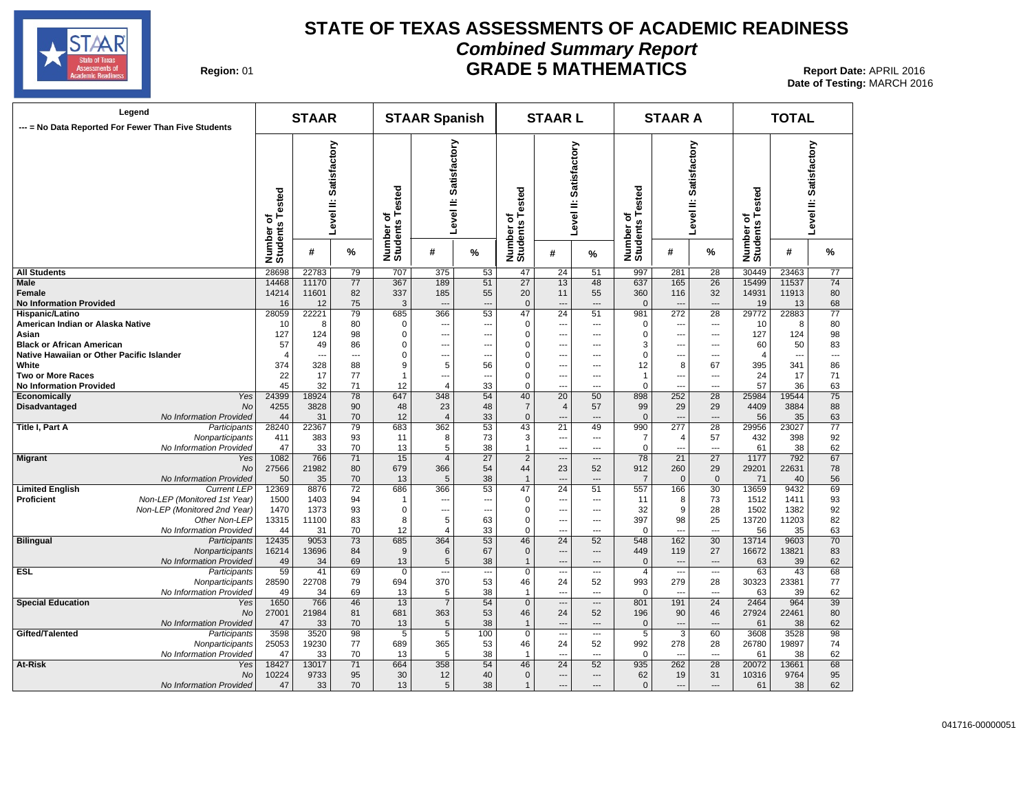

## **STATE OF TEXAS ASSESSMENTS OF ACADEMIC READINESS Combined Summary Report GRADE 5 MATHEMATICS** 01 **Report Date:** APRIL 2016

| Region: 01 |  |
|------------|--|
|------------|--|

| Legend<br>--- = No Data Reported For Fewer Than Five Students |                              | <b>STAAR</b>                 |                          |                          | <b>STAAR Spanish</b>                 |                           |                 | <b>STAARL</b>                |                          |                          | <b>STAAR A</b>                          |                                 |                          | <b>TOTAL</b>                 |       |                        |
|---------------------------------------------------------------|------------------------------|------------------------------|--------------------------|--------------------------|--------------------------------------|---------------------------|-----------------|------------------------------|--------------------------|--------------------------|-----------------------------------------|---------------------------------|--------------------------|------------------------------|-------|------------------------|
|                                                               |                              | Number of<br>Students Tested |                          | evel II: Satisfactory    | Tested<br>৳<br>Number of<br>Students | Satisfactory<br>Level II: |                 | Number of<br>Students Tested | Level II: Satisfactory   |                          | of<br>s Tested<br>Number of<br>Students | Level II: Satisfactory          |                          | Number of<br>Students Tested |       | Level II: Satisfactory |
|                                                               |                              |                              | #                        | %                        |                                      | #                         | %               |                              | #                        | %                        |                                         | #                               | ℅                        |                              | #     | %                      |
| <b>All Students</b>                                           |                              | 28698                        | 22783                    | 79                       | 707                                  | 375                       | 53              | 47                           | 24                       | 51                       | 997                                     | 281                             | 28                       | 30449                        | 23463 | 77                     |
| <b>Male</b>                                                   |                              | 14468                        | 11170                    | $\overline{77}$          | 367                                  | 189                       | 51              | $\overline{27}$              | 13                       | 48                       | 637                                     | 165                             | $\overline{26}$          | 15499                        | 11537 | 74                     |
| Female                                                        |                              | 14214                        | 11601                    | 82                       | 337                                  | 185                       | 55              | 20                           | 11                       | 55                       | 360                                     | 116                             | 32                       | 14931                        | 11913 | 80                     |
| <b>No Information Provided</b>                                |                              | 16                           | 12                       | 75                       | 3                                    | $\overline{a}$            | $\overline{a}$  | $\mathbf{0}$                 | $\overline{a}$           | $\overline{a}$           | $\mathbf 0$                             | $\overline{a}$                  | $\overline{a}$           | 19                           | 13    | 68                     |
| Hispanic/Latino                                               |                              | 28059                        | 22221                    | 79                       | 685                                  | 366                       | 53              | 47                           | $\overline{24}$          | 51                       | 981                                     | 272                             | 28                       | 29772                        | 22883 | 77                     |
| American Indian or Alaska Native                              |                              | 10                           | 8                        | 80                       | $\Omega$                             | $\overline{a}$            | ---             | $\mathbf 0$                  | $\overline{\phantom{a}}$ | $---$                    | $\Omega$                                | ---                             | ---                      | 10                           | 8     | 80                     |
| Asian                                                         |                              | 127                          | 124                      | 98                       | $\mathbf 0$                          | $\overline{\phantom{a}}$  | ---             | $\mathbf 0$                  | $\overline{a}$           | ---                      | $\mathsf{C}$                            | ---                             | ---                      | 127                          | 124   | 98                     |
| <b>Black or African American</b>                              |                              | 57                           | 49                       | 86                       | $\mathbf 0$                          | $- - -$                   | ---             | $\mathbf 0$                  | $---$                    | $---$                    | 3                                       | $\overline{a}$                  | $---$                    | 60                           | 50    | 83                     |
| Native Hawaiian or Other Pacific Islander                     |                              | $\overline{4}$               | $\overline{\phantom{a}}$ | $\overline{\phantom{a}}$ | $\pmb{0}$                            | $\overline{\phantom{a}}$  | ---             | $\mathbf 0$                  | $\overline{a}$           | $---$                    | $\mathbf 0$                             | ---                             | $\overline{a}$           | $\overline{\mathcal{L}}$     | ---   | ---                    |
| White                                                         |                              | 374                          | 328                      | 88                       | 9                                    | 5                         | 56              | $\mathbf 0$                  | $\overline{\phantom{a}}$ | ---                      | 12                                      | 8                               | 67                       | 395                          | 341   | 86                     |
| <b>Two or More Races</b>                                      |                              | 22                           | 17                       | 77                       | $\mathbf{1}$                         | $\overline{a}$            | ---             | $\mathbf 0$                  | $\cdots$                 | ---                      | $\mathbf{1}$                            | ---                             | ---                      | 24                           | 17    | 71                     |
| <b>No Information Provided</b>                                |                              | 45                           | 32                       | 71                       | 12                                   | $\overline{4}$            | 33              | $\mathbf 0$                  | $\overline{a}$           | $\overline{a}$           | $\mathbf 0$                             | $\overline{a}$                  | $\overline{a}$           | 57                           | 36    | 63                     |
| Economically                                                  | Yes                          | 24399                        | 18924                    | 78                       | 647                                  | 348                       | 54              | 40                           | 20                       | 50                       | 898                                     | 252                             | 28                       | 25984                        | 19544 | $\overline{75}$        |
| Disadvantaged                                                 | No                           | 4255                         | 3828                     | 90                       | 48                                   | 23                        | 48              | $\overline{7}$               | 4                        | 57                       | 99                                      | 29                              | 29                       | 4409                         | 3884  | 88                     |
|                                                               | No Information Provided      | 44                           | 31                       | 70                       | 12                                   | $\overline{4}$            | 33              | $\mathbf{0}$                 | $\overline{a}$           | $---$                    | $\mathbf{0}$                            | $\overline{\phantom{a}}$        | ---                      | 56                           | 35    | 63                     |
| <b>Title I, Part A</b>                                        | Participants                 | 28240                        | 22367                    | 79                       | 683                                  | 362                       | 53              | 43                           | $\overline{21}$          | 49                       | 990                                     | 277                             | 28                       | 29956                        | 23027 | $\overline{77}$        |
|                                                               | Nonparticipants              | 411                          | 383                      | 93                       | 11                                   | 8                         | 73              | 3                            | $\overline{a}$           | $\overline{a}$           | $\overline{7}$                          | 4                               | 57                       | 432                          | 398   | 92                     |
|                                                               | No Information Provided      | 47                           | 33                       | 70                       | 13                                   | 5                         | 38              | $\overline{1}$               | $---$                    | $---$                    | $\mathbf 0$                             | $\overline{a}$                  | $\overline{a}$           | 61                           | 38    | 62                     |
| <b>Migrant</b>                                                | Yes                          | 1082                         | 766                      | 71                       | 15                                   | $\overline{4}$            | $\overline{27}$ | $\overline{2}$               | $\hspace{0.05cm} \ldots$ | $\qquad \qquad \cdots$   | 78                                      | 21                              | $\overline{27}$          | 1177                         | 792   | 67                     |
|                                                               | <b>No</b>                    | 27566                        | 21982                    | 80                       | 679                                  | 366                       | 54              | 44                           | 23                       | 52                       | 912                                     | 260                             | 29                       | 29201                        | 22631 | 78                     |
|                                                               | No Information Provided      | 50                           | 35                       | 70                       | 13                                   | 5                         | 38              | $\overline{1}$               | $\overline{\phantom{a}}$ | $\overline{\phantom{a}}$ | $\overline{7}$                          | $\mathbf 0$                     | $\mathbf 0$              | 71                           | 40    | 56                     |
| <b>Limited English</b>                                        | <b>Current LEP</b>           | 12369                        | 8876                     | 72                       | 686                                  | 366                       | 53              | 47                           | 24                       | 51                       | 557                                     | 166                             | 30                       | 13659                        | 9432  | 69                     |
| <b>Proficient</b>                                             | Non-LEP (Monitored 1st Year) | 1500                         | 1403                     | 94                       | $\mathbf{1}$                         | $\sim$                    | ---             | $\mathbf 0$                  | $\overline{a}$           | $---$                    | 11                                      | 8                               | 73                       | 1512                         | 1411  | 93                     |
|                                                               | Non-LEP (Monitored 2nd Year) | 1470                         | 1373                     | 93                       | $\mathbf 0$                          | $\overline{\phantom{a}}$  | ---             | $\mathbf 0$                  | $\cdots$                 | ---                      | 32                                      | 9                               | 28                       | 1502                         | 1382  | 92                     |
|                                                               | Other Non-LEP                | 13315                        | 11100                    | 83                       | 8                                    | $\sqrt{5}$                | 63              | $\mathbf 0$                  | $\overline{\phantom{a}}$ | $\overline{a}$           | 397                                     | 98                              | 25                       | 13720                        | 11203 | 82                     |
|                                                               | No Information Provided      | 44                           | 31                       | 70                       | 12                                   | 4                         | 33              | $\mathbf 0$                  | $\overline{a}$           | ---                      | $\Omega$                                | $\overline{a}$                  | $\overline{a}$           | 56                           | 35    | 63                     |
| <b>Bilingual</b>                                              | Participants                 | 12435                        | 9053                     | 73                       | 685                                  | 364                       | 53              | 46                           | $\overline{24}$          | 52                       | 548                                     | 162                             | 30                       | 13714                        | 9603  | 70                     |
|                                                               | Nonparticipants              | 16214                        | 13696                    | 84                       | $9\,$                                | 6                         | 67              | $\mathbf{0}$                 | $\overline{a}$           | ---                      | 449                                     | 119                             | 27                       | 16672                        | 13821 | 83                     |
|                                                               | No Information Provided      | 49                           | 34                       | 69                       | 13                                   | $\sqrt{5}$                | 38              |                              | $\overline{a}$           | $\overline{a}$           | $\Omega$                                | $\qquad \qquad \cdots$          | ---                      | 63                           | 39    | 62                     |
| <b>ESL</b>                                                    | Participants                 | 59                           | 41                       | 69                       | $\mathbf 0$                          | $\overline{a}$            | ---             | $\mathbf 0$                  | $---$                    | $\overline{\phantom{a}}$ | $\overline{4}$                          | ---                             | $\overline{\phantom{a}}$ | 63                           | 43    | 68                     |
|                                                               | Nonparticipants              | 28590                        | 22708                    | 79                       | 694                                  | 370                       | 53              | 46                           | 24                       | 52                       | 993                                     | 279                             | 28                       | 30323                        | 23381 | 77                     |
|                                                               | No Information Provided      | 49                           | 34                       | 69                       | 13                                   | 5                         | 38              | $\overline{1}$               | $\sim$                   | $\sim$                   | $\mathbf 0$                             | $\overline{a}$                  | $\sim$                   | 63                           | 39    | 62                     |
| <b>Special Education</b>                                      | Yes                          | 1650                         | 766                      | 46                       | 13                                   | $\overline{7}$            | 54              | $\overline{0}$               | ---                      | $---$                    | 801                                     | 191                             | 24                       | 2464                         | 964   | 39                     |
|                                                               | No                           | 27001                        | 21984                    | 81                       | 681                                  | 363                       | 53              | 46                           | 24                       | 52                       | 196                                     | 90                              | 46                       | 27924                        | 22461 | 80                     |
|                                                               | No Information Provided      | 47                           | 33                       | 70                       | 13                                   | 5                         | 38              | $\mathbf{1}$                 | $\overline{a}$           | $\overline{a}$           | $\mathbf 0$                             | $\overline{a}$                  | $\overline{a}$           | 61                           | 38    | 62                     |
| Gifted/Talented                                               | Participants                 | 3598                         | 3520                     | 98                       | 5                                    | $\overline{5}$            | 100             | $\mathbf 0$                  | $\hspace{0.05cm} \ldots$ | $\overline{\phantom{a}}$ | $\overline{5}$                          | 3                               | 60                       | 3608                         | 3528  | 98                     |
|                                                               |                              | 25053                        | 19230                    | 77                       | 689                                  | 365                       | 53              | 46                           | 24                       | 52                       | 992                                     | 278                             |                          | 26780                        | 19897 | 74                     |
|                                                               | Nonparticipants              |                              |                          |                          |                                      |                           |                 |                              |                          |                          |                                         |                                 | 28                       |                              |       |                        |
|                                                               | No Information Provided      | 47<br>18427                  | 33                       | 70                       | 13                                   | 5<br>358                  | 38              | 1                            | $\overline{a}$<br>24     | $---$<br>52              | $\mathbf 0$                             | $\overline{\phantom{a}}$<br>262 | ---                      | 61                           | 38    | 62<br>68               |
| At-Risk                                                       | Yes                          |                              | 13017                    | 71                       | 664                                  |                           | 54              | 46                           |                          | $\overline{a}$           | 935                                     |                                 | 28                       | 20072                        | 13661 |                        |
|                                                               | No                           | 10224                        | 9733                     | 95                       | 30                                   | 12                        | 40              | $\mathbf 0$                  | $---$                    |                          | 62                                      | 19                              | 31                       | 10316                        | 9764  | 95                     |
|                                                               | No Information Provided      | 47                           | 33                       | 70                       | 13                                   | 5                         | 38              | $\mathbf{1}$                 | $---$                    | $\overline{a}$           | $\mathbf{0}$                            | $---$                           | $\overline{a}$           | 61                           | 38    | 62                     |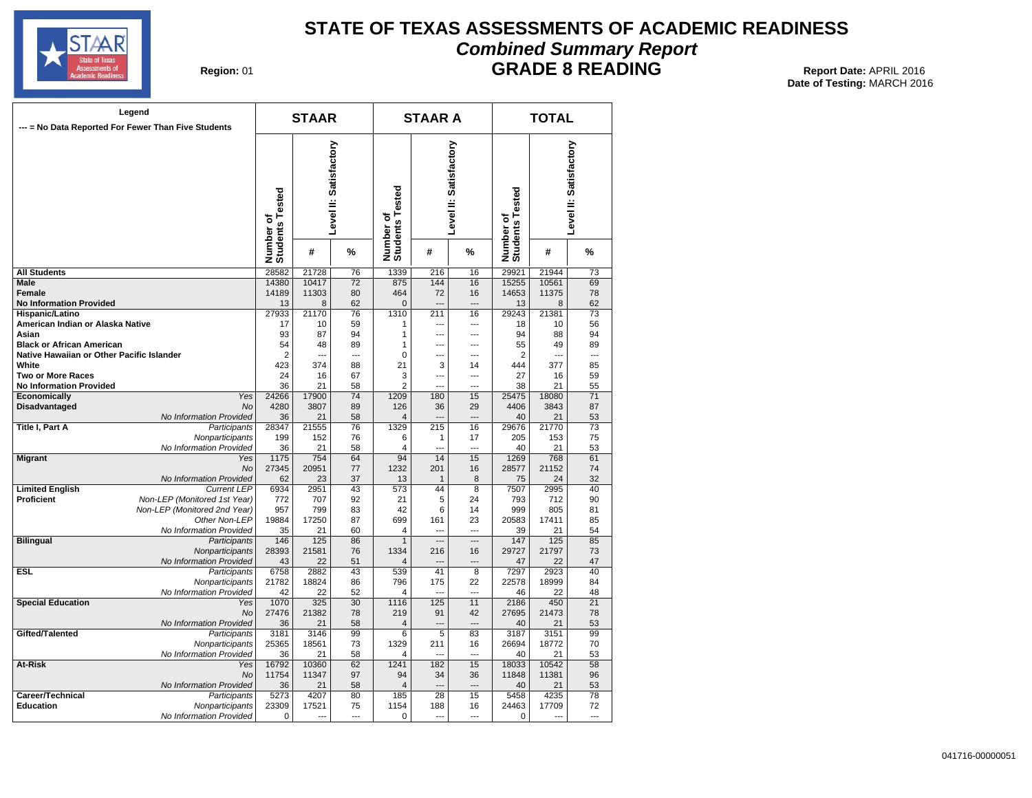

## **STATE OF TEXAS ASSESSMENTS OF ACADEMIC READINESS Combined Summary Report**

## **GRADE 8 READING** 01 **Report Date:** APRIL 2016

| Region: 01 |  |
|------------|--|
|            |  |

|                                                     | Legend<br>--- = No Data Reported For Fewer Than Five Students |                              | <b>STAAR</b>   |                        |                              | <b>STAAR A</b> |                        | <b>TOTAL</b>                 |                |                        |  |
|-----------------------------------------------------|---------------------------------------------------------------|------------------------------|----------------|------------------------|------------------------------|----------------|------------------------|------------------------------|----------------|------------------------|--|
|                                                     |                                                               | Number of<br>Students Tested |                | Level II: Satisfactory | Number of<br>Students Tested |                | Level II: Satisfactory | Number of<br>Students Tested |                | Level II: Satisfactory |  |
|                                                     |                                                               |                              | #              | %                      |                              | #              | %                      |                              | #              | %                      |  |
| <b>All Students</b>                                 |                                                               | 28582                        | 21728          | 76                     | 1339                         | 216            | 16                     | 29921                        | 21944          | $\overline{73}$        |  |
| Male                                                |                                                               | 14380                        | 10417          | $\overline{72}$        | 875                          | 144            | 16                     | 15255                        | 10561          | 69                     |  |
| <b>Female</b>                                       |                                                               | 14189                        | 11303          | 80                     | 464                          | 72             | 16                     | 14653                        | 11375          | 78                     |  |
| <b>No Information Provided</b>                      |                                                               | 13                           | 8              | 62                     | $\overline{0}$               | $\overline{a}$ | $\overline{a}$         | 13                           | 8              | 62                     |  |
| Hispanic/Latino<br>American Indian or Alaska Native |                                                               | 27933                        | 21170<br>10    | 76<br>59               | 1310                         | 211<br>$- - -$ | 16<br>$\overline{a}$   | 29243                        | 21381          | $\overline{73}$<br>56  |  |
| Asian                                               |                                                               | 17<br>93                     | 87             | 94                     | 1<br>1                       | ---            | $\sim$                 | 18<br>94                     | 10<br>88       | 94                     |  |
| <b>Black or African American</b>                    |                                                               | 54                           | 48             | 89                     | 1                            | ---            | $\overline{a}$         | 55                           | 49             | 89                     |  |
| Native Hawaiian or Other Pacific Islander           |                                                               | $\overline{2}$               | ---            | ---                    | $\mathbf 0$                  |                | $\overline{a}$         | $\overline{2}$               | $\overline{a}$ | $\overline{a}$         |  |
| White                                               |                                                               | 423                          | 374            | 88                     | 21                           | 3              | 14                     | 444                          | 377            | 85                     |  |
| <b>Two or More Races</b>                            |                                                               | 24                           | 16             | 67                     | 3                            |                | ---                    | 27                           | 16             | 59                     |  |
| <b>No Information Provided</b>                      |                                                               | 36                           | 21             | 58                     | $\overline{2}$               |                | ---                    | 38                           | 21             | 55                     |  |
| Economically                                        | Yes                                                           | 24266                        | 17900          | 74                     | 1209                         | 180            | 15                     | 25475                        | 18080          | 71                     |  |
| Disadvantaged                                       | No                                                            | 4280                         | 3807           | 89                     | 126                          | 36             | 29                     | 4406                         | 3843           | 87                     |  |
| Title I, Part A                                     | No Information Provided                                       | 36<br>28347                  | 21<br>21555    | 58<br>76               | $\overline{4}$<br>1329       | 215            | 16                     | 40<br>29676                  | 21<br>21770    | 53<br>73               |  |
|                                                     | Participants<br>Nonparticipants                               | 199                          | 152            | 76                     | 6                            | 1              | 17                     | 205                          | 153            | 75                     |  |
|                                                     | No Information Provided                                       | 36                           | 21             | 58                     | $\overline{4}$               |                | ---                    | 40                           | 21             | 53                     |  |
| <b>Migrant</b>                                      | Yes                                                           | 1175                         | 754            | 64                     | 94                           | 14             | 15                     | 1269                         | 768            | 61                     |  |
|                                                     | No                                                            | 27345                        | 20951          | 77                     | 1232                         | 201            | 16                     | 28577                        | 21152          | 74                     |  |
|                                                     | No Information Provided                                       | 62                           | 23             | 37                     | 13                           | $\mathbf{1}$   | 8                      | 75                           | 24             | 32                     |  |
| <b>Limited English</b>                              | <b>Current LEP</b>                                            | 6934                         | 2951           | 43                     | 573                          | 44             | 8                      | 7507                         | 2995           | 40                     |  |
| <b>Proficient</b>                                   | Non-LEP (Monitored 1st Year)                                  | 772                          | 707            | 92                     | 21                           | 5              | 24                     | 793                          | 712            | 90                     |  |
|                                                     | Non-LEP (Monitored 2nd Year)                                  | 957                          | 799            | 83                     | 42                           | 6              | 14                     | 999                          | 805            | 81                     |  |
|                                                     | Other Non-LEP<br>No Information Provided                      | 19884<br>35                  | 17250<br>21    | 87<br>60               | 699<br>4                     | 161            | 23<br>$-$              | 20583<br>39                  | 17411<br>21    | 85<br>54               |  |
| <b>Bilingual</b>                                    | Participants                                                  | 146                          | 125            | 86                     | 1                            | ---            | $\overline{a}$         | 147                          | 125            | 85                     |  |
|                                                     | Nonparticipants                                               | 28393                        | 21581          | 76                     | 1334                         | 216            | 16                     | 29727                        | 21797          | 73                     |  |
|                                                     | No Information Provided                                       | 43                           | 22             | 51                     | $\overline{4}$               |                | $\overline{a}$         | 47                           | 22             | 47                     |  |
| <b>ESL</b>                                          | Participants                                                  | 6758                         | 2882           | 43                     | 539                          | 41             | 8                      | 7297                         | 2923           | 40                     |  |
|                                                     | Nonparticipants                                               | 21782                        | 18824          | 86                     | 796                          | 175            | 22                     | 22578                        | 18999          | 84                     |  |
|                                                     | No Information Provided                                       | 42                           | 22             | 52                     | 4                            |                | $\sim$                 | 46                           | 22             | 48                     |  |
| <b>Special Education</b>                            | Yes                                                           | 1070                         | 325            | 30                     | 1116                         | 125            | 11                     | 2186                         | 450            | 21                     |  |
|                                                     | No                                                            | 27476<br>36                  | 21382<br>21    | 78<br>58               | 219<br>$\overline{4}$        | 91             | 42                     | 27695<br>40                  | 21473<br>21    | 78                     |  |
| Gifted/Talented                                     | No Information Provided<br>Participants                       | 3181                         | 3146           | 99                     | 6                            | 5              | 83                     | 3187                         | 3151           | 53<br>99               |  |
|                                                     | Nonparticipants                                               | 25365                        | 18561          | 73                     | 1329                         | 211            | 16                     | 26694                        | 18772          | 70                     |  |
|                                                     | No Information Provided                                       | 36                           | 21             | 58                     | $\overline{4}$               |                | ---                    | 40                           | 21             | 53                     |  |
| At-Risk                                             | Yes                                                           | 16792                        | 10360          | 62                     | 1241                         | 182            | 15                     | 18033                        | 10542          | 58                     |  |
|                                                     | <b>No</b>                                                     | 11754                        | 11347          | 97                     | 94                           | 34             | 36                     | 11848                        | 11381          | 96                     |  |
|                                                     | No Information Provided                                       | 36                           | 21             | 58                     | 4                            |                | $\sim$                 | 40                           | 21             | 53                     |  |
| Career/Technical                                    | Participants                                                  | 5273                         | 4207           | 80                     | 185                          | 28             | 15                     | 5458                         | 4235           | 78                     |  |
| <b>Education</b>                                    | Nonparticipants                                               | 23309                        | 17521          | 75                     | 1154                         | 188            | 16                     | 24463                        | 17709          | 72                     |  |
|                                                     | No Information Provided                                       | 0                            | $\overline{a}$ | ---                    | 0                            | ---            | $\overline{a}$         | 0                            | $\overline{a}$ | ---                    |  |